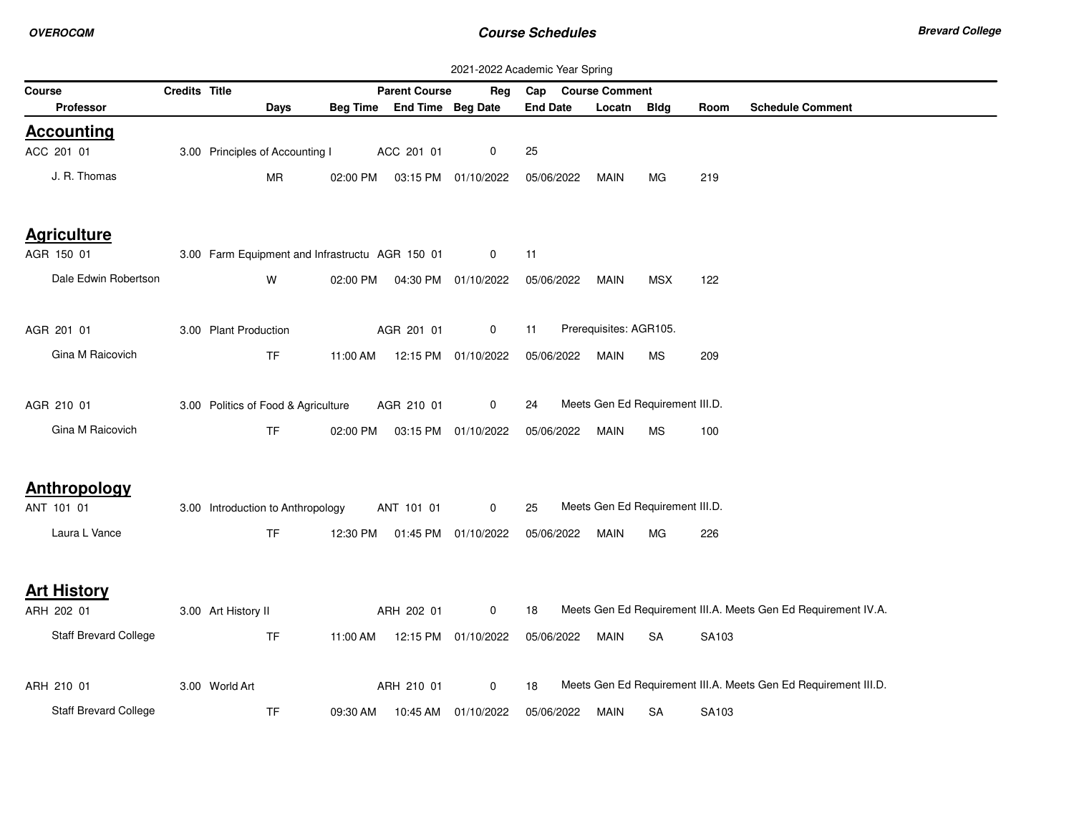| 2021-2022 Academic Year Spring |               |                                                 |          |                                |                     |                 |                                 |            |       |                                                                 |
|--------------------------------|---------------|-------------------------------------------------|----------|--------------------------------|---------------------|-----------------|---------------------------------|------------|-------|-----------------------------------------------------------------|
| Course                         | Credits Title |                                                 |          | <b>Parent Course</b>           | Reg                 | Cap             | <b>Course Comment</b>           |            |       |                                                                 |
| <b>Professor</b>               |               | Days                                            |          | Beg Time End Time Beg Date     |                     | <b>End Date</b> | Locatn                          | Bldg       | Room  | <b>Schedule Comment</b>                                         |
| <b>Accounting</b>              |               |                                                 |          |                                |                     |                 |                                 |            |       |                                                                 |
| ACC 201 01                     |               | 3.00 Principles of Accounting I                 |          | ACC 201 01                     | 0                   | 25              |                                 |            |       |                                                                 |
| J. R. Thomas                   |               | <b>MR</b>                                       | 02:00 PM |                                | 03:15 PM 01/10/2022 | 05/06/2022      | <b>MAIN</b>                     | MG.        | 219   |                                                                 |
| <b>Agriculture</b>             |               |                                                 |          |                                |                     |                 |                                 |            |       |                                                                 |
| AGR 150 01                     |               | 3.00 Farm Equipment and Infrastructu AGR 150 01 |          |                                | 0                   | 11              |                                 |            |       |                                                                 |
| Dale Edwin Robertson           |               | W                                               | 02:00 PM |                                | 04:30 PM 01/10/2022 | 05/06/2022      | MAIN                            | <b>MSX</b> | 122   |                                                                 |
| AGR 201 01                     |               | 3.00 Plant Production                           |          | AGR 201 01                     | 0                   | 11              | Prerequisites: AGR105.          |            |       |                                                                 |
| Gina M Raicovich               |               | TF.                                             | 11:00 AM |                                | 12:15 PM 01/10/2022 | 05/06/2022      | MAIN                            | MS         | 209   |                                                                 |
| AGR 210 01                     |               | 3.00 Politics of Food & Agriculture             |          | AGR 210 01                     | $\mathbf 0$         | 24              | Meets Gen Ed Requirement III.D. |            |       |                                                                 |
| Gina M Raicovich               |               | <b>TF</b>                                       | 02:00 PM |                                | 03:15 PM 01/10/2022 | 05/06/2022      | <b>MAIN</b>                     | MS         | 100   |                                                                 |
| Anthropology                   |               |                                                 |          |                                |                     |                 |                                 |            |       |                                                                 |
| ANT 101 01                     |               | 3.00 Introduction to Anthropology               |          | ANT 101 01                     | $\mathbf 0$         | 25              | Meets Gen Ed Requirement III.D. |            |       |                                                                 |
| Laura L Vance                  |               | <b>TF</b>                                       |          | 12:30 PM  01:45 PM  01/10/2022 |                     | 05/06/2022      | <b>MAIN</b>                     | MG         | 226   |                                                                 |
| <b>Art History</b>             |               |                                                 |          |                                |                     |                 |                                 |            |       |                                                                 |
| ARH 202 01                     |               | 3.00 Art History II                             |          | ARH 202 01                     | $\mathbf 0$         | 18              |                                 |            |       | Meets Gen Ed Requirement III.A. Meets Gen Ed Requirement IV.A.  |
| Staff Brevard College          |               | <b>TF</b>                                       | 11:00 AM |                                | 12:15 PM 01/10/2022 | 05/06/2022      | <b>MAIN</b>                     | <b>SA</b>  | SA103 |                                                                 |
| ARH 210 01                     |               | 3.00 World Art                                  |          | ARH 210 01                     | $\mathbf 0$         | 18              |                                 |            |       | Meets Gen Ed Requirement III.A. Meets Gen Ed Requirement III.D. |
| Staff Brevard College          |               | <b>TF</b>                                       | 09:30 AM |                                | 10:45 AM 01/10/2022 | 05/06/2022      | <b>MAIN</b>                     | <b>SA</b>  | SA103 |                                                                 |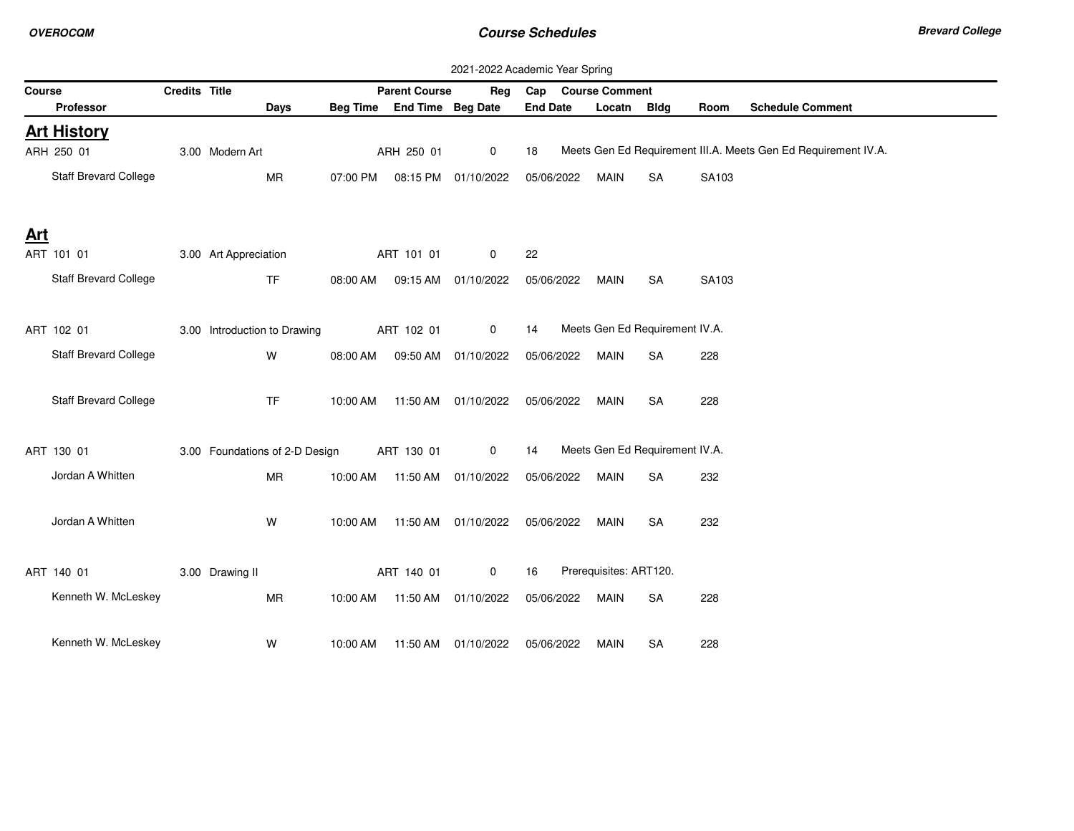|            | 2021-2022 Academic Year Spring |               |                                |          |                                |                      |                    |                                |             |       |                                                                |
|------------|--------------------------------|---------------|--------------------------------|----------|--------------------------------|----------------------|--------------------|--------------------------------|-------------|-------|----------------------------------------------------------------|
| Course     |                                | Credits Title |                                |          | <b>Parent Course</b>           | Reg                  | Cap Course Comment |                                |             |       |                                                                |
|            | Professor                      |               | <b>Days</b>                    |          | Beg Time End Time Beg Date     |                      | <b>End Date</b>    | Locatn                         | <b>Bldg</b> | Room  | <b>Schedule Comment</b>                                        |
|            | <b>Art History</b>             |               |                                |          |                                |                      |                    |                                |             |       |                                                                |
|            | ARH 250 01                     |               | 3.00 Modern Art                |          | ARH 250 01                     | $\mathbf 0$          | 18                 |                                |             |       | Meets Gen Ed Requirement III.A. Meets Gen Ed Requirement IV.A. |
|            | Staff Brevard College          |               | <b>MR</b>                      | 07:00 PM |                                | 08:15 PM 01/10/2022  | 05/06/2022         | <b>MAIN</b>                    | <b>SA</b>   | SA103 |                                                                |
| <b>Art</b> |                                |               |                                |          |                                |                      |                    |                                |             |       |                                                                |
|            | ART 101 01                     |               | 3.00 Art Appreciation          |          | ART 101 01                     | 0                    | 22                 |                                |             |       |                                                                |
|            | <b>Staff Brevard College</b>   |               | <b>TF</b>                      | 08:00 AM |                                | 09:15 AM 01/10/2022  | 05/06/2022         | <b>MAIN</b>                    | <b>SA</b>   | SA103 |                                                                |
|            | ART 102 01                     |               | 3.00 Introduction to Drawing   |          | ART 102 01                     | 0                    | 14                 | Meets Gen Ed Requirement IV.A. |             |       |                                                                |
|            | <b>Staff Brevard College</b>   |               | W                              | 08:00 AM | 09:50 AM                       | 01/10/2022           | 05/06/2022         | <b>MAIN</b>                    | <b>SA</b>   | 228   |                                                                |
|            | Staff Brevard College          |               | <b>TF</b>                      | 10:00 AM |                                | 11:50 AM 01/10/2022  | 05/06/2022         | MAIN                           | <b>SA</b>   | 228   |                                                                |
|            | ART 130 01                     |               | 3.00 Foundations of 2-D Design |          | ART 130 01                     | $\mathbf 0$          | 14                 | Meets Gen Ed Requirement IV.A. |             |       |                                                                |
|            | Jordan A Whitten               |               | <b>MR</b>                      |          | 10:00 AM  11:50 AM  01/10/2022 |                      | 05/06/2022         | MAIN                           | <b>SA</b>   | 232   |                                                                |
|            | Jordan A Whitten               |               | W                              | 10:00 AM |                                | 11:50 AM  01/10/2022 | 05/06/2022         | MAIN                           | <b>SA</b>   | 232   |                                                                |
|            | ART 140 01                     |               | 3.00 Drawing II                |          | ART 140 01                     | $\mathbf 0$          | 16                 | Prerequisites: ART120.         |             |       |                                                                |
|            | Kenneth W. McLeskey            |               | <b>MR</b>                      |          | 10:00 AM  11:50 AM  01/10/2022 |                      | 05/06/2022         | MAIN                           | <b>SA</b>   | 228   |                                                                |
|            | Kenneth W. McLeskey            |               | W                              | 10:00 AM |                                | 11:50 AM 01/10/2022  | 05/06/2022         | MAIN                           | <b>SA</b>   | 228   |                                                                |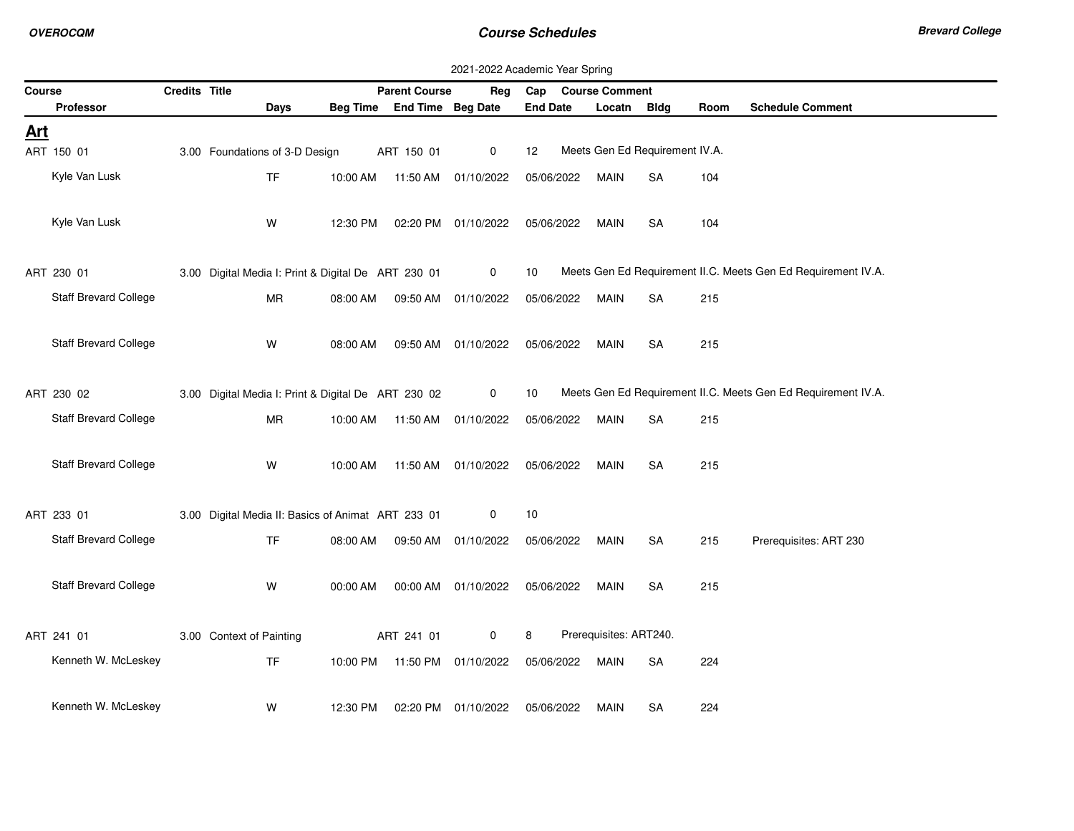|            | 2021-2022 Academic Year Spring |               |                                                     |          |                                |                      |                 |                                |             |      |                                                               |
|------------|--------------------------------|---------------|-----------------------------------------------------|----------|--------------------------------|----------------------|-----------------|--------------------------------|-------------|------|---------------------------------------------------------------|
| Course     |                                | Credits Title |                                                     |          | <b>Parent Course</b>           | Reg                  |                 | Cap Course Comment             |             |      |                                                               |
|            | Professor                      |               | Days                                                |          | Beg Time End Time Beg Date     |                      | <b>End Date</b> | Locatn                         | <b>Bldg</b> | Room | <b>Schedule Comment</b>                                       |
| <u>Art</u> |                                |               |                                                     |          |                                |                      |                 |                                |             |      |                                                               |
|            | ART 150 01                     |               | 3.00 Foundations of 3-D Design                      |          | ART 150 01                     | 0                    | 12              | Meets Gen Ed Requirement IV.A. |             |      |                                                               |
|            | Kyle Van Lusk                  |               | <b>TF</b>                                           | 10:00 AM |                                | 11:50 AM  01/10/2022 | 05/06/2022      | MAIN                           | <b>SA</b>   | 104  |                                                               |
|            |                                |               |                                                     |          |                                |                      |                 |                                |             |      |                                                               |
|            |                                |               |                                                     |          |                                |                      |                 |                                |             |      |                                                               |
|            | Kyle Van Lusk                  |               | W                                                   | 12:30 PM |                                | 02:20 PM 01/10/2022  | 05/06/2022      | <b>MAIN</b>                    | <b>SA</b>   | 104  |                                                               |
|            |                                |               |                                                     |          |                                |                      |                 |                                |             |      |                                                               |
|            | ART 230 01                     |               | 3.00 Digital Media I: Print & Digital De ART 230 01 |          |                                | 0                    | 10              |                                |             |      | Meets Gen Ed Requirement II.C. Meets Gen Ed Requirement IV.A. |
|            | <b>Staff Brevard College</b>   |               | MR                                                  | 08:00 AM |                                | 09:50 AM 01/10/2022  | 05/06/2022      | MAIN                           | <b>SA</b>   | 215  |                                                               |
|            |                                |               |                                                     |          |                                |                      |                 |                                |             |      |                                                               |
|            | <b>Staff Brevard College</b>   |               | W                                                   | 08:00 AM | 09:50 AM                       | 01/10/2022           | 05/06/2022      | MAIN                           | <b>SA</b>   | 215  |                                                               |
|            |                                |               |                                                     |          |                                |                      |                 |                                |             |      |                                                               |
|            |                                |               |                                                     |          |                                |                      |                 |                                |             |      |                                                               |
|            | ART 230 02                     |               | 3.00 Digital Media I: Print & Digital De ART 230 02 |          |                                | 0                    | 10              |                                |             |      | Meets Gen Ed Requirement II.C. Meets Gen Ed Requirement IV.A. |
|            | <b>Staff Brevard College</b>   |               | <b>MR</b>                                           |          | 10:00 AM  11:50 AM  01/10/2022 |                      | 05/06/2022      | MAIN                           | <b>SA</b>   | 215  |                                                               |
|            |                                |               |                                                     |          |                                |                      |                 |                                |             |      |                                                               |
|            | Staff Brevard College          |               | W                                                   | 10:00 AM |                                | 11:50 AM 01/10/2022  | 05/06/2022      | <b>MAIN</b>                    | <b>SA</b>   | 215  |                                                               |
|            |                                |               |                                                     |          |                                |                      |                 |                                |             |      |                                                               |
|            | ART 233 01                     |               | 3.00 Digital Media II: Basics of Animat ART 233 01  |          |                                | 0                    | 10              |                                |             |      |                                                               |
|            |                                |               |                                                     |          |                                |                      |                 |                                |             |      |                                                               |
|            | <b>Staff Brevard College</b>   |               | <b>TF</b>                                           | 08:00 AM |                                | 09:50 AM 01/10/2022  | 05/06/2022      | <b>MAIN</b>                    | <b>SA</b>   | 215  | Prerequisites: ART 230                                        |
|            |                                |               |                                                     |          |                                |                      |                 |                                |             |      |                                                               |
|            | Staff Brevard College          |               | W                                                   | 00:00 AM |                                | 00:00 AM 01/10/2022  | 05/06/2022      | MAIN                           | SA          | 215  |                                                               |
|            |                                |               |                                                     |          |                                |                      |                 |                                |             |      |                                                               |
|            | ART 241 01                     |               | 3.00 Context of Painting                            |          | ART 241 01                     | 0                    | 8               | Prerequisites: ART240.         |             |      |                                                               |
|            | Kenneth W. McLeskey            |               | <b>TF</b>                                           |          | 10:00 PM  11:50 PM  01/10/2022 |                      | 05/06/2022      | MAIN                           | <b>SA</b>   | 224  |                                                               |
|            |                                |               |                                                     |          |                                |                      |                 |                                |             |      |                                                               |
|            |                                |               |                                                     |          |                                |                      |                 |                                |             |      |                                                               |
|            | Kenneth W. McLeskey            |               | W                                                   | 12:30 PM |                                | 02:20 PM 01/10/2022  | 05/06/2022      | MAIN                           | <b>SA</b>   | 224  |                                                               |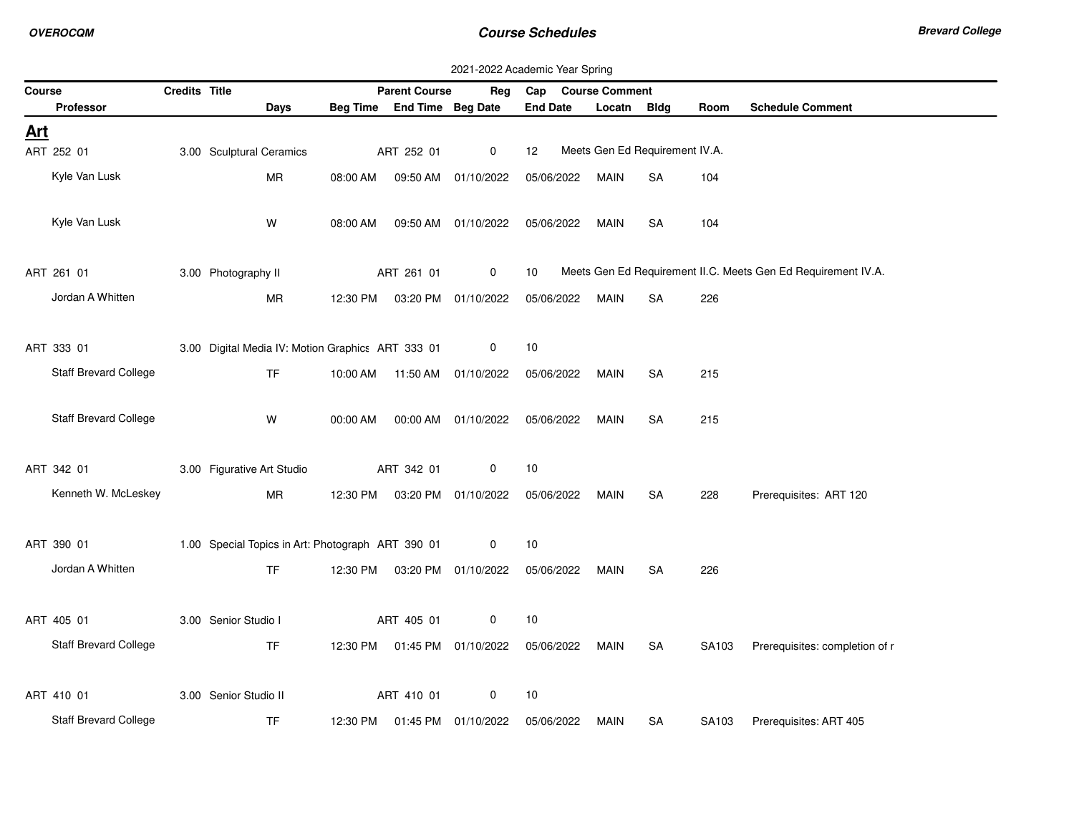|            | 2021-2022 Academic Year Spring |               |                                                   |          |                            |                                |                    |                                |           |       |                                                               |
|------------|--------------------------------|---------------|---------------------------------------------------|----------|----------------------------|--------------------------------|--------------------|--------------------------------|-----------|-------|---------------------------------------------------------------|
| Course     |                                | Credits Title |                                                   |          | <b>Parent Course</b>       | Reg                            | Cap Course Comment |                                |           |       |                                                               |
|            | Professor                      |               | <b>Days</b>                                       |          | Beg Time End Time Beg Date |                                | <b>End Date</b>    | Locatn                         | Bldg      | Room  | <b>Schedule Comment</b>                                       |
| <u>Art</u> |                                |               |                                                   |          |                            |                                |                    |                                |           |       |                                                               |
|            | ART 252 01                     |               | 3.00 Sculptural Ceramics                          |          | ART 252 01                 | $\mathbf{0}$                   | 12                 | Meets Gen Ed Requirement IV.A. |           |       |                                                               |
|            | Kyle Van Lusk                  |               | <b>MR</b>                                         | 08:00 AM |                            | 09:50 AM 01/10/2022            | 05/06/2022         | <b>MAIN</b>                    | <b>SA</b> | 104   |                                                               |
|            |                                |               |                                                   |          |                            |                                |                    |                                |           |       |                                                               |
|            | Kyle Van Lusk                  |               | W                                                 | 08:00 AM |                            | 09:50 AM 01/10/2022            | 05/06/2022         | <b>MAIN</b>                    | <b>SA</b> | 104   |                                                               |
|            |                                |               |                                                   |          |                            |                                |                    |                                |           |       |                                                               |
|            | ART 261 01                     |               | 3.00 Photography II                               |          | ART 261 01                 | 0                              | 10                 |                                |           |       | Meets Gen Ed Requirement II.C. Meets Gen Ed Requirement IV.A. |
|            | Jordan A Whitten               |               | MR                                                | 12:30 PM |                            | 03:20 PM 01/10/2022            | 05/06/2022         | <b>MAIN</b>                    | <b>SA</b> | 226   |                                                               |
|            |                                |               |                                                   |          |                            |                                |                    |                                |           |       |                                                               |
|            | ART 333 01                     |               | 3.00 Digital Media IV: Motion Graphics ART 333 01 |          |                            | 0                              | 10                 |                                |           |       |                                                               |
|            | Staff Brevard College          |               | <b>TF</b>                                         | 10:00 AM |                            | 11:50 AM  01/10/2022           | 05/06/2022         | MAIN                           | <b>SA</b> | 215   |                                                               |
|            |                                |               |                                                   |          |                            |                                |                    |                                |           |       |                                                               |
|            | <b>Staff Brevard College</b>   |               | W                                                 | 00:00 AM |                            | 00:00 AM 01/10/2022            | 05/06/2022         | <b>MAIN</b>                    | <b>SA</b> | 215   |                                                               |
|            |                                |               |                                                   |          |                            |                                |                    |                                |           |       |                                                               |
|            | ART 342 01                     |               | 3.00 Figurative Art Studio                        |          | ART 342 01                 | 0                              | 10                 |                                |           |       |                                                               |
|            | Kenneth W. McLeskey            |               | <b>MR</b>                                         |          |                            |                                |                    |                                |           |       |                                                               |
|            |                                |               |                                                   | 12:30 PM |                            | 03:20 PM 01/10/2022            | 05/06/2022         | MAIN                           | SA        | 228   | Prerequisites: ART 120                                        |
|            |                                |               |                                                   |          |                            |                                |                    |                                |           |       |                                                               |
|            | ART 390 01                     |               | 1.00 Special Topics in Art: Photograph ART 390 01 |          |                            | 0                              | 10                 |                                |           |       |                                                               |
|            | Jordan A Whitten               |               | <b>TF</b>                                         | 12:30 PM |                            | 03:20 PM 01/10/2022            | 05/06/2022         | MAIN                           | <b>SA</b> | 226   |                                                               |
|            |                                |               |                                                   |          |                            |                                |                    |                                |           |       |                                                               |
|            | ART 405 01                     |               | 3.00 Senior Studio I                              |          | ART 405 01                 | 0                              | $10$               |                                |           |       |                                                               |
|            | Staff Brevard College          |               | <b>TF</b>                                         |          |                            | 12:30 PM  01:45 PM  01/10/2022 | 05/06/2022         | MAIN                           | SA        | SA103 | Prerequisites: completion of r                                |
|            |                                |               |                                                   |          |                            |                                |                    |                                |           |       |                                                               |
|            | ART 410 01                     |               | 3.00 Senior Studio II                             |          | ART 410 01                 | 0                              | 10                 |                                |           |       |                                                               |
|            | <b>Staff Brevard College</b>   |               | <b>TF</b>                                         | 12:30 PM |                            | 01:45 PM 01/10/2022            | 05/06/2022         | MAIN                           | SA        | SA103 | Prerequisites: ART 405                                        |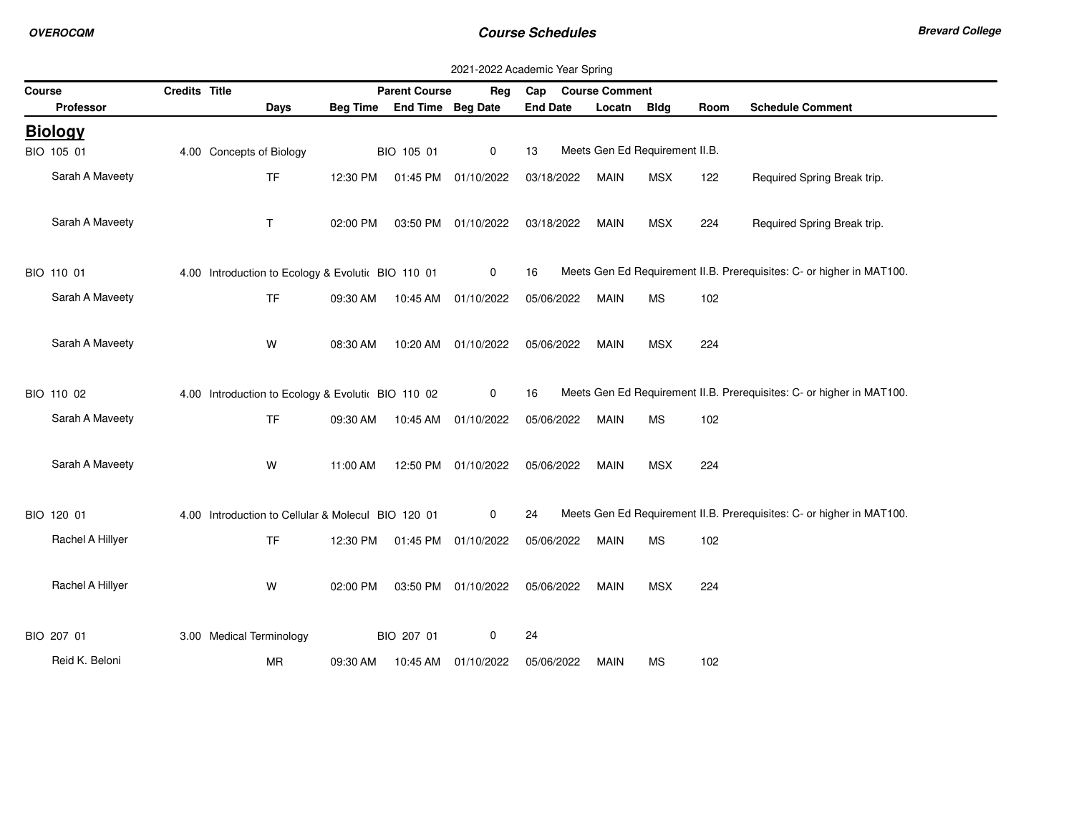|        | 2021-2022 Academic Year Spring |               |                                                    |                 |                      |                     |                 |                                |             |      |                                                                       |  |
|--------|--------------------------------|---------------|----------------------------------------------------|-----------------|----------------------|---------------------|-----------------|--------------------------------|-------------|------|-----------------------------------------------------------------------|--|
| Course |                                | Credits Title |                                                    |                 | <b>Parent Course</b> | Reg                 | Cap             | <b>Course Comment</b>          |             |      |                                                                       |  |
|        | <b>Professor</b>               |               | Days                                               | <b>Beg Time</b> | End Time Beg Date    |                     | <b>End Date</b> | Locatn                         | <b>Bldg</b> | Room | <b>Schedule Comment</b>                                               |  |
|        | <b>Biology</b>                 |               |                                                    |                 |                      |                     |                 |                                |             |      |                                                                       |  |
|        | BIO 105 01                     |               | 4.00 Concepts of Biology                           |                 | BIO 105 01           | $\mathbf 0$         | 13              | Meets Gen Ed Requirement II.B. |             |      |                                                                       |  |
|        | Sarah A Maveety                |               | <b>TF</b>                                          | 12:30 PM        |                      | 01:45 PM 01/10/2022 | 03/18/2022      | <b>MAIN</b>                    | <b>MSX</b>  | 122  | Required Spring Break trip.                                           |  |
|        | Sarah A Maveety                |               | T.                                                 | 02:00 PM        |                      | 03:50 PM 01/10/2022 | 03/18/2022      | <b>MAIN</b>                    | <b>MSX</b>  | 224  | Required Spring Break trip.                                           |  |
|        | BIO 110 01                     |               | 4.00 Introduction to Ecology & Evolutic BIO 110 01 |                 |                      | 0                   | 16              |                                |             |      | Meets Gen Ed Requirement II.B. Prerequisites: C- or higher in MAT100. |  |
|        | Sarah A Maveety                |               | <b>TF</b>                                          | 09:30 AM        |                      | 10:45 AM 01/10/2022 | 05/06/2022      | <b>MAIN</b>                    | <b>MS</b>   | 102  |                                                                       |  |
|        | Sarah A Maveety                |               | W                                                  | 08:30 AM        | 10:20 AM             | 01/10/2022          | 05/06/2022      | <b>MAIN</b>                    | <b>MSX</b>  | 224  |                                                                       |  |
|        | BIO 110 02                     |               | 4.00 Introduction to Ecology & Evolutic BIO 110 02 |                 |                      | $\mathbf 0$         | 16              |                                |             |      | Meets Gen Ed Requirement II.B. Prerequisites: C- or higher in MAT100. |  |
|        | Sarah A Maveety                |               | <b>TF</b>                                          | 09:30 AM        |                      | 10:45 AM 01/10/2022 | 05/06/2022      | <b>MAIN</b>                    | <b>MS</b>   | 102  |                                                                       |  |
|        | Sarah A Maveety                |               | W                                                  | 11:00 AM        |                      | 12:50 PM 01/10/2022 | 05/06/2022      | <b>MAIN</b>                    | <b>MSX</b>  | 224  |                                                                       |  |
|        | BIO 120 01                     |               | 4.00 Introduction to Cellular & Molecul BIO 120 01 |                 |                      | $\mathbf 0$         | 24              |                                |             |      | Meets Gen Ed Requirement II.B. Prerequisites: C- or higher in MAT100. |  |
|        | Rachel A Hillyer               |               | <b>TF</b>                                          | 12:30 PM        |                      | 01:45 PM 01/10/2022 | 05/06/2022      | <b>MAIN</b>                    | <b>MS</b>   | 102  |                                                                       |  |
|        | Rachel A Hillyer               |               | W                                                  | 02:00 PM        |                      | 03:50 PM 01/10/2022 | 05/06/2022      | <b>MAIN</b>                    | <b>MSX</b>  | 224  |                                                                       |  |
|        | BIO 207 01                     |               | 3.00 Medical Terminology                           |                 | BIO 207 01           | 0                   | 24              |                                |             |      |                                                                       |  |
|        | Reid K. Beloni                 |               | MR                                                 | 09:30 AM        | 10:45 AM             | 01/10/2022          | 05/06/2022      | <b>MAIN</b>                    | <b>MS</b>   | 102  |                                                                       |  |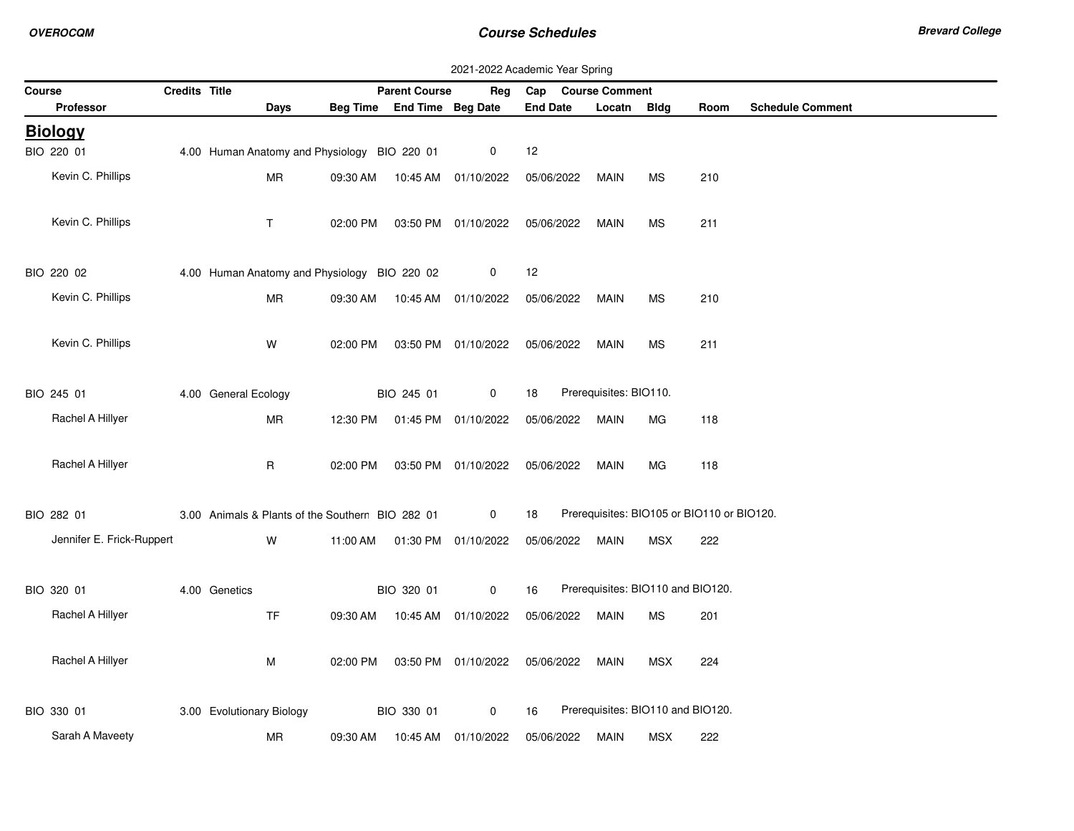| 2021-2022 Academic Year Spring |               |                                                  |          |                            |                                |                    |                                   |            |                                            |  |  |
|--------------------------------|---------------|--------------------------------------------------|----------|----------------------------|--------------------------------|--------------------|-----------------------------------|------------|--------------------------------------------|--|--|
| Course                         | Credits Title |                                                  |          | <b>Parent Course</b>       | Reg                            | Cap Course Comment |                                   |            |                                            |  |  |
| Professor                      |               | Days                                             |          | Beg Time End Time Beg Date |                                | <b>End Date</b>    | Locatn Bldg                       |            | <b>Schedule Comment</b><br>Room            |  |  |
| <b>Biology</b>                 |               |                                                  |          |                            |                                |                    |                                   |            |                                            |  |  |
| BIO 220 01                     |               | 4.00 Human Anatomy and Physiology BIO 220 01     |          |                            | 0                              | 12                 |                                   |            |                                            |  |  |
| Kevin C. Phillips              |               | <b>MR</b>                                        | 09:30 AM |                            | 10:45 AM  01/10/2022           | 05/06/2022         | MAIN                              | МS         | 210                                        |  |  |
| Kevin C. Phillips              |               | $\mathsf{T}$                                     | 02:00 PM |                            | 03:50 PM 01/10/2022            | 05/06/2022         | <b>MAIN</b>                       | <b>MS</b>  | 211                                        |  |  |
| BIO 220 02                     |               | 4.00 Human Anatomy and Physiology BIO 220 02     |          |                            | $\mathbf 0$                    | 12                 |                                   |            |                                            |  |  |
| Kevin C. Phillips              |               | <b>MR</b>                                        |          |                            | 09:30 AM  10:45 AM  01/10/2022 | 05/06/2022         | <b>MAIN</b>                       | <b>MS</b>  | 210                                        |  |  |
| Kevin C. Phillips              |               | W                                                |          |                            | 02:00 PM  03:50 PM  01/10/2022 | 05/06/2022         | <b>MAIN</b>                       | <b>MS</b>  | 211                                        |  |  |
| BIO 245 01                     |               | 4.00 General Ecology                             |          | BIO 245 01                 | $\mathbf 0$                    | 18                 | Prerequisites: BIO110.            |            |                                            |  |  |
| Rachel A Hillyer               |               | MR                                               |          |                            | 12:30 PM  01:45 PM  01/10/2022 | 05/06/2022         | <b>MAIN</b>                       | MG         | 118                                        |  |  |
| Rachel A Hillyer               |               | $\mathsf{R}$                                     |          |                            | 02:00 PM  03:50 PM  01/10/2022 | 05/06/2022         | <b>MAIN</b>                       | MG         | 118                                        |  |  |
| BIO 282 01                     |               | 3.00 Animals & Plants of the Southerr BIO 282 01 |          |                            | $\mathbf 0$                    | 18                 |                                   |            | Prerequisites: BIO105 or BIO110 or BIO120. |  |  |
| Jennifer E. Frick-Ruppert      |               | W                                                |          |                            | 11:00 AM  01:30 PM  01/10/2022 | 05/06/2022         | MAIN                              | MSX        | 222                                        |  |  |
| BIO 320 01                     |               | 4.00 Genetics                                    |          | BIO 320 01                 | $\mathbf{0}$                   | 16                 | Prerequisites: BIO110 and BIO120. |            |                                            |  |  |
| Rachel A Hillyer               |               | <b>TF</b>                                        |          |                            | 09:30 AM  10:45 AM  01/10/2022 | 05/06/2022         | <b>MAIN</b>                       | <b>MS</b>  | 201                                        |  |  |
| Rachel A Hillyer               |               | М                                                | 02:00 PM |                            | 03:50 PM 01/10/2022            | 05/06/2022         | MAIN                              | <b>MSX</b> | 224                                        |  |  |
| BIO 330 01                     |               | 3.00 Evolutionary Biology                        |          | BIO 330 01                 | 0                              | 16                 | Prerequisites: BIO110 and BIO120. |            |                                            |  |  |
| Sarah A Maveety                |               | MR                                               |          |                            | 09:30 AM  10:45 AM  01/10/2022 | 05/06/2022         | MAIN                              | <b>MSX</b> | 222                                        |  |  |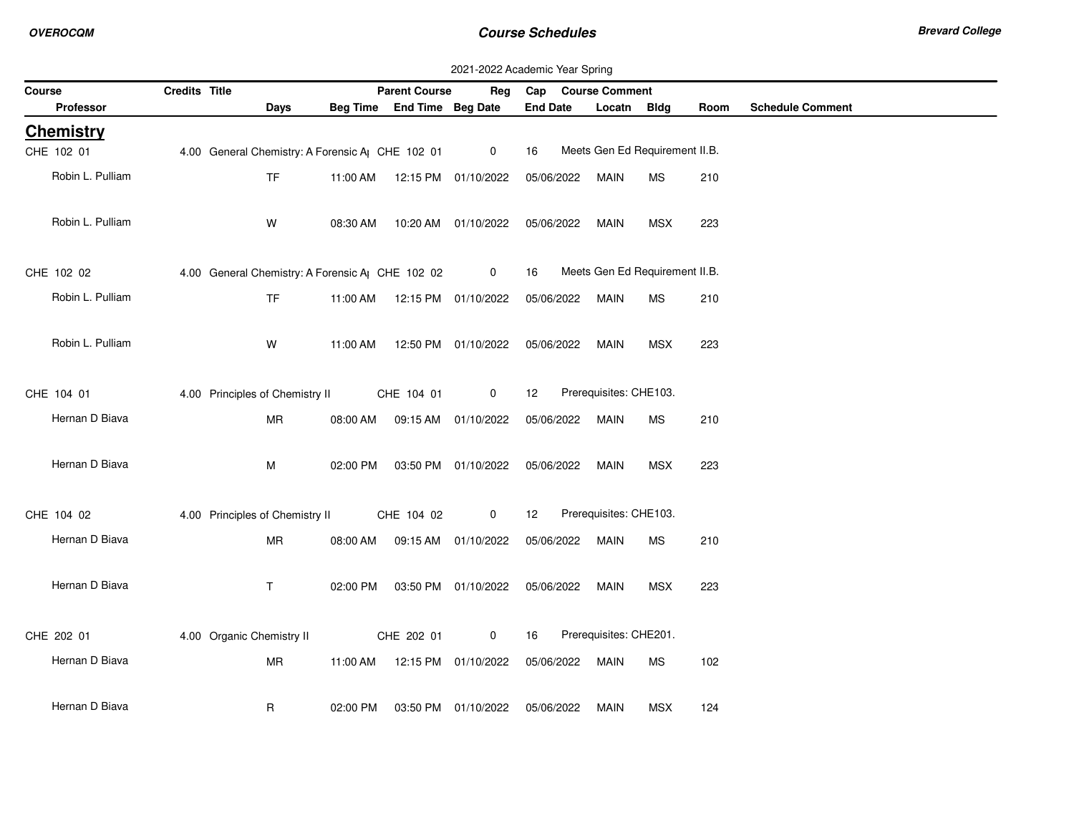| 2021-2022 Academic Year Spring |               |                                                              |          |                                |                                            |                    |                                |            |      |                         |
|--------------------------------|---------------|--------------------------------------------------------------|----------|--------------------------------|--------------------------------------------|--------------------|--------------------------------|------------|------|-------------------------|
| Course                         | Credits Title |                                                              |          | <b>Parent Course</b>           | Reg                                        | Cap Course Comment |                                |            |      |                         |
| <b>Professor</b>               |               | Days                                                         |          | Beg Time End Time Beg Date     |                                            | <b>End Date</b>    | Locatn Bldg                    |            | Room | <b>Schedule Comment</b> |
| <b>Chemistry</b>               |               |                                                              |          |                                |                                            |                    |                                |            |      |                         |
| CHE 102 01                     |               | 4.00 General Chemistry: A Forensic A <sub>l</sub> CHE 102 01 |          |                                | $\overline{0}$                             | 16                 | Meets Gen Ed Requirement II.B. |            |      |                         |
| Robin L. Pulliam               |               | <b>TF</b>                                                    | 11:00 AM |                                | 12:15 PM 01/10/2022                        | 05/06/2022         | <b>MAIN</b>                    | <b>MS</b>  | 210  |                         |
| Robin L. Pulliam               |               | W                                                            | 08:30 AM |                                | 10:20 AM 01/10/2022                        | 05/06/2022         | <b>MAIN</b>                    | <b>MSX</b> | 223  |                         |
| CHE 102 02                     |               | 4.00 General Chemistry: A Forensic A CHE 102 02              |          |                                | $\mathbf{0}$                               | 16                 | Meets Gen Ed Requirement II.B. |            |      |                         |
| Robin L. Pulliam               |               | <b>TF</b>                                                    |          | 11:00 AM  12:15 PM  01/10/2022 |                                            | 05/06/2022         | MAIN                           | <b>MS</b>  | 210  |                         |
| Robin L. Pulliam               |               | W                                                            | 11:00 AM |                                | 12:50 PM 01/10/2022                        | 05/06/2022         | <b>MAIN</b>                    | <b>MSX</b> | 223  |                         |
| CHE 104 01                     |               | 4.00 Principles of Chemistry II                              |          | CHE 104 01                     | 0                                          | 12                 | Prerequisites: CHE103.         |            |      |                         |
| Hernan D Biava                 |               | MR                                                           | 08:00 AM |                                | 09:15 AM  01/10/2022                       | 05/06/2022         | <b>MAIN</b>                    | <b>MS</b>  | 210  |                         |
| Hernan D Biava                 |               | M                                                            |          |                                | 02:00 PM  03:50 PM  01/10/2022  05/06/2022 |                    | MAIN                           | MSX        | 223  |                         |
| CHE 104 02                     |               | 4.00 Principles of Chemistry II                              |          | CHE 104 02                     | $\mathbf 0$                                | 12                 | Prerequisites: CHE103.         |            |      |                         |
| Hernan D Biava                 |               | <b>MR</b>                                                    | 08:00 AM |                                | 09:15 AM 01/10/2022                        | 05/06/2022         | MAIN                           | <b>MS</b>  | 210  |                         |
| Hernan D Biava                 |               | $\mathsf{T}$                                                 |          |                                | 02:00 PM  03:50 PM  01/10/2022  05/06/2022 |                    | MAIN                           | <b>MSX</b> | 223  |                         |
| CHE 202 01                     |               | 4.00 Organic Chemistry II                                    |          | CHE 202 01                     | 0                                          | 16                 | Prerequisites: CHE201.         |            |      |                         |
| Hernan D Biava                 |               | <b>MR</b>                                                    |          | 11:00 AM  12:15 PM  01/10/2022 |                                            | 05/06/2022         | MAIN                           | MS         | 102  |                         |
| Hernan D Biava                 |               | R                                                            | 02:00 PM |                                | 03:50 PM 01/10/2022                        | 05/06/2022         | <b>MAIN</b>                    | <b>MSX</b> | 124  |                         |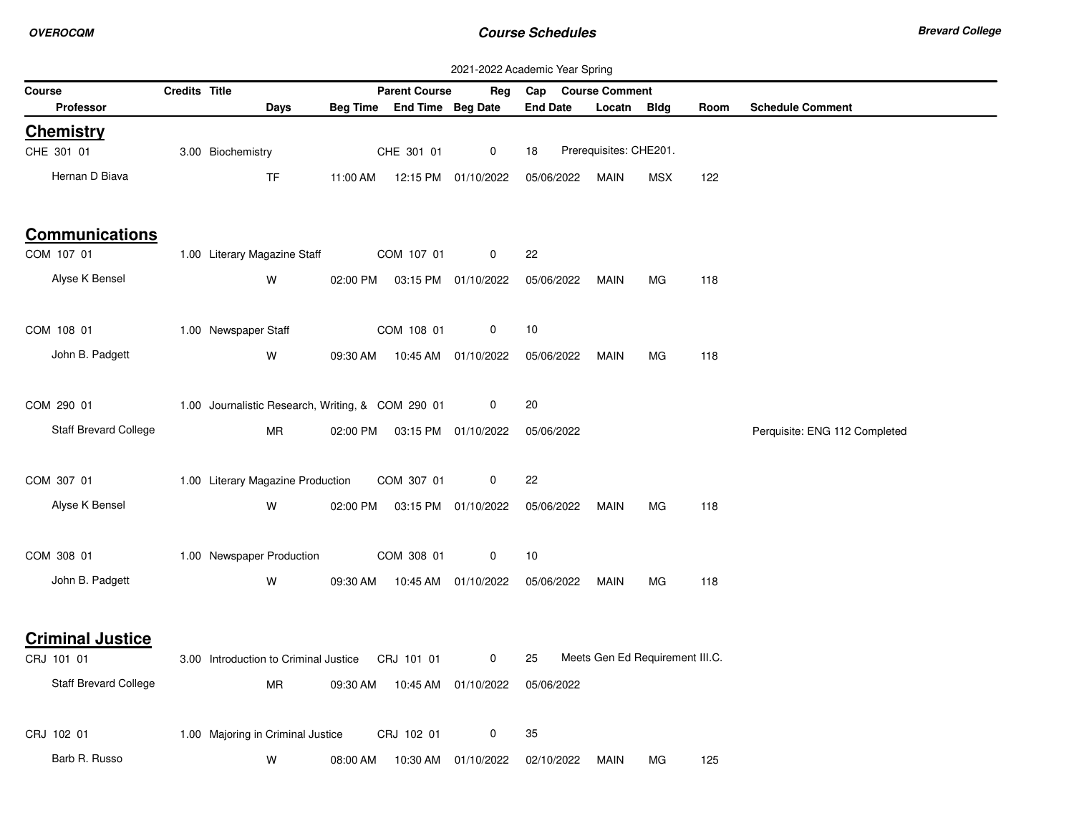|                                     |               |                                                   |          |                            |                     | 2021-2022 Academic Year Spring |                                 |            |      |                               |
|-------------------------------------|---------------|---------------------------------------------------|----------|----------------------------|---------------------|--------------------------------|---------------------------------|------------|------|-------------------------------|
| <b>Course</b>                       | Credits Title |                                                   |          | <b>Parent Course</b>       | Reg                 | Cap                            | <b>Course Comment</b>           |            |      |                               |
| Professor                           |               | Days                                              |          | Beg Time End Time Beg Date |                     | <b>End Date</b>                | Locatn                          | Bldg       | Room | <b>Schedule Comment</b>       |
| <b>Chemistry</b>                    |               |                                                   |          |                            |                     |                                |                                 |            |      |                               |
| CHE 301 01                          |               | 3.00 Biochemistry                                 |          | CHE 301 01                 | 0                   | 18                             | Prerequisites: CHE201.          |            |      |                               |
| Hernan D Biava                      |               | <b>TF</b>                                         | 11:00 AM |                            | 12:15 PM 01/10/2022 | 05/06/2022                     | <b>MAIN</b>                     | <b>MSX</b> | 122  |                               |
|                                     |               |                                                   |          |                            |                     |                                |                                 |            |      |                               |
| <b>Communications</b><br>COM 107 01 |               | 1.00 Literary Magazine Staff                      |          | COM 107 01                 | 0                   | 22                             |                                 |            |      |                               |
|                                     |               |                                                   |          |                            |                     |                                |                                 |            |      |                               |
| Alyse K Bensel                      |               | W                                                 | 02:00 PM |                            | 03:15 PM 01/10/2022 | 05/06/2022                     | MAIN                            | MG         | 118  |                               |
|                                     |               |                                                   |          |                            |                     |                                |                                 |            |      |                               |
| COM 108 01                          |               | 1.00 Newspaper Staff                              |          | COM 108 01                 | 0                   | 10                             |                                 |            |      |                               |
| John B. Padgett                     |               | W                                                 | 09:30 AM |                            | 10:45 AM 01/10/2022 | 05/06/2022                     | MAIN                            | <b>MG</b>  | 118  |                               |
|                                     |               |                                                   |          |                            |                     |                                |                                 |            |      |                               |
| COM 290 01                          |               | 1.00 Journalistic Research, Writing, & COM 290 01 |          |                            | 0                   | 20                             |                                 |            |      |                               |
| Staff Brevard College               |               | <b>MR</b>                                         | 02:00 PM |                            | 03:15 PM 01/10/2022 | 05/06/2022                     |                                 |            |      | Perquisite: ENG 112 Completed |
|                                     |               |                                                   |          |                            |                     |                                |                                 |            |      |                               |
|                                     |               |                                                   |          |                            |                     |                                |                                 |            |      |                               |
| COM 307 01                          |               | 1.00 Literary Magazine Production                 |          | COM 307 01                 | 0                   | 22                             |                                 |            |      |                               |
| Alyse K Bensel                      |               | W                                                 | 02:00 PM |                            | 03:15 PM 01/10/2022 | 05/06/2022                     | MAIN                            | MG         | 118  |                               |
|                                     |               |                                                   |          |                            |                     |                                |                                 |            |      |                               |
| COM 308 01                          |               | 1.00 Newspaper Production                         |          | COM 308 01                 | 0                   | 10                             |                                 |            |      |                               |
| John B. Padgett                     |               | W                                                 | 09:30 AM |                            | 10:45 AM 01/10/2022 | 05/06/2022                     | MAIN                            | МG         | 118  |                               |
|                                     |               |                                                   |          |                            |                     |                                |                                 |            |      |                               |
|                                     |               |                                                   |          |                            |                     |                                |                                 |            |      |                               |
| <b>Criminal Justice</b>             |               |                                                   |          |                            |                     |                                |                                 |            |      |                               |
| CRJ 101 01                          |               | 3.00 Introduction to Criminal Justice             |          | CRJ 101 01                 | $\mathbf 0$         | 25                             | Meets Gen Ed Requirement III.C. |            |      |                               |
| Staff Brevard College               |               | MR                                                | 09:30 AM | 10:45 AM                   | 01/10/2022          | 05/06/2022                     |                                 |            |      |                               |
|                                     |               |                                                   |          |                            |                     |                                |                                 |            |      |                               |
| CRJ 102 01                          |               | 1.00 Majoring in Criminal Justice                 |          | CRJ 102 01                 | 0                   | 35                             |                                 |            |      |                               |
| Barb R. Russo                       |               | W                                                 | 08:00 AM | 10:30 AM                   | 01/10/2022          | 02/10/2022                     | MAIN                            | МG         | 125  |                               |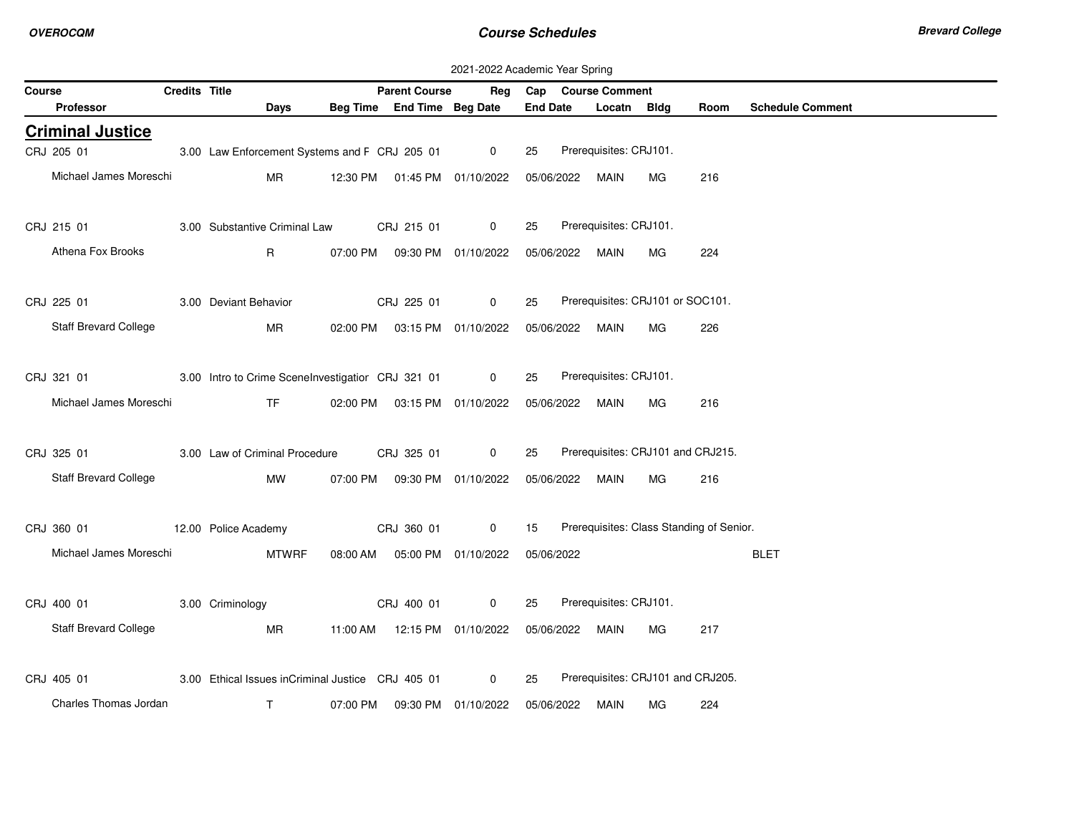|        | 2021-2022 Academic Year Spring |               |                                                   |          |                                  |                     |                 |            |                                  |    |                                          |                         |
|--------|--------------------------------|---------------|---------------------------------------------------|----------|----------------------------------|---------------------|-----------------|------------|----------------------------------|----|------------------------------------------|-------------------------|
| Course |                                | Credits Title |                                                   |          | <b>Parent Course</b>             |                     |                 |            | Reg Cap Course Comment           |    |                                          |                         |
|        | Professor                      |               | Days                                              |          | Beg Time End Time Beg Date       |                     | <b>End Date</b> |            | Locatn Bldg                      |    | Room                                     | <b>Schedule Comment</b> |
|        | <b>Criminal Justice</b>        |               |                                                   |          |                                  |                     |                 |            |                                  |    |                                          |                         |
|        | CRJ 205 01                     |               | 3.00 Law Enforcement Systems and F CRJ 205 01     |          |                                  | $\overline{0}$      | 25              |            | Prerequisites: CRJ101.           |    |                                          |                         |
|        | Michael James Moreschi         |               | <b>MR</b>                                         |          | 12:30 PM  01:45 PM  01/10/2022   |                     |                 | 05/06/2022 | MAIN                             | МG | 216                                      |                         |
|        |                                |               |                                                   |          |                                  |                     |                 |            |                                  |    |                                          |                         |
|        | CRJ 215 01                     |               | 3.00 Substantive Criminal Law                     |          | CRJ 215 01                       | $\mathbf 0$         | 25              |            | Prerequisites: CRJ101.           |    |                                          |                         |
|        | Athena Fox Brooks              |               | $\mathsf{R}$                                      |          | 07:00 PM  09:30 PM  01/10/2022   |                     |                 |            | 05/06/2022 MAIN                  | MG | 224                                      |                         |
|        |                                |               |                                                   |          |                                  |                     |                 |            |                                  |    |                                          |                         |
|        | CRJ 225 01                     |               | 3.00 Deviant Behavior                             |          | CRJ 225 01                       | $\mathbf 0$         | 25              |            | Prerequisites: CRJ101 or SOC101. |    |                                          |                         |
|        |                                |               |                                                   |          |                                  |                     |                 |            |                                  |    |                                          |                         |
|        | <b>Staff Brevard College</b>   |               | <b>MR</b>                                         |          | 02:00 PM  03:15 PM  01/10/2022   |                     |                 | 05/06/2022 | MAIN                             | МG | 226                                      |                         |
|        |                                |               |                                                   |          |                                  |                     |                 |            |                                  |    |                                          |                         |
|        | CRJ 321 01                     |               | 3.00 Intro to Crime SceneInvestigatior CRJ 321 01 |          |                                  | $\overline{0}$      | 25              |            | Prerequisites: CRJ101.           |    |                                          |                         |
|        | Michael James Moreschi         |               | <b>TF</b>                                         |          | 02:00 PM  03:15 PM  01/10/2022   |                     |                 |            | 05/06/2022 MAIN                  | MG | 216                                      |                         |
|        |                                |               |                                                   |          |                                  |                     |                 |            |                                  |    |                                          |                         |
|        | CRJ 325 01                     |               | 3.00 Law of Criminal Procedure                    |          | CRJ 325 01                       | $\mathbf 0$         | 25              |            |                                  |    | Prerequisites: CRJ101 and CRJ215.        |                         |
|        | <b>Staff Brevard College</b>   |               | МW                                                |          | 07:00 PM   09:30 PM   01/10/2022 |                     |                 |            | 05/06/2022 MAIN                  | MG | 216                                      |                         |
|        |                                |               |                                                   |          |                                  |                     |                 |            |                                  |    |                                          |                         |
|        | CRJ 360 01                     |               | 12.00 Police Academy                              |          | CRJ 360 01                       | $\mathbf 0$         | 15              |            |                                  |    | Prerequisites: Class Standing of Senior. |                         |
|        | Michael James Moreschi         |               | <b>MTWRF</b>                                      |          | 08:00 AM  05:00 PM  01/10/2022   |                     |                 | 05/06/2022 |                                  |    |                                          | <b>BLET</b>             |
|        |                                |               |                                                   |          |                                  |                     |                 |            |                                  |    |                                          |                         |
|        | CRJ 400 01                     |               | 3.00 Criminology                                  |          | CRJ 400 01                       | $\mathbf 0$         | 25              |            | Prerequisites: CRJ101.           |    |                                          |                         |
|        |                                |               |                                                   |          |                                  |                     |                 |            |                                  |    |                                          |                         |
|        | Staff Brevard College          |               | MR                                                |          | 11:00 AM  12:15 PM  01/10/2022   |                     |                 |            | 05/06/2022 MAIN                  | MG | 217                                      |                         |
|        |                                |               |                                                   |          |                                  |                     |                 |            |                                  |    |                                          |                         |
|        | CRJ 405 01                     |               | 3.00 Ethical Issues inCriminal Justice CRJ 405 01 |          |                                  | $\overline{0}$      | 25              |            |                                  |    | Prerequisites: CRJ101 and CRJ205.        |                         |
|        | Charles Thomas Jordan          |               | T                                                 | 07:00 PM |                                  | 09:30 PM 01/10/2022 |                 | 05/06/2022 | MAIN                             | МG | 224                                      |                         |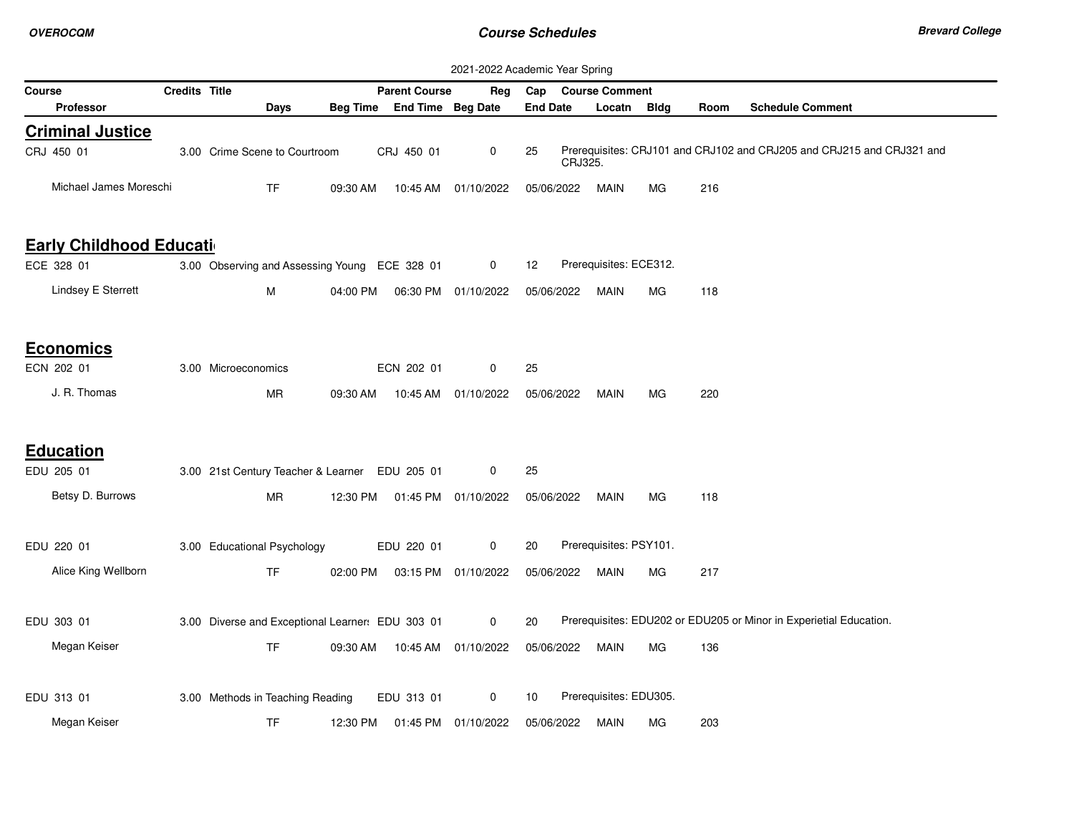| 2021-2022 Academic Year Spring   |                      |                                                  |          |                            |                      |                 |                        |             |      |                                                                       |
|----------------------------------|----------------------|--------------------------------------------------|----------|----------------------------|----------------------|-----------------|------------------------|-------------|------|-----------------------------------------------------------------------|
| <b>Course</b>                    | <b>Credits Title</b> |                                                  |          | <b>Parent Course</b>       | Reg                  |                 | Cap Course Comment     |             |      |                                                                       |
| <b>Professor</b>                 |                      | Days                                             |          | Beg Time End Time Beg Date |                      | <b>End Date</b> | Locatn                 | <b>Bldg</b> | Room | <b>Schedule Comment</b>                                               |
| <b>Criminal Justice</b>          |                      |                                                  |          |                            |                      |                 |                        |             |      |                                                                       |
| CRJ 450 01                       |                      | 3.00 Crime Scene to Courtroom                    |          | CRJ 450 01                 | $\mathbf 0$          | 25              | CRJ325.                |             |      | Prerequisites: CRJ101 and CRJ102 and CRJ205 and CRJ215 and CRJ321 and |
| Michael James Moreschi           |                      | <b>TF</b>                                        | 09:30 AM | 10:45 AM                   | 01/10/2022           | 05/06/2022      | MAIN                   | МG          | 216  |                                                                       |
| <b>Early Childhood Education</b> |                      |                                                  |          |                            |                      |                 |                        |             |      |                                                                       |
| ECE 328 01                       |                      | 3.00 Observing and Assessing Young ECE 328 01    |          |                            | $\mathbf 0$          | 12              | Prerequisites: ECE312. |             |      |                                                                       |
| Lindsey E Sterrett               |                      | M                                                | 04:00 PM |                            | 06:30 PM 01/10/2022  | 05/06/2022      | MAIN                   | MG.         | 118  |                                                                       |
| <b>Economics</b>                 |                      |                                                  |          |                            |                      |                 |                        |             |      |                                                                       |
| ECN 202 01                       |                      | 3.00 Microeconomics                              |          | ECN 202 01                 | $\mathbf 0$          | 25              |                        |             |      |                                                                       |
| J. R. Thomas                     |                      | МR                                               | 09:30 AM |                            | 10:45 AM 01/10/2022  | 05/06/2022      | MAIN                   | МG          | 220  |                                                                       |
| <b>Education</b>                 |                      |                                                  |          |                            |                      |                 |                        |             |      |                                                                       |
| EDU 205 01                       |                      | 3.00 21st Century Teacher & Learner EDU 205 01   |          |                            | 0                    | 25              |                        |             |      |                                                                       |
| Betsy D. Burrows                 |                      | MR                                               | 12:30 PM |                            | 01:45 PM 01/10/2022  | 05/06/2022      | <b>MAIN</b>            | MG.         | 118  |                                                                       |
| EDU 220 01                       |                      | 3.00 Educational Psychology                      |          | EDU 220 01                 | 0                    | 20              | Prerequisites: PSY101. |             |      |                                                                       |
| Alice King Wellborn              |                      | <b>TF</b>                                        | 02:00 PM |                            | 03:15 PM 01/10/2022  | 05/06/2022      | MAIN                   | МG          | 217  |                                                                       |
| EDU 303 01                       |                      | 3.00 Diverse and Exceptional Learner: EDU 303 01 |          |                            | 0                    | 20              |                        |             |      | Prerequisites: EDU202 or EDU205 or Minor in Experietial Education.    |
| Megan Keiser                     |                      | <b>TF</b>                                        | 09:30 AM |                            | 10:45 AM  01/10/2022 | 05/06/2022      | MAIN                   | МG          | 136  |                                                                       |
| EDU 313 01                       |                      | 3.00 Methods in Teaching Reading                 |          | EDU 313 01                 | 0                    | 10              | Prerequisites: EDU305. |             |      |                                                                       |
| Megan Keiser                     |                      | <b>TF</b>                                        | 12:30 PM |                            | 01:45 PM 01/10/2022  | 05/06/2022      | <b>MAIN</b>            | MG.         | 203  |                                                                       |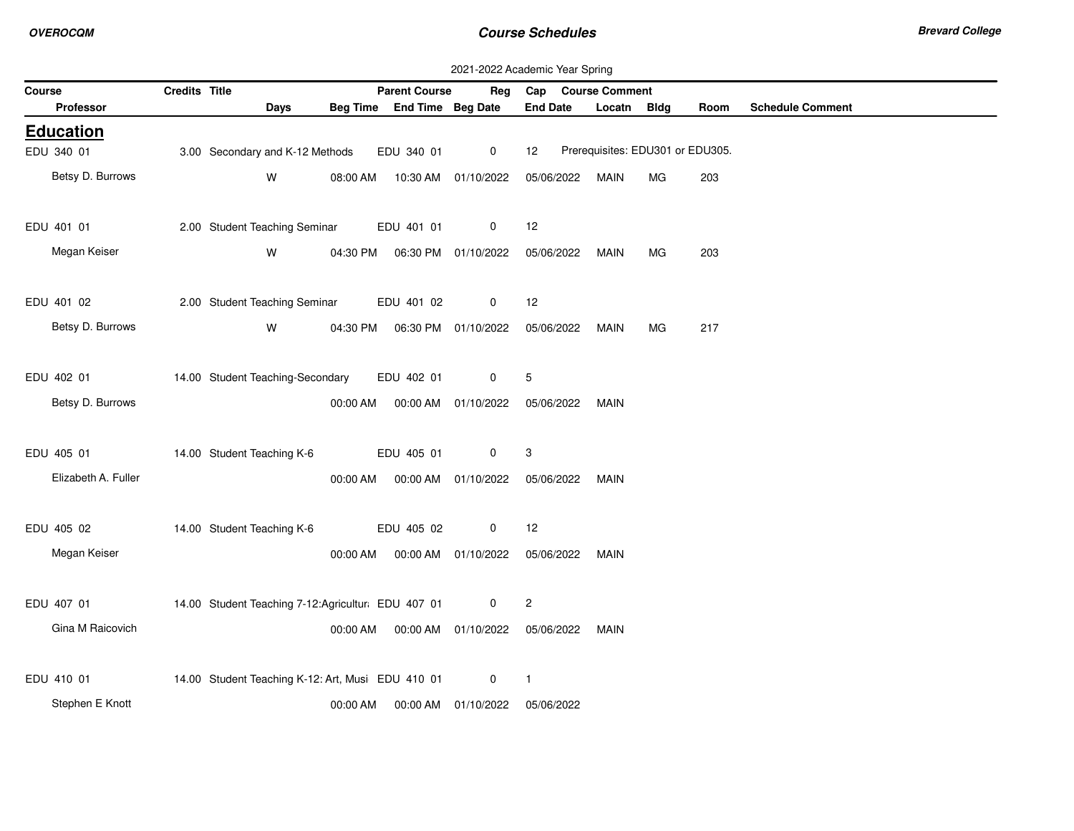**Contractor** 

|        | 2021-2022 Academic Year Spring |               |                                                   |          |                            |                                  |                    |                                  |     |      |                         |  |
|--------|--------------------------------|---------------|---------------------------------------------------|----------|----------------------------|----------------------------------|--------------------|----------------------------------|-----|------|-------------------------|--|
| Course |                                | Credits Title |                                                   |          | <b>Parent Course</b>       | Reg                              | Cap Course Comment |                                  |     |      |                         |  |
|        | Professor                      |               | Days                                              |          | Beg Time End Time Beg Date |                                  | <b>End Date</b>    | Locatn Bldg                      |     | Room | <b>Schedule Comment</b> |  |
|        | <b>Education</b>               |               |                                                   |          |                            |                                  |                    |                                  |     |      |                         |  |
|        | EDU 340 01                     |               | 3.00 Secondary and K-12 Methods                   |          | EDU 340 01                 | $\mathbf 0$                      | 12                 | Prerequisites: EDU301 or EDU305. |     |      |                         |  |
|        | Betsy D. Burrows               |               | W                                                 | 08:00 AM |                            | 10:30 AM 01/10/2022              | 05/06/2022         | <b>MAIN</b>                      | МG  | 203  |                         |  |
|        | EDU 401 01                     |               | 2.00 Student Teaching Seminar                     |          | EDU 401 01                 | 0                                | 12                 |                                  |     |      |                         |  |
|        | Megan Keiser                   |               | W                                                 |          |                            | 04:30 PM   06:30 PM   01/10/2022 | 05/06/2022         | MAIN                             | МG  | 203  |                         |  |
|        | EDU 401 02                     |               | 2.00 Student Teaching Seminar                     |          | EDU 401 02                 | 0                                | 12                 |                                  |     |      |                         |  |
|        | Betsy D. Burrows               |               | W                                                 | 04:30 PM |                            | 06:30 PM 01/10/2022              | 05/06/2022         | <b>MAIN</b>                      | MG. | 217  |                         |  |
|        | EDU 402 01                     |               | 14.00 Student Teaching-Secondary                  |          | EDU 402 01                 | 0                                | 5                  |                                  |     |      |                         |  |
|        | Betsy D. Burrows               |               |                                                   | 00:00 AM |                            | 00:00 AM 01/10/2022              | 05/06/2022         | MAIN                             |     |      |                         |  |
|        | EDU 405 01                     |               | 14.00 Student Teaching K-6                        |          | EDU 405 01                 | 0                                | 3                  |                                  |     |      |                         |  |
|        | Elizabeth A. Fuller            |               |                                                   | 00:00 AM | 00:00 AM                   | 01/10/2022                       | 05/06/2022         | MAIN                             |     |      |                         |  |
|        | EDU 405 02                     |               | 14.00 Student Teaching K-6                        |          | EDU 405 02                 | 0                                | 12                 |                                  |     |      |                         |  |
|        | Megan Keiser                   |               |                                                   | 00:00 AM |                            | 00:00 AM 01/10/2022              | 05/06/2022         | MAIN                             |     |      |                         |  |
|        | EDU 407 01                     |               | 14.00 Student Teaching 7-12:Agricultur EDU 407 01 |          |                            | 0                                | $\overline{c}$     |                                  |     |      |                         |  |
|        | Gina M Raicovich               |               |                                                   | 00:00 AM |                            | 00:00 AM 01/10/2022              | 05/06/2022         | MAIN                             |     |      |                         |  |
|        | EDU 410 01                     |               | 14.00 Student Teaching K-12: Art, Musi EDU 410 01 |          |                            | $\mathbf 0$                      | $\overline{1}$     |                                  |     |      |                         |  |
|        | Stephen E Knott                |               |                                                   | 00:00 AM | 00:00 AM                   | 01/10/2022                       | 05/06/2022         |                                  |     |      |                         |  |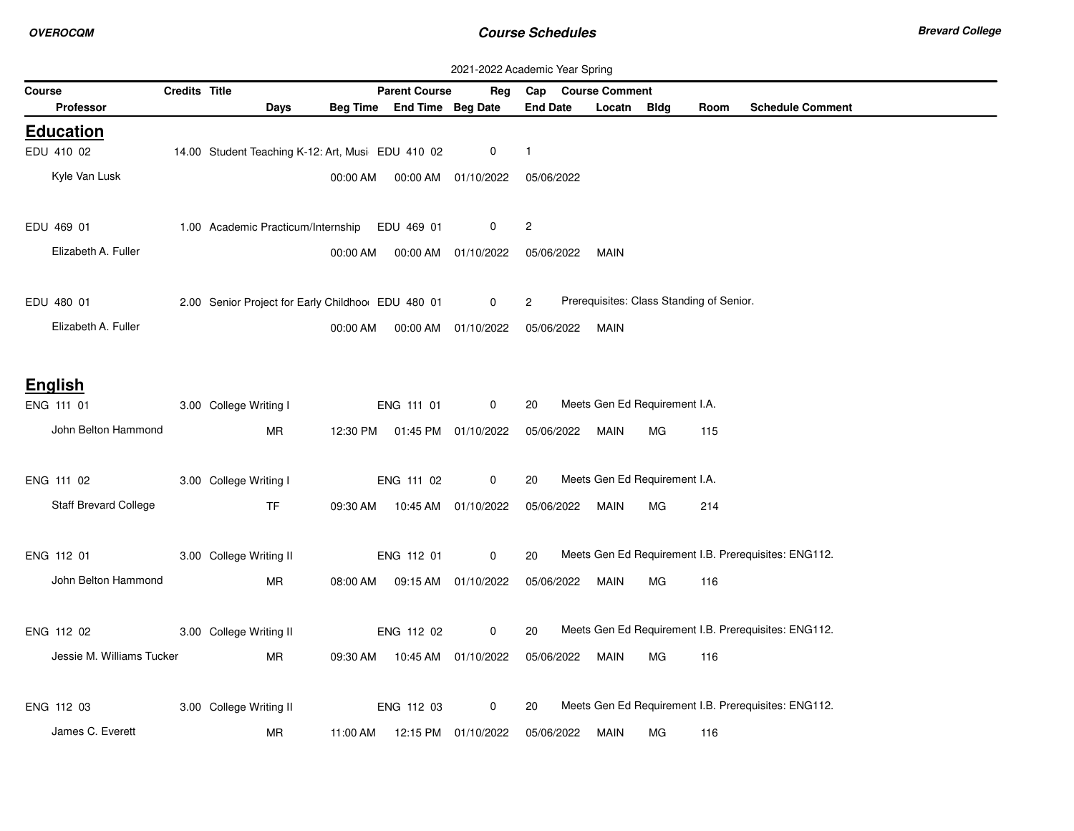| 2021-2022 Academic Year Spring |                              |               |                                                   |          |                                |                     |                 |            |                    |                               |                                          |                                                      |
|--------------------------------|------------------------------|---------------|---------------------------------------------------|----------|--------------------------------|---------------------|-----------------|------------|--------------------|-------------------------------|------------------------------------------|------------------------------------------------------|
| <b>Course</b>                  |                              | Credits Title |                                                   |          | <b>Parent Course</b>           | Reg                 |                 |            | Cap Course Comment |                               |                                          |                                                      |
| Professor                      |                              |               | Days                                              |          | Beg Time End Time Beg Date     |                     | <b>End Date</b> |            | Locatn             | <b>Bldg</b>                   | Room                                     | <b>Schedule Comment</b>                              |
| <b>Education</b>               |                              |               |                                                   |          |                                |                     |                 |            |                    |                               |                                          |                                                      |
| EDU 410 02                     |                              |               | 14.00 Student Teaching K-12: Art, Musi EDU 410 02 |          |                                | 0                   | $\overline{1}$  |            |                    |                               |                                          |                                                      |
| Kyle Van Lusk                  |                              |               |                                                   | 00:00 AM |                                | 00:00 AM 01/10/2022 |                 | 05/06/2022 |                    |                               |                                          |                                                      |
|                                |                              |               |                                                   |          |                                |                     |                 |            |                    |                               |                                          |                                                      |
| EDU 469 01                     |                              |               | 1.00 Academic Practicum/Internship EDU 469 01     |          |                                | 0                   | $\overline{c}$  |            |                    |                               |                                          |                                                      |
| Elizabeth A. Fuller            |                              |               |                                                   | 00:00 AM |                                | 00:00 AM 01/10/2022 |                 | 05/06/2022 | MAIN               |                               |                                          |                                                      |
|                                |                              |               |                                                   |          |                                |                     |                 |            |                    |                               |                                          |                                                      |
| EDU 480 01                     |                              |               | 2.00 Senior Project for Early Childhoo EDU 480 01 |          |                                | $\mathbf{0}$        | $\overline{2}$  |            |                    |                               | Prerequisites: Class Standing of Senior. |                                                      |
| Elizabeth A. Fuller            |                              |               |                                                   | 00:00 AM |                                | 00:00 AM 01/10/2022 |                 | 05/06/2022 | <b>MAIN</b>        |                               |                                          |                                                      |
|                                |                              |               |                                                   |          |                                |                     |                 |            |                    |                               |                                          |                                                      |
| <b>English</b>                 |                              |               |                                                   |          |                                |                     |                 |            |                    |                               |                                          |                                                      |
| ENG 111 01                     |                              |               | 3.00 College Writing I                            |          | ENG 111 01                     | $\mathbf 0$         | 20              |            |                    | Meets Gen Ed Requirement I.A. |                                          |                                                      |
|                                | John Belton Hammond          |               | MR                                                |          | 12:30 PM  01:45 PM  01/10/2022 |                     |                 | 05/06/2022 | MAIN               | <b>MG</b>                     | 115                                      |                                                      |
|                                |                              |               |                                                   |          |                                |                     |                 |            |                    |                               |                                          |                                                      |
| ENG 111 02                     |                              |               | 3.00 College Writing I                            |          | ENG 111 02                     | $\mathbf 0$         | 20              |            |                    | Meets Gen Ed Requirement I.A. |                                          |                                                      |
|                                | <b>Staff Brevard College</b> |               | <b>TF</b>                                         |          | 09:30 AM  10:45 AM  01/10/2022 |                     |                 | 05/06/2022 | MAIN               | MG.                           | 214                                      |                                                      |
|                                |                              |               |                                                   |          |                                |                     |                 |            |                    |                               |                                          |                                                      |
| ENG 112 01                     |                              |               | 3.00 College Writing II                           |          | ENG 112 01                     | 0                   | 20              |            |                    |                               |                                          | Meets Gen Ed Requirement I.B. Prerequisites: ENG112. |
|                                | John Belton Hammond          |               | <b>MR</b>                                         | 08:00 AM |                                | 09:15 AM 01/10/2022 |                 | 05/06/2022 | <b>MAIN</b>        | MG.                           | 116                                      |                                                      |
|                                |                              |               |                                                   |          |                                |                     |                 |            |                    |                               |                                          |                                                      |
| ENG 112 02                     |                              |               | 3.00 College Writing II                           |          | ENG 112 02                     | $\mathbf 0$         | 20              |            |                    |                               |                                          | Meets Gen Ed Requirement I.B. Prerequisites: ENG112. |
|                                | Jessie M. Williams Tucker    |               | MR                                                | 09:30 AM | 10:45 AM  01/10/2022           |                     |                 | 05/06/2022 | MAIN               | MG                            | 116                                      |                                                      |
|                                |                              |               |                                                   |          |                                |                     |                 |            |                    |                               |                                          |                                                      |
| ENG 112 03                     |                              |               | 3.00 College Writing II                           |          | ENG 112 03                     | 0                   | 20              |            |                    |                               |                                          | Meets Gen Ed Requirement I.B. Prerequisites: ENG112. |
| James C. Everett               |                              |               | MR                                                | 11:00 AM |                                | 12:15 PM 01/10/2022 |                 | 05/06/2022 | <b>MAIN</b>        | МG                            | 116                                      |                                                      |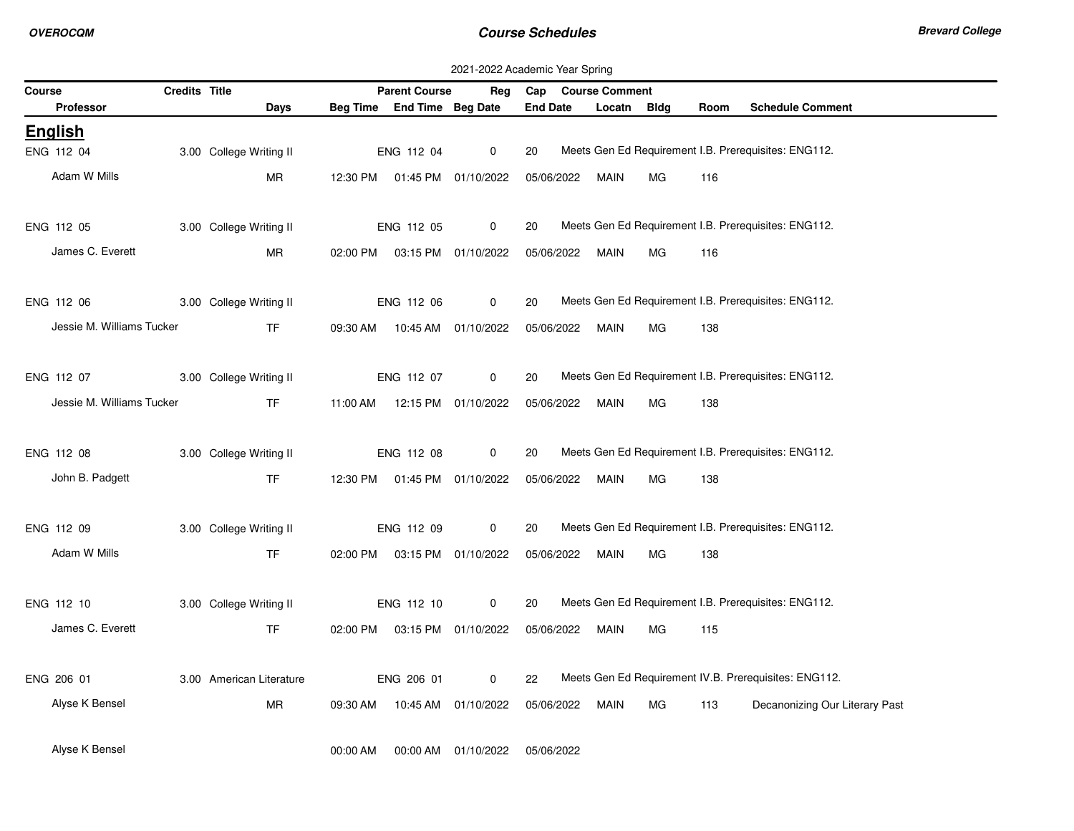|                           | 2021-2022 Academic Year Spring<br>Credits Title<br>Cap Course Comment |                          |          |                            |                                |                 |             |             |      |                                                       |  |  |
|---------------------------|-----------------------------------------------------------------------|--------------------------|----------|----------------------------|--------------------------------|-----------------|-------------|-------------|------|-------------------------------------------------------|--|--|
| Course                    |                                                                       |                          |          | <b>Parent Course</b>       | Reg                            |                 |             |             |      |                                                       |  |  |
| <b>Professor</b>          |                                                                       | Days                     |          | Beg Time End Time Beg Date |                                | <b>End Date</b> | Locatn      | <b>Bldg</b> | Room | <b>Schedule Comment</b>                               |  |  |
| <b>English</b>            |                                                                       |                          |          |                            |                                |                 |             |             |      |                                                       |  |  |
| ENG 112 04                |                                                                       | 3.00 College Writing II  |          | ENG 112 04                 | $\mathbf 0$                    | 20              |             |             |      | Meets Gen Ed Requirement I.B. Prerequisites: ENG112.  |  |  |
| Adam W Mills              |                                                                       | <b>MR</b>                |          |                            | 12:30 PM  01:45 PM  01/10/2022 | 05/06/2022      | <b>MAIN</b> | MG          | 116  |                                                       |  |  |
|                           |                                                                       |                          |          |                            |                                |                 |             |             |      |                                                       |  |  |
| ENG 112 05                |                                                                       | 3.00 College Writing II  |          | ENG 112 05                 | 0                              | 20              |             |             |      | Meets Gen Ed Requirement I.B. Prerequisites: ENG112.  |  |  |
| James C. Everett          |                                                                       | MR                       |          |                            | 02:00 PM  03:15 PM  01/10/2022 | 05/06/2022      | MAIN        | MG          | 116  |                                                       |  |  |
|                           |                                                                       |                          |          |                            |                                |                 |             |             |      | Meets Gen Ed Requirement I.B. Prerequisites: ENG112.  |  |  |
| ENG 112 06                |                                                                       | 3.00 College Writing II  |          | ENG 112 06                 | 0                              | 20              |             |             |      |                                                       |  |  |
| Jessie M. Williams Tucker |                                                                       | <b>TF</b>                |          |                            | 09:30 AM  10:45 AM  01/10/2022 | 05/06/2022      | <b>MAIN</b> | MG          | 138  |                                                       |  |  |
| ENG 112 07                |                                                                       | 3.00 College Writing II  |          | ENG 112 07                 | 0                              | 20              |             |             |      | Meets Gen Ed Requirement I.B. Prerequisites: ENG112.  |  |  |
| Jessie M. Williams Tucker |                                                                       | <b>TF</b>                |          |                            |                                |                 |             |             |      |                                                       |  |  |
|                           |                                                                       |                          |          |                            | 11:00 AM  12:15 PM  01/10/2022 | 05/06/2022      | MAIN        | MG          | 138  |                                                       |  |  |
| ENG 112 08                |                                                                       | 3.00 College Writing II  |          | ENG 112 08                 | $\mathbf 0$                    | 20              |             |             |      | Meets Gen Ed Requirement I.B. Prerequisites: ENG112.  |  |  |
| John B. Padgett           |                                                                       | <b>TF</b>                |          |                            | 12:30 PM  01:45 PM  01/10/2022 | 05/06/2022      | MAIN        | MG          | 138  |                                                       |  |  |
|                           |                                                                       |                          |          |                            |                                |                 |             |             |      |                                                       |  |  |
| ENG 112 09                |                                                                       | 3.00 College Writing II  |          | ENG 112 09                 | $\mathbf 0$                    | 20              |             |             |      | Meets Gen Ed Requirement I.B. Prerequisites: ENG112.  |  |  |
| Adam W Mills              |                                                                       | <b>TF</b>                |          |                            | 02:00 PM  03:15 PM  01/10/2022 | 05/06/2022      | <b>MAIN</b> | MG          | 138  |                                                       |  |  |
|                           |                                                                       |                          |          |                            |                                |                 |             |             |      |                                                       |  |  |
| ENG 112 10                |                                                                       | 3.00 College Writing II  |          | ENG 112 10                 | $\mathbf 0$                    | 20              |             |             |      | Meets Gen Ed Requirement I.B. Prerequisites: ENG112.  |  |  |
| James C. Everett          |                                                                       | <b>TF</b>                |          |                            | 02:00 PM  03:15 PM  01/10/2022 | 05/06/2022      | <b>MAIN</b> | MG          | 115  |                                                       |  |  |
|                           |                                                                       |                          |          |                            |                                |                 |             |             |      |                                                       |  |  |
| ENG 206 01                |                                                                       | 3.00 American Literature |          | ENG 206 01                 | $\mathbf 0$                    | 22              |             |             |      | Meets Gen Ed Requirement IV.B. Prerequisites: ENG112. |  |  |
| Alyse K Bensel            |                                                                       | MR                       | 09:30 AM |                            | 10:45 AM  01/10/2022           | 05/06/2022      | MAIN        | МG          | 113  | Decanonizing Our Literary Past                        |  |  |
|                           |                                                                       |                          |          |                            |                                |                 |             |             |      |                                                       |  |  |
| Alyse K Bensel            |                                                                       |                          | 00:00 AM | 00:00 AM                   | 01/10/2022                     | 05/06/2022      |             |             |      |                                                       |  |  |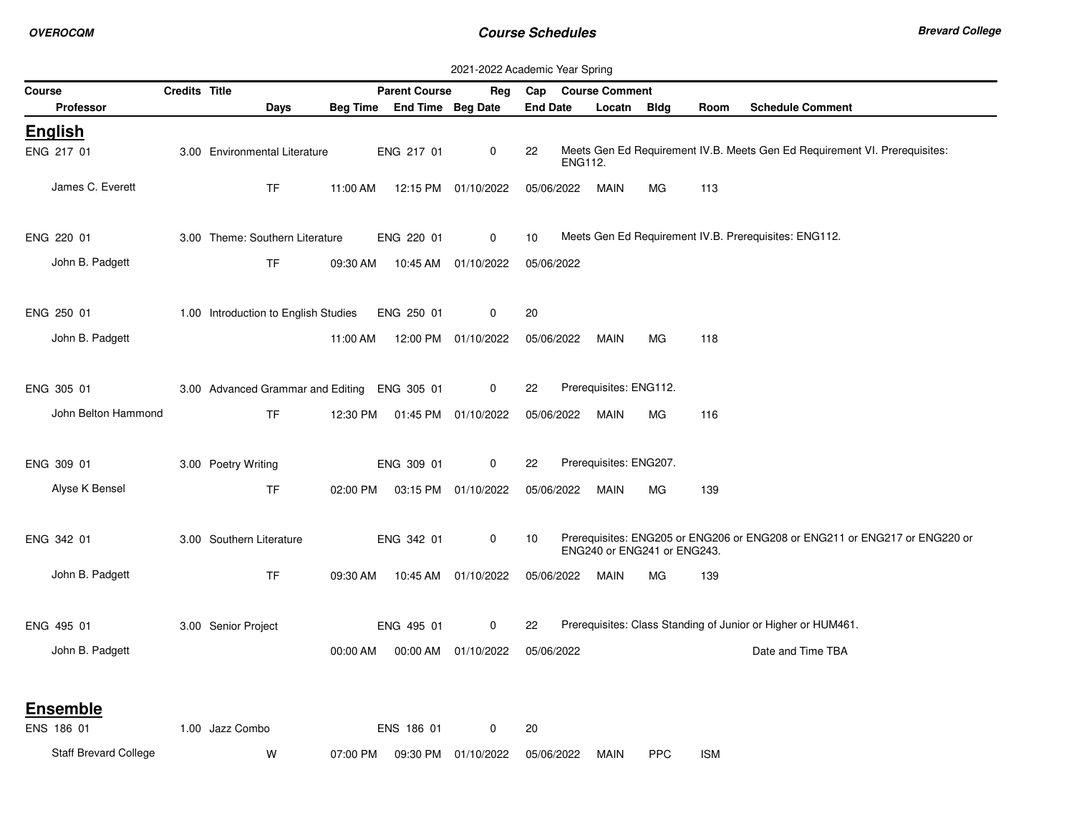|                              |               |                                              |          |                            | 2021-2022 Academic Year Spring |                 |                |                        |                             |            |                                                                            |
|------------------------------|---------------|----------------------------------------------|----------|----------------------------|--------------------------------|-----------------|----------------|------------------------|-----------------------------|------------|----------------------------------------------------------------------------|
| Course                       | Credits Title |                                              |          | <b>Parent Course</b>       | Reg                            | Cap             |                | <b>Course Comment</b>  |                             |            |                                                                            |
| <b>Professor</b>             |               | Days                                         |          | Beg Time End Time Beg Date |                                | <b>End Date</b> |                | Locatn Bldg            |                             | Room       | <b>Schedule Comment</b>                                                    |
| <b>English</b>               |               |                                              |          |                            |                                |                 |                |                        |                             |            |                                                                            |
| ENG 217 01                   |               | 3.00 Environmental Literature                |          | ENG 217 01                 | 0                              | 22              | <b>ENG112.</b> |                        |                             |            | Meets Gen Ed Requirement IV.B. Meets Gen Ed Requirement VI. Prerequisites: |
| James C. Everett             |               | TF                                           | 11:00 AM |                            | 12:15 PM 01/10/2022            | 05/06/2022      |                | <b>MAIN</b>            | МG                          | 113        |                                                                            |
| ENG 220 01                   |               | 3.00 Theme: Southern Literature              |          | ENG 220 01                 | 0                              | 10              |                |                        |                             |            | Meets Gen Ed Requirement IV.B. Prerequisites: ENG112.                      |
| John B. Padgett              |               | <b>TF</b>                                    | 09:30 AM |                            | 10:45 AM 01/10/2022            | 05/06/2022      |                |                        |                             |            |                                                                            |
| ENG 250 01                   |               | 1.00 Introduction to English Studies         |          | ENG 250 01                 | 0                              | 20              |                |                        |                             |            |                                                                            |
| John B. Padgett              |               |                                              | 11:00 AM |                            | 12:00 PM 01/10/2022            | 05/06/2022      |                | <b>MAIN</b>            | МG                          | 118        |                                                                            |
| ENG 305 01                   |               | 3.00 Advanced Grammar and Editing ENG 305 01 |          |                            | 0                              | 22              |                | Prerequisites: ENG112. |                             |            |                                                                            |
| John Belton Hammond          |               | TF.                                          | 12:30 PM |                            | 01:45 PM 01/10/2022            | 05/06/2022      |                | <b>MAIN</b>            | MG                          | 116        |                                                                            |
| ENG 309 01                   |               | 3.00 Poetry Writing                          |          | ENG 309 01                 | 0                              | 22              |                | Prerequisites: ENG207. |                             |            |                                                                            |
| Alyse K Bensel               |               | TF                                           | 02:00 PM |                            | 03:15 PM 01/10/2022            | 05/06/2022      |                | <b>MAIN</b>            | МG                          | 139        |                                                                            |
| ENG 342 01                   |               | 3.00 Southern Literature                     |          | ENG 342 01                 | 0                              | 10              |                |                        | ENG240 or ENG241 or ENG243. |            | Prerequisites: ENG205 or ENG206 or ENG208 or ENG211 or ENG217 or ENG220 or |
| John B. Padgett              |               | <b>TF</b>                                    | 09:30 AM |                            | 10:45 AM 01/10/2022            | 05/06/2022      |                | <b>MAIN</b>            | МG                          | 139        |                                                                            |
| ENG 495 01                   |               | 3.00 Senior Project                          |          | ENG 495 01                 | $\mathbf 0$                    | 22              |                |                        |                             |            | Prerequisites: Class Standing of Junior or Higher or HUM461.               |
| John B. Padgett              |               |                                              | 00:00 AM |                            | 00:00 AM 01/10/2022            | 05/06/2022      |                |                        |                             |            | Date and Time TBA                                                          |
| <b>Ensemble</b>              |               |                                              |          |                            |                                |                 |                |                        |                             |            |                                                                            |
| ENS 186 01                   |               | 1.00 Jazz Combo                              |          | ENS 186 01                 | 0                              | 20              |                |                        |                             |            |                                                                            |
| <b>Staff Brevard College</b> |               | W                                            | 07:00 PM | 09:30 PM                   | 01/10/2022                     | 05/06/2022      |                | <b>MAIN</b>            | <b>PPC</b>                  | <b>ISM</b> |                                                                            |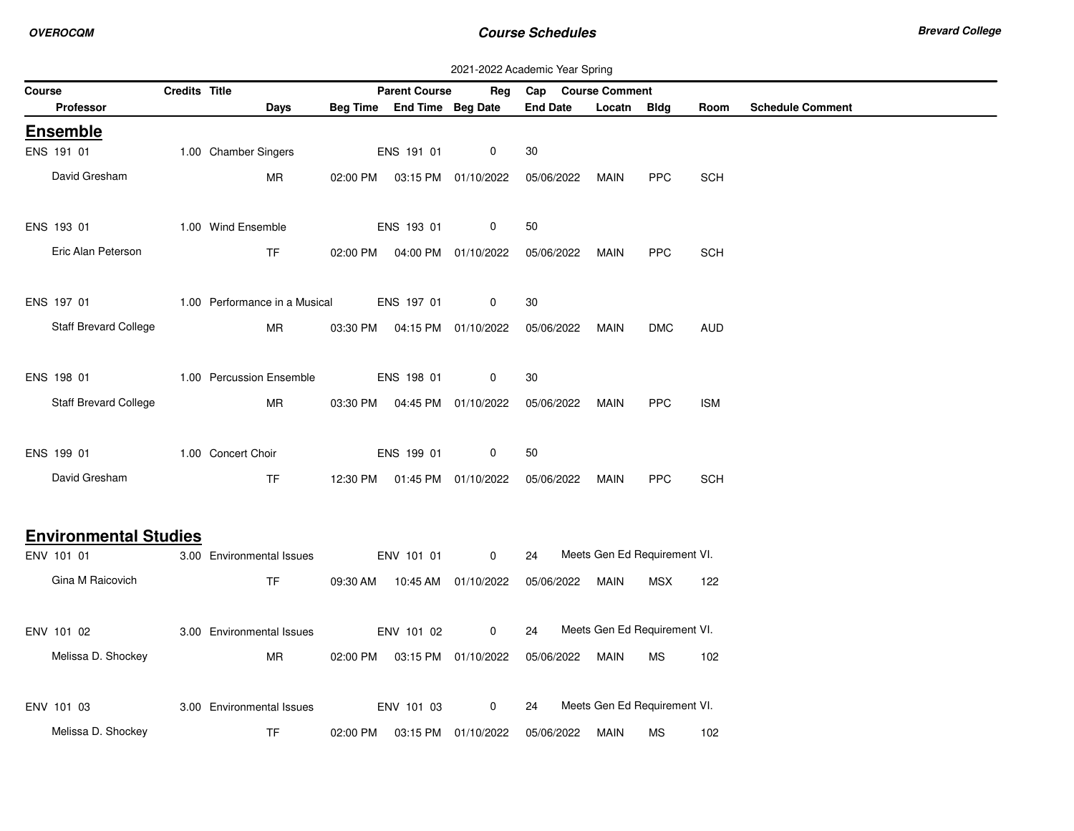|        | 2021-2022 Academic Year Spring<br>Credits Title<br>Cap Course Comment |  |                               |  |                                  |                                |                 |                              |            |            |                         |  |
|--------|-----------------------------------------------------------------------|--|-------------------------------|--|----------------------------------|--------------------------------|-----------------|------------------------------|------------|------------|-------------------------|--|
| Course |                                                                       |  |                               |  | <b>Parent Course</b>             | Reg                            |                 |                              |            |            |                         |  |
|        | <b>Professor</b>                                                      |  | Days                          |  | Beg Time End Time Beg Date       |                                | <b>End Date</b> | Locatn Bldg                  |            | Room       | <b>Schedule Comment</b> |  |
|        | <b>Ensemble</b>                                                       |  |                               |  |                                  |                                |                 |                              |            |            |                         |  |
|        | ENS 191 01                                                            |  | 1.00 Chamber Singers          |  | ENS 191 01                       | 0                              | 30              |                              |            |            |                         |  |
|        | David Gresham                                                         |  | <b>MR</b>                     |  | 02:00 PM   03:15 PM   01/10/2022 |                                | 05/06/2022      | <b>MAIN</b>                  | <b>PPC</b> | <b>SCH</b> |                         |  |
|        |                                                                       |  |                               |  |                                  |                                |                 |                              |            |            |                         |  |
|        | ENS 193 01                                                            |  | 1.00 Wind Ensemble            |  | ENS 193 01                       | 0                              | 50              |                              |            |            |                         |  |
|        | Eric Alan Peterson                                                    |  | <b>TF</b>                     |  | 02:00 PM  04:00 PM  01/10/2022   |                                | 05/06/2022      | MAIN                         | <b>PPC</b> | <b>SCH</b> |                         |  |
|        |                                                                       |  |                               |  |                                  |                                |                 |                              |            |            |                         |  |
|        | ENS 197 01                                                            |  | 1.00 Performance in a Musical |  | ENS 197 01                       | 0                              | 30              |                              |            |            |                         |  |
|        | Staff Brevard College                                                 |  | MR                            |  | 03:30 PM   04:15 PM   01/10/2022 |                                | 05/06/2022      | <b>MAIN</b>                  | <b>DMC</b> | <b>AUD</b> |                         |  |
|        |                                                                       |  |                               |  |                                  |                                |                 |                              |            |            |                         |  |
|        | ENS 198 01                                                            |  | 1.00 Percussion Ensemble      |  | ENS 198 01                       | 0                              | 30              |                              |            |            |                         |  |
|        | Staff Brevard College                                                 |  | MR                            |  | 03:30 PM  04:45 PM  01/10/2022   |                                | 05/06/2022      | MAIN                         | <b>PPC</b> | <b>ISM</b> |                         |  |
|        |                                                                       |  |                               |  |                                  |                                |                 |                              |            |            |                         |  |
|        | ENS 199 01                                                            |  | 1.00 Concert Choir            |  | ENS 199 01                       | 0                              | 50              |                              |            |            |                         |  |
|        | David Gresham                                                         |  | <b>TF</b>                     |  |                                  | 12:30 PM  01:45 PM  01/10/2022 | 05/06/2022      | MAIN                         | <b>PPC</b> | <b>SCH</b> |                         |  |
|        |                                                                       |  |                               |  |                                  |                                |                 |                              |            |            |                         |  |
|        | <b>Environmental Studies</b>                                          |  |                               |  |                                  |                                |                 |                              |            |            |                         |  |
|        | ENV 101 01                                                            |  | 3.00 Environmental Issues     |  | ENV 101 01                       | $\mathbf 0$                    | 24              | Meets Gen Ed Requirement VI. |            |            |                         |  |
|        | Gina M Raicovich                                                      |  | <b>TF</b>                     |  | 09:30 AM  10:45 AM  01/10/2022   |                                | 05/06/2022      | MAIN                         | MSX        | 122        |                         |  |
|        |                                                                       |  |                               |  |                                  |                                |                 |                              |            |            |                         |  |
|        | ENV 101 02                                                            |  | 3.00 Environmental Issues     |  | ENV 101 02                       | $\mathbf 0$                    | 24              | Meets Gen Ed Requirement VI. |            |            |                         |  |
|        | Melissa D. Shockey                                                    |  | MR                            |  | 02:00 PM  03:15 PM  01/10/2022   |                                | 05/06/2022      | MAIN                         | MS         | 102        |                         |  |
|        |                                                                       |  |                               |  |                                  |                                |                 |                              |            |            |                         |  |
|        | ENV 101 03                                                            |  | 3.00 Environmental Issues     |  | ENV 101 03                       | 0                              | 24              | Meets Gen Ed Requirement VI. |            |            |                         |  |
|        | Melissa D. Shockey                                                    |  | TF                            |  | 02:00 PM  03:15 PM  01/10/2022   |                                | 05/06/2022      | MAIN                         | MS         | 102        |                         |  |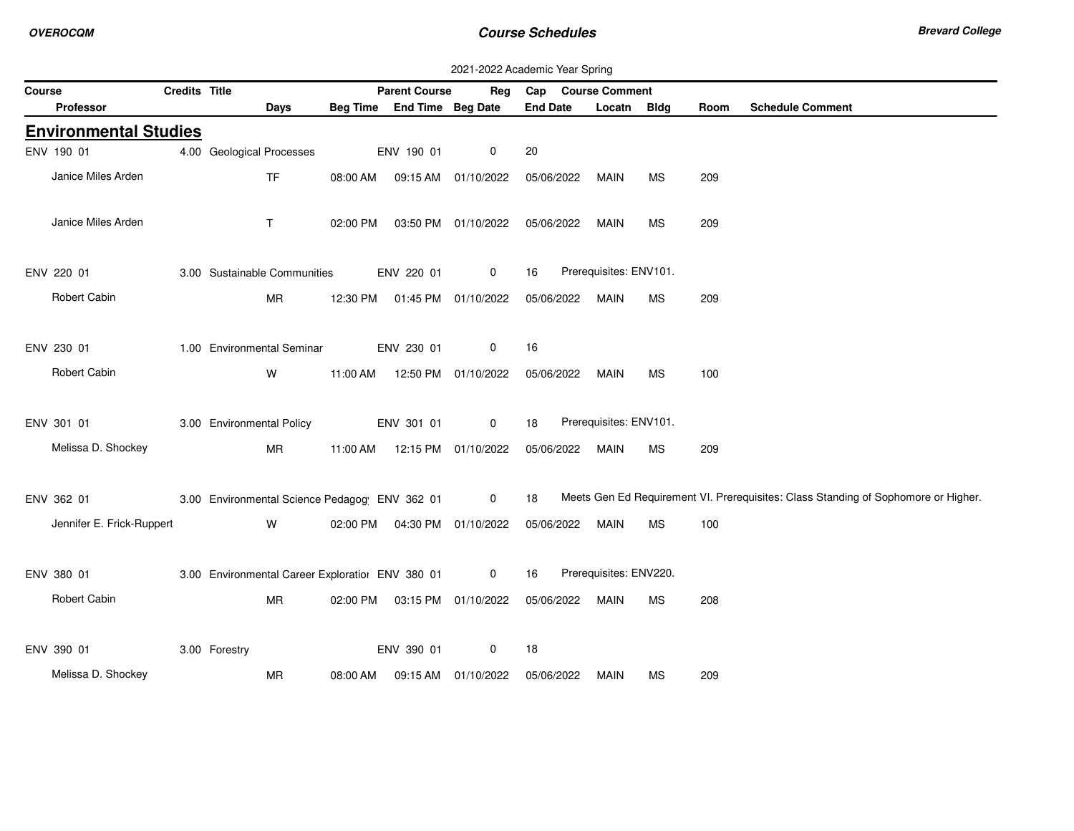|        |                              |               |                                                  |          |                            | 2021-2022 Academic Year Spring   |                 |                        |             |      |                                                                                    |
|--------|------------------------------|---------------|--------------------------------------------------|----------|----------------------------|----------------------------------|-----------------|------------------------|-------------|------|------------------------------------------------------------------------------------|
| Course |                              | Credits Title |                                                  |          | <b>Parent Course</b>       | Rea                              |                 | Cap Course Comment     |             |      |                                                                                    |
|        | Professor                    |               | Days                                             |          | Beg Time End Time Beg Date |                                  | <b>End Date</b> | Locatn                 | <b>Bldg</b> | Room | <b>Schedule Comment</b>                                                            |
|        | <b>Environmental Studies</b> |               |                                                  |          |                            |                                  |                 |                        |             |      |                                                                                    |
|        | ENV 190 01                   |               | 4.00 Geological Processes                        |          | ENV 190 01                 | 0                                | 20              |                        |             |      |                                                                                    |
|        | Janice Miles Arden           |               | <b>TF</b>                                        | 08:00 AM |                            | 09:15 AM 01/10/2022              | 05/06/2022      | <b>MAIN</b>            | <b>MS</b>   | 209  |                                                                                    |
|        | Janice Miles Arden           |               | $\mathsf{T}$                                     | 02:00 PM |                            | 03:50 PM 01/10/2022              | 05/06/2022      | <b>MAIN</b>            | <b>MS</b>   | 209  |                                                                                    |
|        | ENV 220 01                   |               | 3.00 Sustainable Communities                     |          | ENV 220 01                 | $\mathbf 0$                      | 16              | Prerequisites: ENV101. |             |      |                                                                                    |
|        | Robert Cabin                 |               | <b>MR</b>                                        |          |                            | 12:30 PM  01:45 PM  01/10/2022   | 05/06/2022      | MAIN                   | <b>MS</b>   | 209  |                                                                                    |
|        | ENV 230 01                   |               | 1.00 Environmental Seminar                       |          | ENV 230 01                 | 0                                | 16              |                        |             |      |                                                                                    |
|        | Robert Cabin                 |               | W                                                |          |                            | 11:00 AM  12:50 PM  01/10/2022   | 05/06/2022      | MAIN                   | <b>MS</b>   | 100  |                                                                                    |
|        | ENV 301 01                   |               | 3.00 Environmental Policy                        |          | ENV 301 01                 | $\mathbf 0$                      | 18              | Prerequisites: ENV101. |             |      |                                                                                    |
|        | Melissa D. Shockey           |               | <b>MR</b>                                        | 11:00 AM |                            | 12:15 PM 01/10/2022              | 05/06/2022      | MAIN                   | <b>MS</b>   | 209  |                                                                                    |
|        | ENV 362 01                   |               | 3.00 Environmental Science Pedagog ENV 362 01    |          |                            | $\overline{0}$                   | 18              |                        |             |      | Meets Gen Ed Requirement VI. Prerequisites: Class Standing of Sophomore or Higher. |
|        | Jennifer E. Frick-Ruppert    |               | W                                                |          |                            | 02:00 PM   04:30 PM   01/10/2022 | 05/06/2022      | <b>MAIN</b>            | <b>MS</b>   | 100  |                                                                                    |
|        | ENV 380 01                   |               | 3.00 Environmental Career Exploratiol ENV 380 01 |          |                            | $\mathbf 0$                      | 16              | Prerequisites: ENV220. |             |      |                                                                                    |
|        | Robert Cabin                 |               | MR                                               |          |                            | 02:00 PM  03:15 PM  01/10/2022   | 05/06/2022      | MAIN                   | <b>MS</b>   | 208  |                                                                                    |
|        | ENV 390 01                   |               | 3.00 Forestry                                    |          | ENV 390 01                 | 0                                | 18              |                        |             |      |                                                                                    |
|        | Melissa D. Shockey           |               | <b>MR</b>                                        | 08:00 AM |                            | 09:15 AM  01/10/2022             | 05/06/2022      | MAIN                   | МS          | 209  |                                                                                    |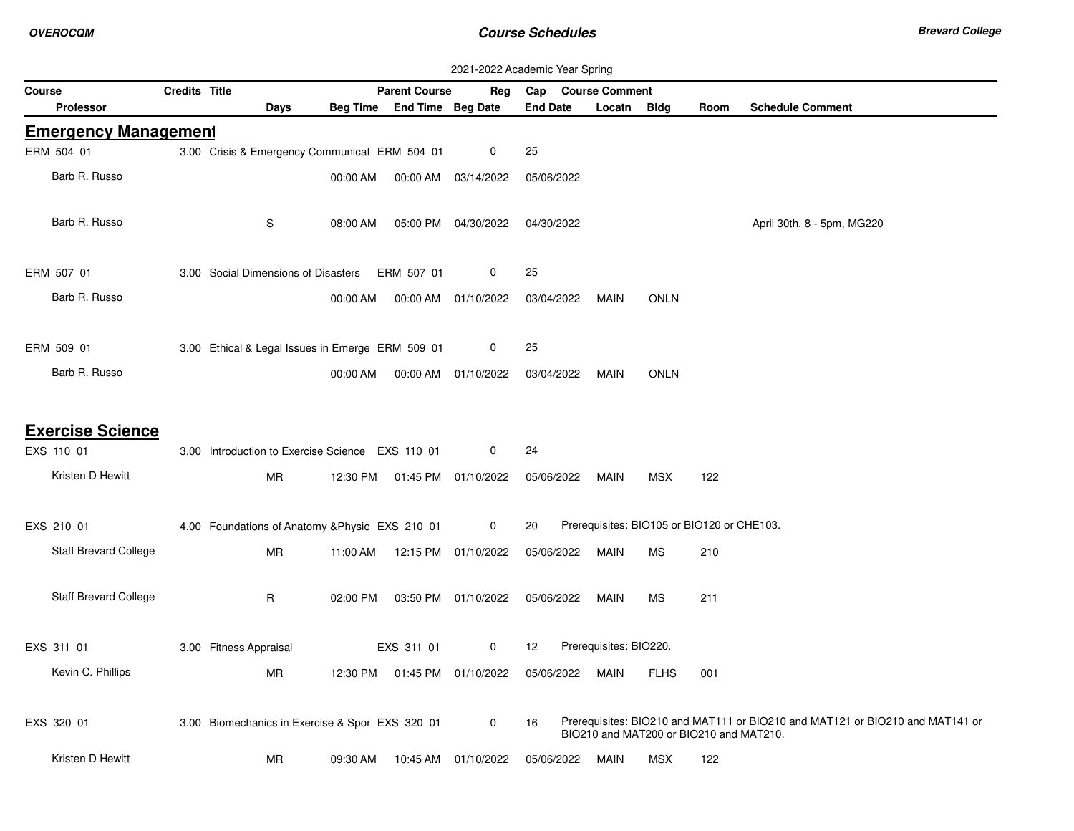|                              |               |                                                  |          |                            | 2021-2022 Academic Year Spring |                 |                                            |             |      |                                                                               |
|------------------------------|---------------|--------------------------------------------------|----------|----------------------------|--------------------------------|-----------------|--------------------------------------------|-------------|------|-------------------------------------------------------------------------------|
| Course                       | Credits Title |                                                  |          | <b>Parent Course</b>       | Reg                            | Cap             | <b>Course Comment</b>                      |             |      |                                                                               |
| <b>Professor</b>             |               | Days                                             |          | Beg Time End Time Beg Date |                                | <b>End Date</b> | Locatn                                     | <b>Bldg</b> | Room | <b>Schedule Comment</b>                                                       |
| <b>Emergency Management</b>  |               |                                                  |          |                            |                                |                 |                                            |             |      |                                                                               |
| ERM 504 01                   |               | 3.00 Crisis & Emergency Communical ERM 504 01    |          |                            | 0                              | 25              |                                            |             |      |                                                                               |
| Barb R. Russo                |               |                                                  | 00:00 AM | 00:00 AM                   | 03/14/2022                     | 05/06/2022      |                                            |             |      |                                                                               |
|                              |               |                                                  |          |                            |                                |                 |                                            |             |      |                                                                               |
| Barb R. Russo                |               | S                                                | 08:00 AM |                            | 05:00 PM 04/30/2022            | 04/30/2022      |                                            |             |      | April 30th. 8 - 5pm, MG220                                                    |
|                              |               |                                                  |          |                            |                                |                 |                                            |             |      |                                                                               |
| ERM 507 01                   |               | 3.00 Social Dimensions of Disasters              |          | ERM 507 01                 | 0                              | 25              |                                            |             |      |                                                                               |
| Barb R. Russo                |               |                                                  | 00:00 AM |                            | 00:00 AM 01/10/2022            | 03/04/2022      | <b>MAIN</b>                                | <b>ONLN</b> |      |                                                                               |
|                              |               |                                                  |          |                            |                                |                 |                                            |             |      |                                                                               |
|                              |               |                                                  |          |                            |                                |                 |                                            |             |      |                                                                               |
| ERM 509 01                   |               | 3.00 Ethical & Legal Issues in Emerge ERM 509 01 |          |                            | 0                              | 25              |                                            |             |      |                                                                               |
| Barb R. Russo                |               |                                                  | 00:00 AM |                            | 00:00 AM 01/10/2022            | 03/04/2022      | <b>MAIN</b>                                | <b>ONLN</b> |      |                                                                               |
|                              |               |                                                  |          |                            |                                |                 |                                            |             |      |                                                                               |
| <b>Exercise Science</b>      |               |                                                  |          |                            |                                |                 |                                            |             |      |                                                                               |
| EXS 110 01                   |               | 3.00 Introduction to Exercise Science EXS 110 01 |          |                            | 0                              | 24              |                                            |             |      |                                                                               |
| Kristen D Hewitt             |               | MR                                               | 12:30 PM | 01:45 PM  01/10/2022       |                                | 05/06/2022      | MAIN                                       | <b>MSX</b>  | 122  |                                                                               |
|                              |               |                                                  |          |                            |                                |                 |                                            |             |      |                                                                               |
| EXS 210 01                   |               | 4.00 Foundations of Anatomy & Physic EXS 210 01  |          |                            | $\mathbf 0$                    | 20              | Prerequisites: BIO105 or BIO120 or CHE103. |             |      |                                                                               |
|                              |               |                                                  |          |                            |                                |                 |                                            |             |      |                                                                               |
| <b>Staff Brevard College</b> |               | MR                                               | 11:00 AM |                            | 12:15 PM 01/10/2022            | 05/06/2022      | MAIN                                       | <b>MS</b>   | 210  |                                                                               |
| <b>Staff Brevard College</b> |               |                                                  |          |                            |                                |                 |                                            |             |      |                                                                               |
|                              |               | R                                                | 02:00 PM |                            | 03:50 PM 01/10/2022            | 05/06/2022      | MAIN                                       | <b>MS</b>   | 211  |                                                                               |
|                              |               |                                                  |          |                            |                                |                 |                                            |             |      |                                                                               |
| EXS 311 01                   |               | 3.00 Fitness Appraisal                           |          | EXS 311 01                 | 0                              | 12              | Prerequisites: BIO220.                     |             |      |                                                                               |
| Kevin C. Phillips            |               | MR                                               | 12:30 PM |                            |                                | 05/06/2022      | MAIN                                       | <b>FLHS</b> | 001  |                                                                               |
|                              |               |                                                  |          |                            |                                |                 |                                            |             |      |                                                                               |
| EXS 320 01                   |               | 3.00 Biomechanics in Exercise & Spor EXS 320 01  |          |                            | $\mathbf 0$                    | 16              |                                            |             |      | Prerequisites: BIO210 and MAT111 or BIO210 and MAT121 or BIO210 and MAT141 or |
|                              |               |                                                  |          |                            |                                |                 | BIO210 and MAT200 or BIO210 and MAT210.    |             |      |                                                                               |
| Kristen D Hewitt             |               | <b>MR</b>                                        | 09:30 AM | 10:45 AM                   | 01/10/2022                     | 05/06/2022      | MAIN                                       | <b>MSX</b>  | 122  |                                                                               |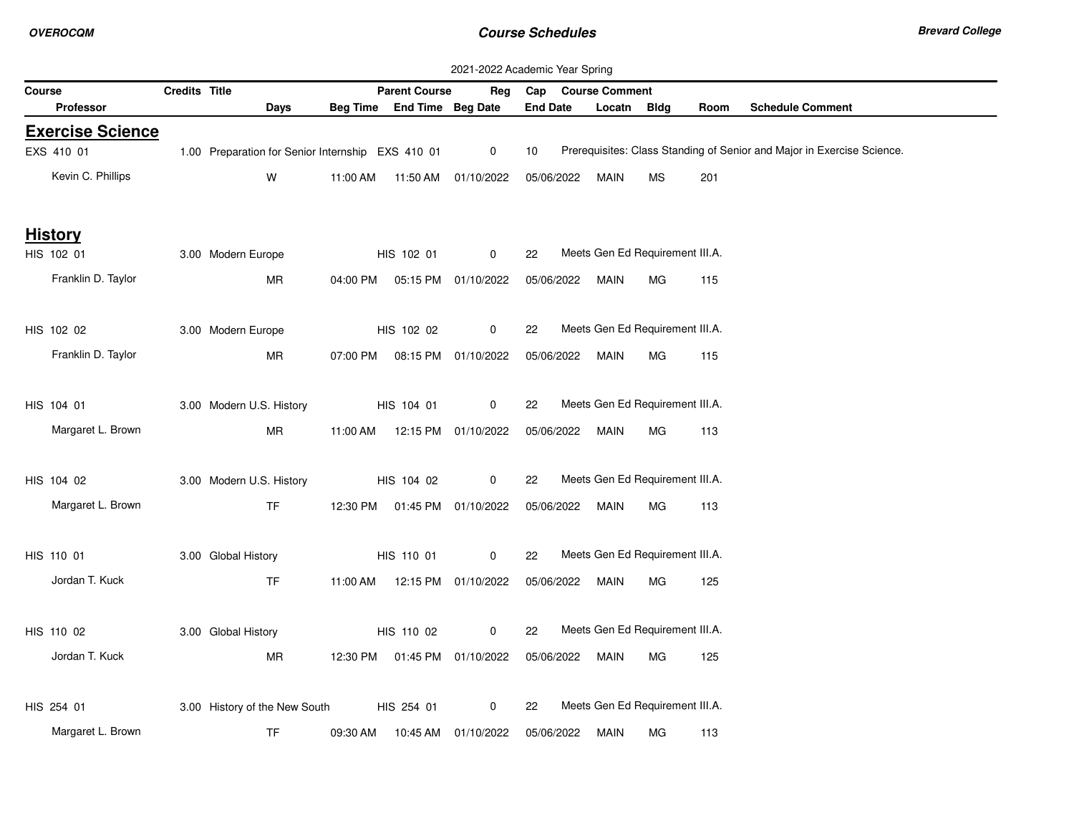|        | 2021-2022 Academic Year Spring |                      |                                                   |          |                                |                      |                 |  |                    |                                 |      |                                                                        |
|--------|--------------------------------|----------------------|---------------------------------------------------|----------|--------------------------------|----------------------|-----------------|--|--------------------|---------------------------------|------|------------------------------------------------------------------------|
| Course |                                | <b>Credits Title</b> |                                                   |          | <b>Parent Course</b>           | Reg                  |                 |  | Cap Course Comment |                                 |      |                                                                        |
|        | Professor                      |                      | Days                                              |          | Beg Time End Time Beg Date     |                      | <b>End Date</b> |  | Locatn             | Bldg                            | Room | <b>Schedule Comment</b>                                                |
|        | <b>Exercise Science</b>        |                      |                                                   |          |                                |                      |                 |  |                    |                                 |      |                                                                        |
|        | EXS 410 01                     |                      | 1.00 Preparation for Senior Internship EXS 410 01 |          |                                | $\mathbf 0$          | 10              |  |                    |                                 |      | Prerequisites: Class Standing of Senior and Major in Exercise Science. |
|        | Kevin C. Phillips              |                      | W                                                 | 11:00 AM |                                | 11:50 AM  01/10/2022 | 05/06/2022      |  | MAIN               | MS                              | 201  |                                                                        |
|        | <b>History</b>                 |                      |                                                   |          |                                |                      |                 |  |                    |                                 |      |                                                                        |
|        | HIS 102 01                     |                      | 3.00 Modern Europe                                |          | HIS 102 01                     | $\mathbf 0$          | 22              |  |                    | Meets Gen Ed Requirement III.A. |      |                                                                        |
|        | Franklin D. Taylor             |                      | MR                                                |          | 04:00 PM  05:15 PM  01/10/2022 |                      | 05/06/2022      |  | MAIN               | МG                              | 115  |                                                                        |
|        | HIS 102 02                     |                      | 3.00 Modern Europe                                |          | HIS 102 02                     | $\mathbf 0$          | 22              |  |                    | Meets Gen Ed Requirement III.A. |      |                                                                        |
|        | Franklin D. Taylor             |                      | ΜR                                                |          | 07:00 PM  08:15 PM  01/10/2022 |                      | 05/06/2022      |  | MAIN               | МG                              | 115  |                                                                        |
|        | HIS 104 01                     |                      | 3.00 Modern U.S. History                          |          | HIS 104 01                     | 0                    | 22              |  |                    | Meets Gen Ed Requirement III.A. |      |                                                                        |
|        | Margaret L. Brown              |                      | MR                                                |          | 11:00 AM  12:15 PM  01/10/2022 |                      | 05/06/2022      |  | MAIN               | МG                              | 113  |                                                                        |
|        | HIS 104 02                     |                      | 3.00 Modern U.S. History                          |          | HIS 104 02                     | 0                    | 22              |  |                    | Meets Gen Ed Requirement III.A. |      |                                                                        |
|        | Margaret L. Brown              |                      | TF.                                               |          | 12:30 PM  01:45 PM  01/10/2022 |                      | 05/06/2022      |  | MAIN               | МG                              | 113  |                                                                        |
|        | HIS 110 01                     |                      | 3.00 Global History                               |          | HIS 110 01                     | $\mathbf 0$          | 22              |  |                    | Meets Gen Ed Requirement III.A. |      |                                                                        |
|        | Jordan T. Kuck                 |                      | <b>TF</b>                                         |          | 11:00 AM  12:15 PM  01/10/2022 |                      | 05/06/2022      |  | MAIN               | MG.                             | 125  |                                                                        |
|        | HIS 110 02                     |                      | 3.00 Global History                               |          | HIS 110 02                     | $\mathbf 0$          | 22              |  |                    | Meets Gen Ed Requirement III.A. |      |                                                                        |
|        | Jordan T. Kuck                 |                      | ΜR                                                |          | 12:30 PM  01:45 PM  01/10/2022 |                      | 05/06/2022      |  | MAIN               | МG                              | 125  |                                                                        |
|        | HIS 254 01                     |                      | 3.00 History of the New South                     |          | HIS 254 01                     | 0                    | 22              |  |                    | Meets Gen Ed Requirement III.A. |      |                                                                        |
|        | Margaret L. Brown              |                      | TF                                                | 09:30 AM |                                | 10:45 AM 01/10/2022  | 05/06/2022      |  | MAIN               | МG                              | 113  |                                                                        |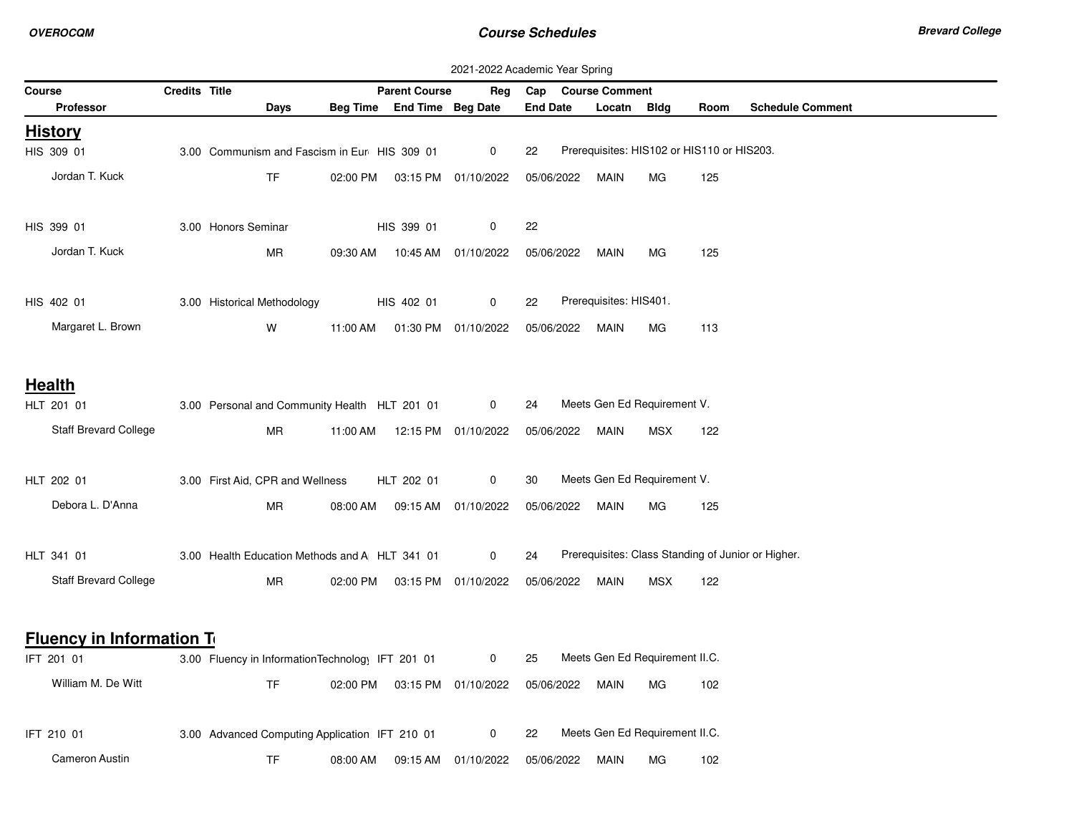|                                  | 2021-2022 Academic Year Spring |                                                  |          |                            |                                |                 |                                            |            |      |                                                    |  |
|----------------------------------|--------------------------------|--------------------------------------------------|----------|----------------------------|--------------------------------|-----------------|--------------------------------------------|------------|------|----------------------------------------------------|--|
| Course                           | <b>Credits Title</b>           |                                                  |          | <b>Parent Course</b>       | Reg                            | Cap             | <b>Course Comment</b>                      |            |      |                                                    |  |
| <b>Professor</b>                 |                                | Days                                             |          | Beg Time End Time Beg Date |                                | <b>End Date</b> | Locatn Bldg                                |            | Room | <b>Schedule Comment</b>                            |  |
| <b>History</b>                   |                                |                                                  |          |                            |                                |                 |                                            |            |      |                                                    |  |
| HIS 309 01                       |                                | 3.00 Communism and Fascism in Eur HIS 309 01     |          |                            | 0                              | 22              | Prerequisites: HIS102 or HIS110 or HIS203. |            |      |                                                    |  |
| Jordan T. Kuck                   |                                | <b>TF</b>                                        | 02:00 PM |                            | 03:15 PM 01/10/2022            | 05/06/2022      | MAIN                                       | МG         | 125  |                                                    |  |
| HIS 399 01                       |                                | 3.00 Honors Seminar                              |          | HIS 399 01                 | 0                              | 22              |                                            |            |      |                                                    |  |
| Jordan T. Kuck                   |                                | ΜR                                               |          |                            | 09:30 AM  10:45 AM  01/10/2022 | 05/06/2022      | MAIN                                       | МG         | 125  |                                                    |  |
| HIS 402 01                       |                                | 3.00 Historical Methodology                      |          | HIS 402 01                 | 0                              | 22              | Prerequisites: HIS401.                     |            |      |                                                    |  |
| Margaret L. Brown                |                                | W                                                | 11:00 AM |                            | 01:30 PM 01/10/2022            | 05/06/2022      | MAIN                                       | МG         | 113  |                                                    |  |
| <b>Health</b>                    |                                |                                                  |          |                            |                                |                 |                                            |            |      |                                                    |  |
| HLT 201 01                       |                                | 3.00 Personal and Community Health HLT 201 01    |          |                            | $\mathbf 0$                    | 24              | Meets Gen Ed Requirement V.                |            |      |                                                    |  |
| Staff Brevard College            |                                | <b>MR</b>                                        | 11:00 AM |                            | 12:15 PM 01/10/2022            | 05/06/2022      | MAIN                                       | <b>MSX</b> | 122  |                                                    |  |
| HLT 202 01                       |                                | 3.00 First Aid, CPR and Wellness                 |          | HLT 202 01                 | 0                              | 30              | Meets Gen Ed Requirement V.                |            |      |                                                    |  |
| Debora L. D'Anna                 |                                | MR                                               | 08:00 AM |                            | 09:15 AM 01/10/2022            | 05/06/2022      | MAIN                                       | МG         | 125  |                                                    |  |
| HLT 341 01                       |                                | 3.00 Health Education Methods and A HLT 341 01   |          |                            | 0                              | 24              |                                            |            |      | Prerequisites: Class Standing of Junior or Higher. |  |
| <b>Staff Brevard College</b>     |                                | <b>MR</b>                                        |          |                            | 02:00 PM  03:15 PM  01/10/2022 | 05/06/2022      | MAIN                                       | <b>MSX</b> | 122  |                                                    |  |
| <b>Fluency in Information To</b> |                                |                                                  |          |                            |                                |                 |                                            |            |      |                                                    |  |
| IFT 201 01                       |                                | 3.00 Fluency in InformationTechnology IFT 201 01 |          |                            | 0                              | 25              | Meets Gen Ed Requirement II.C.             |            |      |                                                    |  |
| William M. De Witt               |                                | TF.                                              | 02:00 PM |                            | 03:15 PM 01/10/2022            | 05/06/2022      | MAIN                                       | МG         | 102  |                                                    |  |
| IFT 210 01                       |                                | 3.00 Advanced Computing Application IFT 210 01   |          |                            | 0                              | 22              | Meets Gen Ed Requirement II.C.             |            |      |                                                    |  |
| <b>Cameron Austin</b>            |                                | <b>TF</b>                                        | 08:00 AM |                            | 09:15 AM 01/10/2022            | 05/06/2022      | MAIN                                       | МG         | 102  |                                                    |  |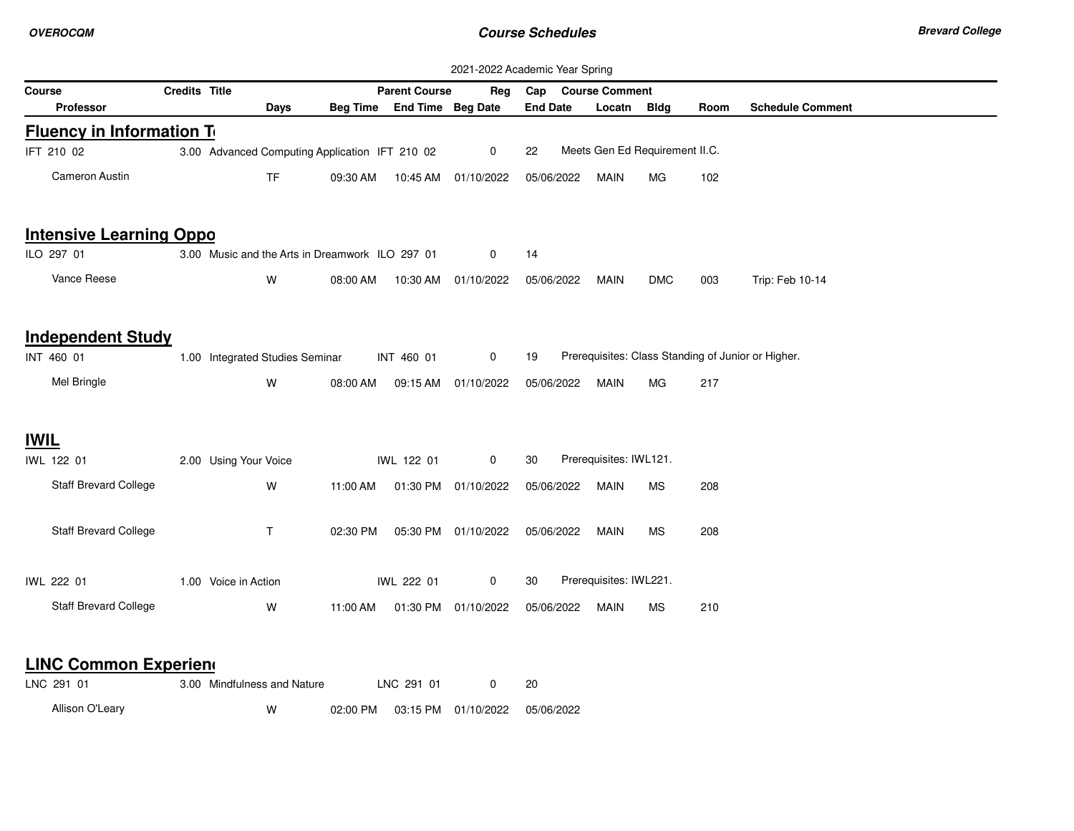|                                  |               |                                                 |          |                            |                      | 2021-2022 Academic Year Spring |                        |                                |      |                                                    |
|----------------------------------|---------------|-------------------------------------------------|----------|----------------------------|----------------------|--------------------------------|------------------------|--------------------------------|------|----------------------------------------------------|
| Course                           | Credits Title |                                                 |          | <b>Parent Course</b>       | Reg                  | Cap Course Comment             |                        |                                |      |                                                    |
| <b>Professor</b>                 |               | Days                                            |          | Beg Time End Time Beg Date |                      | <b>End Date</b>                | Locatn                 | Bldg                           | Room | <b>Schedule Comment</b>                            |
| <b>Fluency in Information To</b> |               |                                                 |          |                            |                      |                                |                        |                                |      |                                                    |
| IFT 210 02                       |               | 3.00 Advanced Computing Application IFT 210 02  |          |                            | $\mathbf 0$          | 22                             |                        | Meets Gen Ed Requirement II.C. |      |                                                    |
| Cameron Austin                   |               | <b>TF</b>                                       | 09:30 AM |                            | 10:45 AM  01/10/2022 | 05/06/2022                     | MAIN                   | МG                             | 102  |                                                    |
| <b>Intensive Learning Oppo</b>   |               |                                                 |          |                            |                      |                                |                        |                                |      |                                                    |
| ILO 297 01                       |               | 3.00 Music and the Arts in Dreamwork ILO 297 01 |          |                            | 0                    | 14                             |                        |                                |      |                                                    |
| Vance Reese                      |               | W                                               | 08:00 AM |                            | 10:30 AM 01/10/2022  | 05/06/2022                     | MAIN                   | <b>DMC</b>                     | 003  | Trip: Feb 10-14                                    |
| <b>Independent Study</b>         |               |                                                 |          |                            |                      |                                |                        |                                |      |                                                    |
| INT 460 01                       |               | 1.00 Integrated Studies Seminar                 |          | INT 460 01                 | 0                    | 19                             |                        |                                |      | Prerequisites: Class Standing of Junior or Higher. |
| Mel Bringle                      |               | W                                               | 08:00 AM |                            | 09:15 AM 01/10/2022  | 05/06/2022                     | <b>MAIN</b>            | MG                             | 217  |                                                    |
| <b>IWIL</b>                      |               |                                                 |          |                            |                      |                                |                        |                                |      |                                                    |
| IWL 122 01                       |               | 2.00 Using Your Voice                           |          | IWL 122 01                 | 0                    | 30                             | Prerequisites: IWL121. |                                |      |                                                    |
| <b>Staff Brevard College</b>     |               | W                                               | 11:00 AM |                            | 01:30 PM 01/10/2022  | 05/06/2022                     | MAIN                   | MS.                            | 208  |                                                    |
| <b>Staff Brevard College</b>     |               | $\mathsf{T}$                                    | 02:30 PM |                            | 05:30 PM 01/10/2022  | 05/06/2022                     | MAIN                   | МS                             | 208  |                                                    |
| IWL 222 01                       |               | 1.00 Voice in Action                            |          | IWL 222 01                 | $\mathbf 0$          | 30                             | Prerequisites: IWL221. |                                |      |                                                    |
| <b>Staff Brevard College</b>     |               | W                                               | 11:00 AM |                            | 01:30 PM 01/10/2022  | 05/06/2022                     | <b>MAIN</b>            | MS                             | 210  |                                                    |
| <b>LINC Common Experiend</b>     |               |                                                 |          |                            |                      |                                |                        |                                |      |                                                    |
| LNC 291 01                       |               | 3.00 Mindfulness and Nature                     |          | LNC 291 01                 | 0                    | 20                             |                        |                                |      |                                                    |
| Allison O'Leary                  |               | W                                               | 02:00 PM |                            | 03:15 PM 01/10/2022  | 05/06/2022                     |                        |                                |      |                                                    |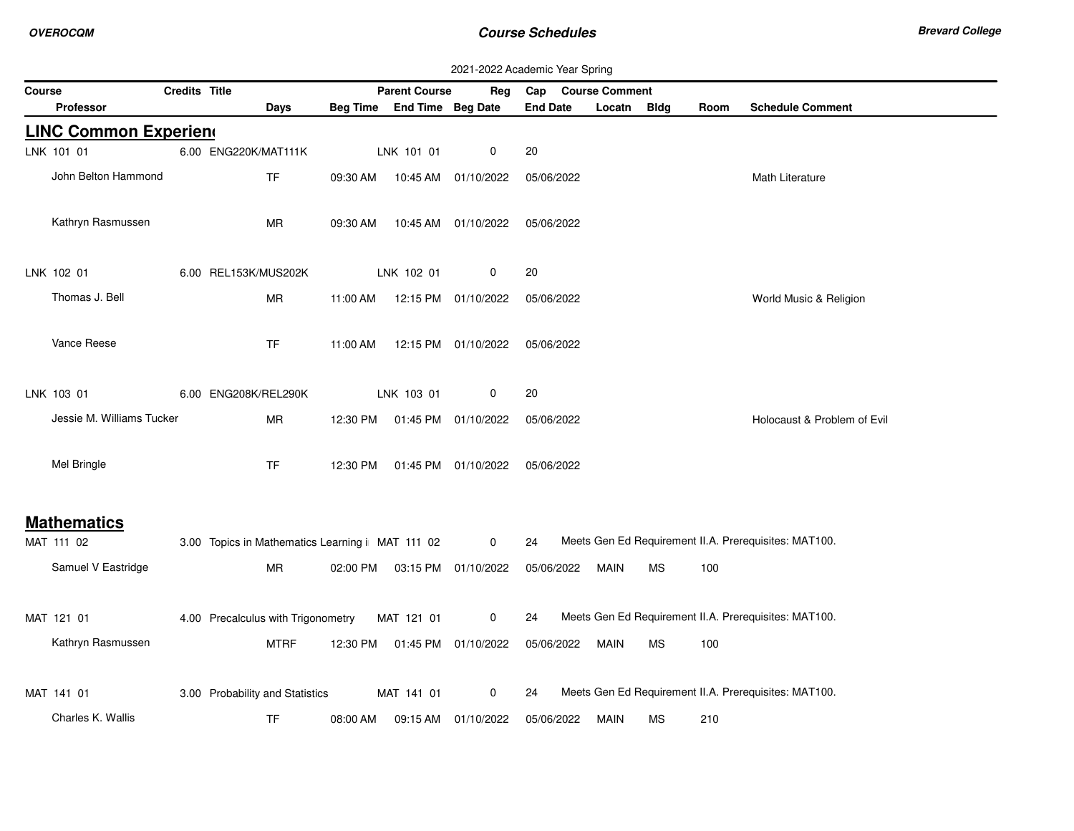|               |                              |               |                                                  |          |                            |                     | 2021-2022 Academic Year Spring |             |           |      |                                                       |
|---------------|------------------------------|---------------|--------------------------------------------------|----------|----------------------------|---------------------|--------------------------------|-------------|-----------|------|-------------------------------------------------------|
| <b>Course</b> |                              | Credits Title |                                                  |          | <b>Parent Course</b>       | Reg                 | Cap Course Comment             |             |           |      |                                                       |
|               | <b>Professor</b>             |               | Days                                             |          | Beg Time End Time Beg Date |                     | <b>End Date</b>                | Locatn      | Bldg      | Room | <b>Schedule Comment</b>                               |
|               | <b>LINC Common Experiend</b> |               |                                                  |          |                            |                     |                                |             |           |      |                                                       |
|               | LNK 101 01                   |               | 6.00 ENG220K/MAT111K                             |          | LNK 101 01                 | 0                   | 20                             |             |           |      |                                                       |
|               | John Belton Hammond          |               | <b>TF</b>                                        | 09:30 AM |                            | 10:45 AM 01/10/2022 | 05/06/2022                     |             |           |      | Math Literature                                       |
|               | Kathryn Rasmussen            |               | <b>MR</b>                                        | 09:30 AM |                            | 10:45 AM 01/10/2022 | 05/06/2022                     |             |           |      |                                                       |
|               | LNK 102 01                   |               | 6.00 REL153K/MUS202K                             |          | LNK 102 01                 | 0                   | 20                             |             |           |      |                                                       |
|               | Thomas J. Bell               |               | <b>MR</b>                                        | 11:00 AM |                            | 12:15 PM 01/10/2022 | 05/06/2022                     |             |           |      | World Music & Religion                                |
|               | Vance Reese                  |               | <b>TF</b>                                        | 11:00 AM |                            | 12:15 PM 01/10/2022 | 05/06/2022                     |             |           |      |                                                       |
|               | LNK 103 01                   |               | 6.00 ENG208K/REL290K                             |          | LNK 103 01                 | 0                   | 20                             |             |           |      |                                                       |
|               | Jessie M. Williams Tucker    |               | MR                                               | 12:30 PM |                            | 01:45 PM 01/10/2022 | 05/06/2022                     |             |           |      | Holocaust & Problem of Evil                           |
|               | Mel Bringle                  |               | <b>TF</b>                                        | 12:30 PM |                            | 01:45 PM 01/10/2022 | 05/06/2022                     |             |           |      |                                                       |
|               | <b>Mathematics</b>           |               |                                                  |          |                            |                     |                                |             |           |      |                                                       |
|               | MAT 111 02                   |               | 3.00 Topics in Mathematics Learning i MAT 111 02 |          |                            | 0                   | 24                             |             |           |      | Meets Gen Ed Requirement II.A. Prerequisites: MAT100. |
|               | Samuel V Eastridge           |               | ${\sf MR}$                                       | 02:00 PM |                            | 03:15 PM 01/10/2022 | 05/06/2022                     | MAIN        | <b>MS</b> | 100  |                                                       |
|               | MAT 121 01                   |               | 4.00 Precalculus with Trigonometry               |          | MAT 121 01                 | 0                   | 24                             |             |           |      | Meets Gen Ed Requirement II.A. Prerequisites: MAT100. |
|               | Kathryn Rasmussen            |               | <b>MTRF</b>                                      | 12:30 PM |                            | 01:45 PM 01/10/2022 | 05/06/2022                     | MAIN        | MS        | 100  |                                                       |
|               | MAT 141 01                   |               | 3.00 Probability and Statistics                  |          | MAT 141 01                 | 0                   | 24                             |             |           |      | Meets Gen Ed Requirement II.A. Prerequisites: MAT100. |
|               | Charles K. Wallis            |               | <b>TF</b>                                        | 08:00 AM |                            | 09:15 AM 01/10/2022 | 05/06/2022                     | <b>MAIN</b> | <b>MS</b> | 210  |                                                       |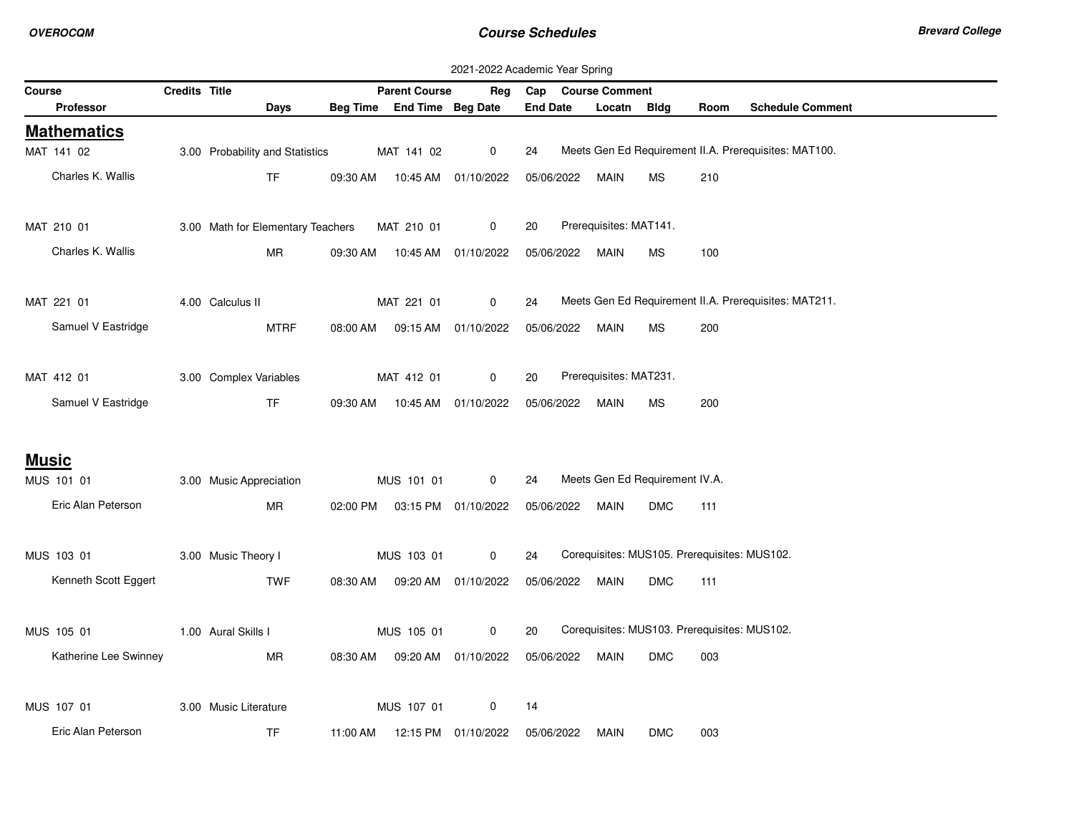|                       |               |                                   |          |                                |                      | 2021-2022 Academic Year Spring                                    |
|-----------------------|---------------|-----------------------------------|----------|--------------------------------|----------------------|-------------------------------------------------------------------|
| Course                | Credits Title |                                   |          | <b>Parent Course</b>           | Reg                  | Cap Course Comment                                                |
| <b>Professor</b>      |               | Days                              |          | Beg Time End Time Beg Date     |                      | <b>End Date</b><br><b>Schedule Comment</b><br>Locatn Bldg<br>Room |
| <b>Mathematics</b>    |               |                                   |          |                                |                      |                                                                   |
| MAT 141 02            |               | 3.00 Probability and Statistics   |          | MAT 141 02                     | $\mathbf 0$          | Meets Gen Ed Requirement II.A. Prerequisites: MAT100.<br>24       |
| Charles K. Wallis     |               | <b>TF</b>                         |          | 09:30 AM  10:45 AM  01/10/2022 |                      | 210<br>05/06/2022<br>MAIN<br><b>MS</b>                            |
| MAT 210 01            |               | 3.00 Math for Elementary Teachers |          | MAT 210 01                     | 0                    | Prerequisites: MAT141.<br>20                                      |
| Charles K. Wallis     |               | <b>MR</b>                         |          | 09:30 AM  10:45 AM  01/10/2022 |                      | 05/06/2022<br>100<br>MAIN<br>МS                                   |
| MAT 221 01            |               | 4.00 Calculus II                  |          | MAT 221 01                     | 0                    | Meets Gen Ed Requirement II.A. Prerequisites: MAT211.<br>24       |
| Samuel V Eastridge    |               | <b>MTRF</b>                       | 08:00 AM |                                | 09:15 AM  01/10/2022 | 05/06/2022<br><b>MAIN</b><br>200<br><b>MS</b>                     |
| MAT 412 01            |               | 3.00 Complex Variables            |          | MAT 412 01                     | $\mathbf 0$          | Prerequisites: MAT231.<br>20                                      |
| Samuel V Eastridge    |               | <b>TF</b>                         |          | 09:30 AM  10:45 AM  01/10/2022 |                      | 05/06/2022<br><b>MAIN</b><br><b>MS</b><br>200                     |
| <b>Music</b>          |               |                                   |          |                                |                      |                                                                   |
| MUS 101 01            |               | 3.00 Music Appreciation           |          | MUS 101 01                     | $\mathbf{0}$         | Meets Gen Ed Requirement IV.A.<br>24                              |
| Eric Alan Peterson    |               | <b>MR</b>                         |          | 02:00 PM  03:15 PM  01/10/2022 |                      | 05/06/2022<br>111<br>MAIN<br><b>DMC</b>                           |
| MUS 103 01            |               | 3.00 Music Theory I               |          | MUS 103 01                     | 0                    | Corequisites: MUS105. Prerequisites: MUS102.<br>24                |
| Kenneth Scott Eggert  |               | <b>TWF</b>                        |          | 08:30 AM  09:20 AM  01/10/2022 |                      | 05/06/2022<br><b>MAIN</b><br><b>DMC</b><br>111                    |
| MUS 105 01            |               | 1.00 Aural Skills I               |          | MUS 105 01                     | 0                    | Corequisites: MUS103. Prerequisites: MUS102.<br>20                |
| Katherine Lee Swinney |               | MR                                |          | 08:30 AM  09:20 AM  01/10/2022 |                      | 05/06/2022<br>MAIN<br><b>DMC</b><br>003                           |
| MUS 107 01            |               | 3.00 Music Literature             |          | MUS 107 01                     | $\mathbf 0$          | 14                                                                |
| Eric Alan Peterson    |               | <b>TF</b>                         |          | 11:00 AM  12:15 PM  01/10/2022 |                      | 05/06/2022<br><b>DMC</b><br>003<br>MAIN                           |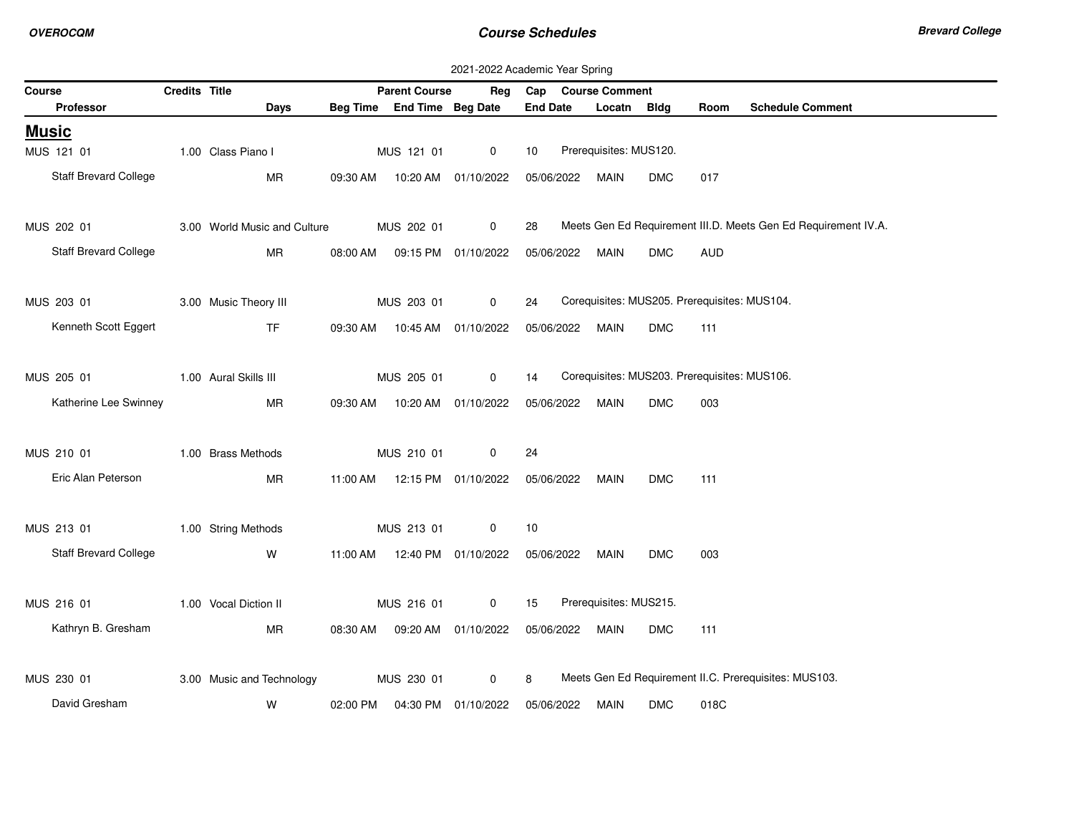|        | 2021-2022 Academic Year Spring |               |                              |          |                                |                     |                 |  |                                              |            |            |                                                                |
|--------|--------------------------------|---------------|------------------------------|----------|--------------------------------|---------------------|-----------------|--|----------------------------------------------|------------|------------|----------------------------------------------------------------|
| Course |                                | Credits Title |                              |          | <b>Parent Course</b>           | Reg                 |                 |  | Cap Course Comment                           |            |            |                                                                |
|        | Professor                      |               | Days                         |          | Beg Time End Time Beg Date     |                     | <b>End Date</b> |  | Locatn Bldg                                  |            | Room       | <b>Schedule Comment</b>                                        |
|        | <u>Music</u>                   |               |                              |          |                                |                     |                 |  |                                              |            |            |                                                                |
|        | MUS 121 01                     |               | 1.00 Class Piano I           |          | MUS 121 01                     | $\mathbf 0$         | 10              |  | Prerequisites: MUS120.                       |            |            |                                                                |
|        | <b>Staff Brevard College</b>   |               | MR                           |          | 09:30 AM  10:20 AM  01/10/2022 |                     | 05/06/2022      |  | MAIN                                         | <b>DMC</b> | 017        |                                                                |
|        |                                |               |                              |          |                                |                     |                 |  |                                              |            |            |                                                                |
|        | MUS 202 01                     |               | 3.00 World Music and Culture |          | MUS 202 01                     | $\mathbf 0$         | 28              |  |                                              |            |            | Meets Gen Ed Requirement III.D. Meets Gen Ed Requirement IV.A. |
|        | <b>Staff Brevard College</b>   |               | MR                           |          | 08:00 AM  09:15 PM  01/10/2022 |                     |                 |  | 05/06/2022 MAIN                              | <b>DMC</b> | <b>AUD</b> |                                                                |
|        |                                |               |                              |          |                                |                     |                 |  |                                              |            |            |                                                                |
|        | MUS 203 01                     |               | 3.00 Music Theory III        |          | MUS 203 01                     | $\mathbf 0$         | 24              |  | Corequisites: MUS205. Prerequisites: MUS104. |            |            |                                                                |
|        | Kenneth Scott Eggert           |               | TF.                          |          | 09:30 AM  10:45 AM  01/10/2022 |                     | 05/06/2022      |  | MAIN                                         | <b>DMC</b> | 111        |                                                                |
|        |                                |               |                              |          |                                |                     |                 |  |                                              |            |            |                                                                |
|        | MUS 205 01                     |               | 1.00 Aural Skills III        |          | MUS 205 01                     | $\mathbf 0$         | 14              |  | Corequisites: MUS203. Prerequisites: MUS106. |            |            |                                                                |
|        | Katherine Lee Swinney          |               | MR                           | 09:30 AM | 10:20 AM  01/10/2022           |                     | 05/06/2022      |  | MAIN                                         | <b>DMC</b> | 003        |                                                                |
|        |                                |               |                              |          |                                |                     |                 |  |                                              |            |            |                                                                |
|        | MUS 210 01                     |               | 1.00 Brass Methods           |          | MUS 210 01                     | 0                   | 24              |  |                                              |            |            |                                                                |
|        | Eric Alan Peterson             |               | MR                           |          | 11:00 AM  12:15 PM  01/10/2022 |                     | 05/06/2022      |  | MAIN                                         | <b>DMC</b> | 111        |                                                                |
|        |                                |               |                              |          |                                |                     |                 |  |                                              |            |            |                                                                |
|        | MUS 213 01                     |               | 1.00 String Methods          |          | MUS 213 01                     | $\mathbf 0$         | 10              |  |                                              |            |            |                                                                |
|        | Staff Brevard College          |               | W                            |          | 11:00 AM  12:40 PM  01/10/2022 |                     | 05/06/2022      |  | MAIN                                         | <b>DMC</b> | 003        |                                                                |
|        |                                |               |                              |          |                                |                     |                 |  |                                              |            |            |                                                                |
|        | MUS 216 01                     |               | 1.00 Vocal Diction II        |          | MUS 216 01                     | $\overline{0}$      | 15              |  | Prerequisites: MUS215.                       |            |            |                                                                |
|        | Kathryn B. Gresham             |               | MR                           | 08:30 AM |                                | 09:20 AM 01/10/2022 | 05/06/2022      |  | MAIN                                         | <b>DMC</b> | 111        |                                                                |
|        |                                |               |                              |          |                                |                     |                 |  |                                              |            |            |                                                                |
|        | MUS 230 01                     |               | 3.00 Music and Technology    |          | MUS 230 01                     | $\mathbf 0$         | 8               |  |                                              |            |            | Meets Gen Ed Requirement II.C. Prerequisites: MUS103.          |
|        | David Gresham                  |               | W                            |          | 02:00 PM  04:30 PM  01/10/2022 |                     | 05/06/2022      |  | MAIN                                         | <b>DMC</b> | 018C       |                                                                |
|        |                                |               |                              |          |                                |                     |                 |  |                                              |            |            |                                                                |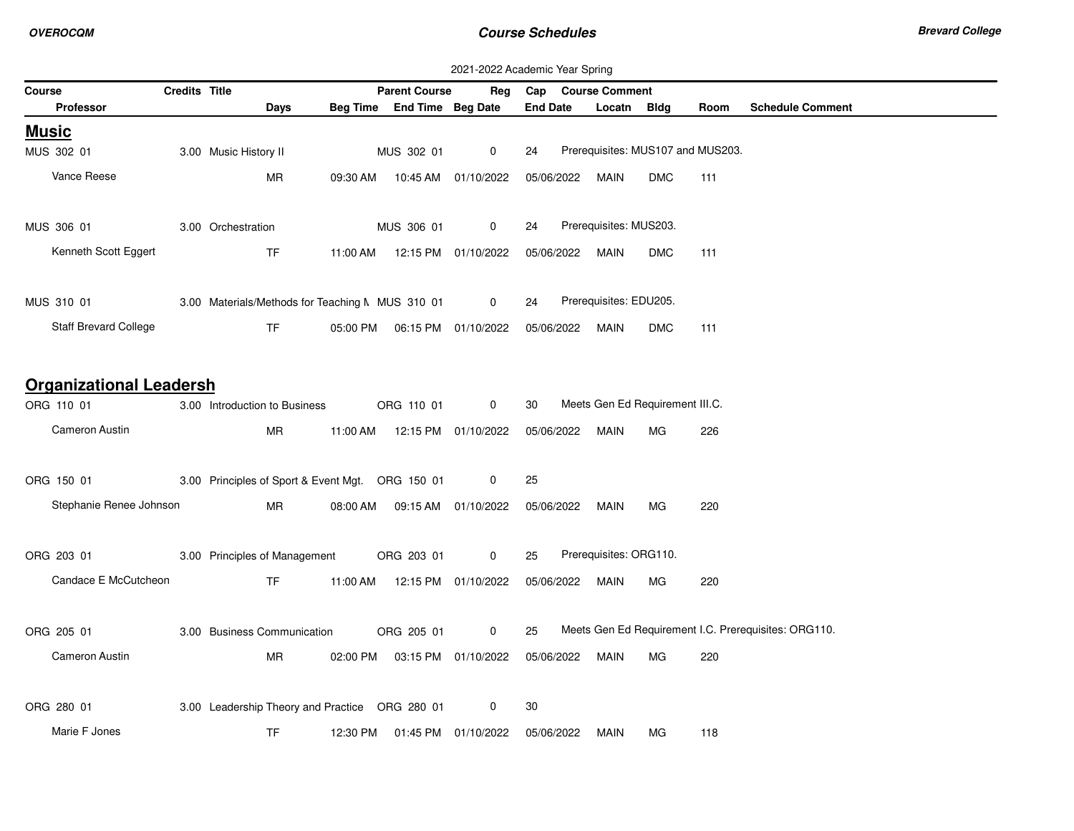|                                | 2021-2022 Academic Year Spring |  |                                                  |          |                                  |                      |                 |            |                                 |            |                                   |                                                      |
|--------------------------------|--------------------------------|--|--------------------------------------------------|----------|----------------------------------|----------------------|-----------------|------------|---------------------------------|------------|-----------------------------------|------------------------------------------------------|
| Course                         |                                |  | <b>Credits Title</b>                             |          | <b>Parent Course</b>             | Reg                  | Cap             |            | <b>Course Comment</b>           |            |                                   |                                                      |
| <b>Professor</b>               |                                |  | Days                                             |          | Beg Time End Time Beg Date       |                      | <b>End Date</b> |            | Locatn                          | Bldg       | Room                              | <b>Schedule Comment</b>                              |
| <u>Music</u>                   |                                |  |                                                  |          |                                  |                      |                 |            |                                 |            |                                   |                                                      |
| MUS 302 01                     |                                |  | 3.00 Music History II                            |          | MUS 302 01                       | $\mathbf 0$          | 24              |            |                                 |            | Prerequisites: MUS107 and MUS203. |                                                      |
| Vance Reese                    |                                |  | MR                                               | 09:30 AM |                                  |                      |                 | 05/06/2022 | MAIN                            | <b>DMC</b> | 111                               |                                                      |
| MUS 306 01                     |                                |  | 3.00 Orchestration                               |          | MUS 306 01                       | 0                    | 24              |            | Prerequisites: MUS203.          |            |                                   |                                                      |
| Kenneth Scott Eggert           |                                |  | TF                                               |          | 11:00 AM   12:15 PM   01/10/2022 |                      |                 | 05/06/2022 | <b>MAIN</b>                     | <b>DMC</b> | 111                               |                                                      |
| MUS 310 01                     |                                |  | 3.00 Materials/Methods for Teaching M MUS 310 01 |          |                                  | $\mathbf 0$          | 24              |            | Prerequisites: EDU205.          |            |                                   |                                                      |
| Staff Brevard College          |                                |  | <b>TF</b>                                        |          | 05:00 PM   06:15 PM   01/10/2022 |                      |                 | 05/06/2022 | <b>MAIN</b>                     | <b>DMC</b> | 111                               |                                                      |
| <b>Organizational Leadersh</b> |                                |  |                                                  |          |                                  |                      |                 |            |                                 |            |                                   |                                                      |
| ORG 110 01                     |                                |  | 3.00 Introduction to Business                    |          | ORG 110 01                       | $\mathbf 0$          | 30              |            | Meets Gen Ed Requirement III.C. |            |                                   |                                                      |
| Cameron Austin                 |                                |  | <b>MR</b>                                        |          | 11:00 AM   12:15 PM   01/10/2022 |                      |                 | 05/06/2022 | <b>MAIN</b>                     | MG.        | 226                               |                                                      |
| ORG 150 01                     |                                |  | 3.00 Principles of Sport & Event Mgt. ORG 150 01 |          |                                  | 0                    | 25              |            |                                 |            |                                   |                                                      |
| Stephanie Renee Johnson        |                                |  | MR                                               | 08:00 AM |                                  | 09:15 AM  01/10/2022 | 05/06/2022      |            | MAIN                            | MG.        | 220                               |                                                      |
| ORG 203 01                     |                                |  | 3.00 Principles of Management                    |          | ORG 203 01                       | $\mathbf 0$          | 25              |            | Prerequisites: ORG110.          |            |                                   |                                                      |
| Candace E McCutcheon           |                                |  | <b>TF</b>                                        |          | 11:00 AM  12:15 PM  01/10/2022   |                      |                 | 05/06/2022 | MAIN                            | MG.        | 220                               |                                                      |
| ORG 205 01                     |                                |  | 3.00 Business Communication                      |          | ORG 205 01                       | 0                    | 25              |            |                                 |            |                                   | Meets Gen Ed Requirement I.C. Prerequisites: ORG110. |
| Cameron Austin                 |                                |  | MR                                               |          | 02:00 PM  03:15 PM  01/10/2022   |                      |                 | 05/06/2022 | MAIN                            | МG         | 220                               |                                                      |
| ORG 280 01                     |                                |  | 3.00 Leadership Theory and Practice ORG 280 01   |          |                                  | 0                    | 30              |            |                                 |            |                                   |                                                      |
| Marie F Jones                  |                                |  | TF                                               | 12:30 PM |                                  | 01:45 PM 01/10/2022  | 05/06/2022      |            | MAIN                            | МG         | 118                               |                                                      |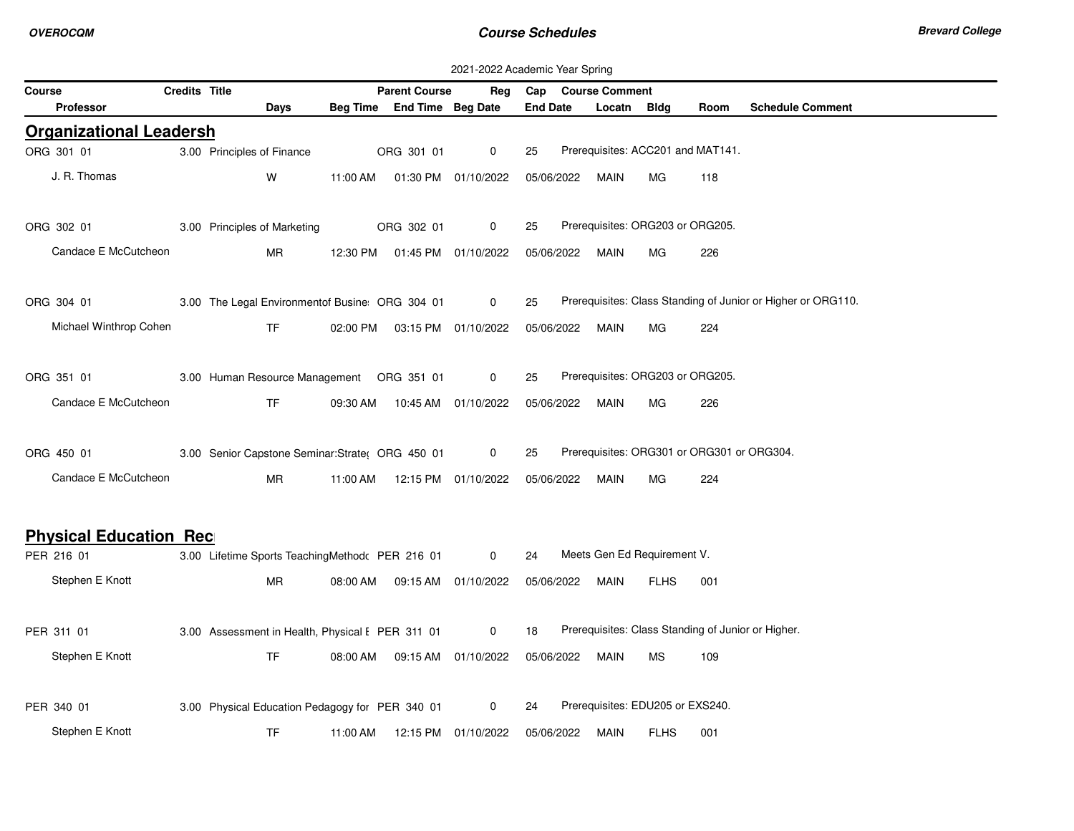|                                |               |                                                  |          |                                | 2021-2022 Academic Year Spring |                        |             |                                  |                                            |                                                              |
|--------------------------------|---------------|--------------------------------------------------|----------|--------------------------------|--------------------------------|------------------------|-------------|----------------------------------|--------------------------------------------|--------------------------------------------------------------|
| Course                         | Credits Title |                                                  |          | <b>Parent Course</b>           |                                | Reg Cap Course Comment |             |                                  |                                            |                                                              |
| <b>Professor</b>               |               | Days                                             |          | Beg Time End Time Beg Date     |                                | <b>End Date</b>        | Locatn Bldg |                                  | Room                                       | <b>Schedule Comment</b>                                      |
| <b>Organizational Leadersh</b> |               |                                                  |          |                                |                                |                        |             |                                  |                                            |                                                              |
| ORG 301 01                     |               | 3.00 Principles of Finance                       |          | ORG 301 01                     | $\mathbf 0$                    | 25                     |             |                                  | Prerequisites: ACC201 and MAT141.          |                                                              |
| J. R. Thomas                   |               | W                                                | 11:00 AM |                                | 01:30 PM 01/10/2022            | 05/06/2022             | MAIN        | MG                               | 118                                        |                                                              |
| ORG 302 01                     |               | 3.00 Principles of Marketing                     |          | ORG 302 01                     | 0                              | 25                     |             | Prerequisites: ORG203 or ORG205. |                                            |                                                              |
| Candace E McCutcheon           |               | <b>MR</b>                                        |          | 12:30 PM  01:45 PM  01/10/2022 |                                | 05/06/2022             | MAIN        | <b>MG</b>                        | 226                                        |                                                              |
| ORG 304 01                     |               | 3.00 The Legal Environmentof Busine ORG 304 01   |          |                                | $\mathbf 0$                    | 25                     |             |                                  |                                            | Prerequisites: Class Standing of Junior or Higher or ORG110. |
| Michael Winthrop Cohen         |               | TF.                                              |          | 02:00 PM  03:15 PM  01/10/2022 |                                | 05/06/2022             | MAIN        | МG                               | 224                                        |                                                              |
| ORG 351 01                     |               | 3.00 Human Resource Management  ORG 351 01       |          |                                | 0                              | 25                     |             | Prerequisites: ORG203 or ORG205. |                                            |                                                              |
| Candace E McCutcheon           |               | <b>TF</b>                                        | 09:30 AM |                                | 10:45 AM 01/10/2022            | 05/06/2022             | MAIN        | МG                               | 226                                        |                                                              |
| ORG 450 01                     |               | 3.00 Senior Capstone Seminar: Strate( ORG 450 01 |          |                                | $\mathbf 0$                    | 25                     |             |                                  | Prerequisites: ORG301 or ORG301 or ORG304. |                                                              |
| Candace E McCutcheon           |               | <b>MR</b>                                        |          | 11:00 AM  12:15 PM  01/10/2022 |                                | 05/06/2022             | MAIN        | MG                               | 224                                        |                                                              |
| <b>Physical Education Rec</b>  |               |                                                  |          |                                |                                |                        |             |                                  |                                            |                                                              |
| PER 216 01                     |               | 3.00 Lifetime Sports TeachingMethod PER 216 01   |          |                                | $\mathbf{0}$                   | 24                     |             | Meets Gen Ed Requirement V.      |                                            |                                                              |
| Stephen E Knott                |               | <b>MR</b>                                        | 08:00 AM |                                | 09:15 AM  01/10/2022           | 05/06/2022             | MAIN        | <b>FLHS</b>                      | 001                                        |                                                              |
| PER 311 01                     |               | 3.00 Assessment in Health, Physical I PER 311 01 |          |                                | $\mathbf 0$                    | 18                     |             |                                  |                                            | Prerequisites: Class Standing of Junior or Higher.           |
| Stephen E Knott                |               | <b>TF</b>                                        | 08:00 AM |                                | 09:15 AM  01/10/2022           | 05/06/2022             | MAIN        | MS                               | 109                                        |                                                              |
| PER 340 01                     |               | 3.00 Physical Education Pedagogy for PER 340 01  |          |                                | $\mathbf{0}$                   | 24                     |             | Prerequisites: EDU205 or EXS240. |                                            |                                                              |
| Stephen E Knott                |               | TF.                                              | 11:00 AM |                                | 12:15 PM  01/10/2022           | 05/06/2022             | MAIN        | <b>FLHS</b>                      | 001                                        |                                                              |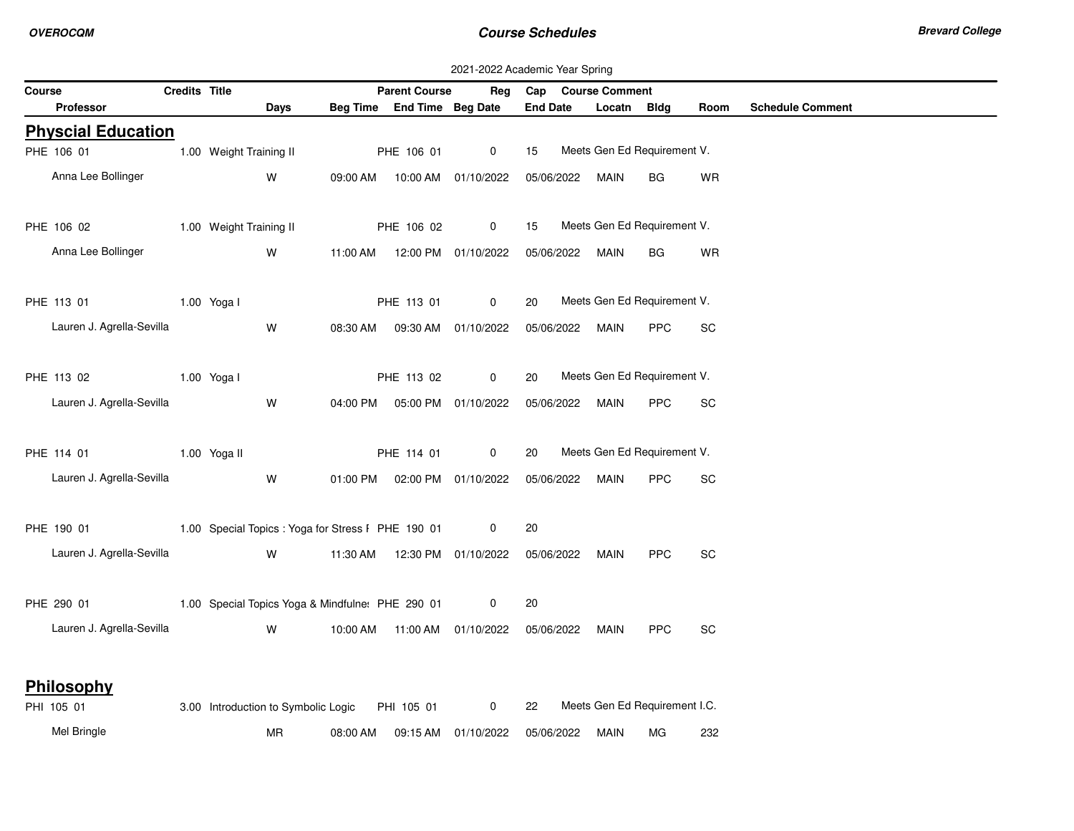|                           |              |               |                                                                                                                                                                                                                                     |          |                            |                                                  | 2021-2022 Academic Year Spring |                               |             |             |                         |
|---------------------------|--------------|---------------|-------------------------------------------------------------------------------------------------------------------------------------------------------------------------------------------------------------------------------------|----------|----------------------------|--------------------------------------------------|--------------------------------|-------------------------------|-------------|-------------|-------------------------|
| Course                    |              | Credits Title |                                                                                                                                                                                                                                     |          | <b>Parent Course</b>       | Reg                                              | Cap Course Comment             |                               |             |             |                         |
| <b>Professor</b>          |              |               | Days                                                                                                                                                                                                                                |          | Beg Time End Time Beg Date |                                                  | <b>End Date</b>                | Locatn                        | <b>Bldg</b> | <b>Room</b> | <b>Schedule Comment</b> |
| <b>Physcial Education</b> |              |               |                                                                                                                                                                                                                                     |          |                            |                                                  |                                |                               |             |             |                         |
| PHE 106 01                |              |               | 1.00 Weight Training II                                                                                                                                                                                                             |          | PHE 106 01                 | $\mathbf 0$                                      | 15                             | Meets Gen Ed Requirement V.   |             |             |                         |
| Anna Lee Bollinger        |              |               | W                                                                                                                                                                                                                                   |          |                            | 09:00 AM  10:00 AM  01/10/2022                   | 05/06/2022                     | MAIN                          | BG          | WR          |                         |
| PHE 106 02                |              |               | 1.00 Weight Training II                                                                                                                                                                                                             |          | PHE 106 02                 | $\mathbf 0$                                      | 15                             | Meets Gen Ed Requirement V.   |             |             |                         |
| Anna Lee Bollinger        |              |               | W                                                                                                                                                                                                                                   |          |                            | 11:00 AM  12:00 PM  01/10/2022                   | 05/06/2022 MAIN                |                               | <b>BG</b>   | <b>WR</b>   |                         |
| PHE 113 01 1.00 Yoga I    |              |               |                                                                                                                                                                                                                                     |          | PHE 113 01                 | $\mathbf 0$                                      | 20                             | Meets Gen Ed Requirement V.   |             |             |                         |
| Lauren J. Agrella-Sevilla |              |               | W                                                                                                                                                                                                                                   | 08:30 AM |                            | 09:30 AM 01/10/2022                              | 05/06/2022                     | MAIN                          | <b>PPC</b>  | SC          |                         |
| PHE 113 02                | 1.00 Yoga I  |               |                                                                                                                                                                                                                                     |          | PHE 113 02                 | $\mathbf 0$                                      | 20                             | Meets Gen Ed Requirement V.   |             |             |                         |
| Lauren J. Agrella-Sevilla |              |               | W                                                                                                                                                                                                                                   |          |                            | 04:00 PM  05:00 PM  01/10/2022                   | 05/06/2022                     | MAIN                          | <b>PPC</b>  | SC          |                         |
| PHE 114 01                | 1.00 Yoga II |               |                                                                                                                                                                                                                                     |          | PHE 114 01                 | $\overline{0}$                                   | 20                             | Meets Gen Ed Requirement V.   |             |             |                         |
| Lauren J. Agrella-Sevilla |              |               | W                                                                                                                                                                                                                                   |          |                            | 01:00 PM  02:00 PM  01/10/2022  05/06/2022  MAIN |                                |                               | <b>PPC</b>  | <b>SC</b>   |                         |
| PHE 190 01                |              |               | 1.00 Special Topics: Yoga for Stress I PHE 190 01                                                                                                                                                                                   |          |                            | $\mathbf{0}$                                     | 20                             |                               |             |             |                         |
| Lauren J. Agrella-Sevilla |              |               | <b>W</b> and the set of the set of the set of the set of the set of the set of the set of the set of the set of the set of the set of the set of the set of the set of the set of the set of the set of the set of the set of the s |          |                            |                                                  |                                | MAIN                          | <b>PPC</b>  | <b>SC</b>   |                         |
|                           |              |               | PHE 290 01 1.00 Special Topics Yoga & Mindfulne: PHE 290 01                                                                                                                                                                         |          |                            | 0                                                | 20                             |                               |             |             |                         |
| Lauren J. Agrella-Sevilla |              |               | W                                                                                                                                                                                                                                   |          |                            | 10:00 AM  11:00 AM  01/10/2022                   | 05/06/2022                     | MAIN                          | <b>PPC</b>  | SC          |                         |
| Philosophy                |              |               |                                                                                                                                                                                                                                     |          |                            |                                                  |                                |                               |             |             |                         |
| PHI 105 01                |              |               | 3.00 Introduction to Symbolic Logic PHI 105 01                                                                                                                                                                                      |          |                            | $\overline{0}$                                   | 22                             | Meets Gen Ed Requirement I.C. |             |             |                         |
| Mel Bringle               |              |               | MR                                                                                                                                                                                                                                  | 08:00 AM |                            | 09:15 AM 01/10/2022                              | 05/06/2022                     | MAIN                          | MG          | 232         |                         |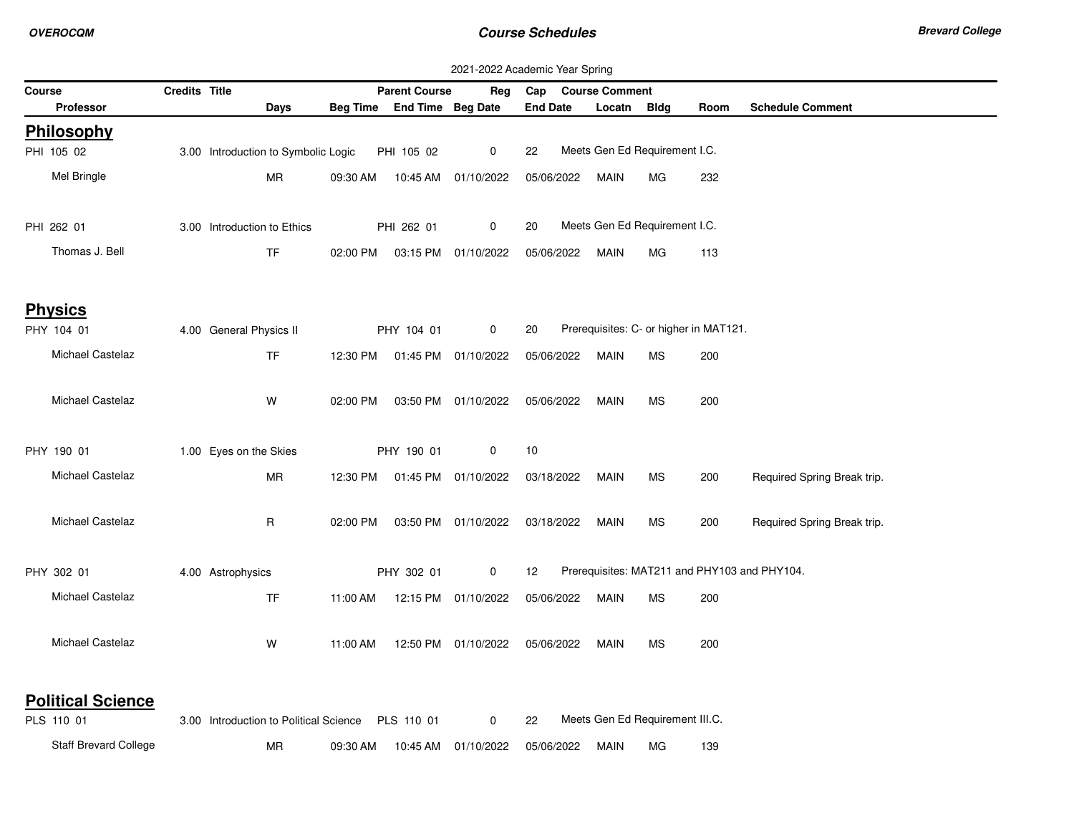|                                        |               |                                        |          |                            |                                | 2021-2022 Academic Year Spring |                       |                                        |      |                                              |
|----------------------------------------|---------------|----------------------------------------|----------|----------------------------|--------------------------------|--------------------------------|-----------------------|----------------------------------------|------|----------------------------------------------|
| Course                                 | Credits Title |                                        |          | <b>Parent Course</b>       | Reg                            | Cap                            | <b>Course Comment</b> |                                        |      |                                              |
| <b>Professor</b>                       |               | Days                                   |          | Beg Time End Time Beg Date |                                | <b>End Date</b>                | Locatn Bldg           |                                        | Room | <b>Schedule Comment</b>                      |
| <b>Philosophy</b>                      |               |                                        |          |                            |                                |                                |                       |                                        |      |                                              |
| PHI 105 02                             |               | 3.00 Introduction to Symbolic Logic    |          | PHI 105 02                 | 0                              | 22                             |                       | Meets Gen Ed Requirement I.C.          |      |                                              |
| Mel Bringle                            |               | MR                                     | 09:30 AM |                            | 10:45 AM 01/10/2022            | 05/06/2022                     | <b>MAIN</b>           | МG                                     | 232  |                                              |
| PHI 262 01                             |               | 3.00 Introduction to Ethics            |          | PHI 262 01                 | $\mathbf 0$                    | 20                             |                       | Meets Gen Ed Requirement I.C.          |      |                                              |
| Thomas J. Bell                         |               | <b>TF</b>                              | 02:00 PM |                            | 03:15 PM 01/10/2022            | 05/06/2022                     | MAIN                  | МG                                     | 113  |                                              |
| <b>Physics</b>                         |               |                                        |          |                            |                                |                                |                       |                                        |      |                                              |
| PHY 104 01                             |               | 4.00 General Physics II                |          | PHY 104 01                 | 0                              | 20                             |                       | Prerequisites: C- or higher in MAT121. |      |                                              |
| Michael Castelaz                       |               | <b>TF</b>                              |          |                            | 12:30 PM  01:45 PM  01/10/2022 | 05/06/2022                     | <b>MAIN</b>           | MS                                     | 200  |                                              |
| Michael Castelaz                       |               | W                                      | 02:00 PM |                            | 03:50 PM 01/10/2022            | 05/06/2022                     | <b>MAIN</b>           | MS                                     | 200  |                                              |
| PHY 190 01                             |               | 1.00 Eyes on the Skies                 |          | PHY 190 01                 | 0                              | 10                             |                       |                                        |      |                                              |
| Michael Castelaz                       |               | MR                                     | 12:30 PM |                            | 01:45 PM 01/10/2022            | 03/18/2022                     | MAIN                  | <b>MS</b>                              | 200  | Required Spring Break trip.                  |
| Michael Castelaz                       |               | R                                      | 02:00 PM |                            | 03:50 PM 01/10/2022            | 03/18/2022                     | <b>MAIN</b>           | МS                                     | 200  | Required Spring Break trip.                  |
| PHY 302 01                             |               | 4.00 Astrophysics                      |          | PHY 302 01                 | $\mathbf 0$                    | 12                             |                       |                                        |      | Prerequisites: MAT211 and PHY103 and PHY104. |
| Michael Castelaz                       |               | <b>TF</b>                              | 11:00 AM |                            | 12:15 PM 01/10/2022            | 05/06/2022                     | <b>MAIN</b>           | MS                                     | 200  |                                              |
| Michael Castelaz                       |               | W                                      | 11:00 AM |                            | 12:50 PM 01/10/2022            | 05/06/2022                     | <b>MAIN</b>           | МS                                     | 200  |                                              |
| <b>Political Science</b><br>PLS 110 01 |               | 3.00 Introduction to Political Science |          | PLS 110 01                 | 0                              | 22                             |                       | Meets Gen Ed Requirement III.C.        |      |                                              |
| Staff Brevard College                  |               | MR                                     | 09:30 AM |                            | 10:45 AM 01/10/2022            | 05/06/2022                     | <b>MAIN</b>           | МG                                     | 139  |                                              |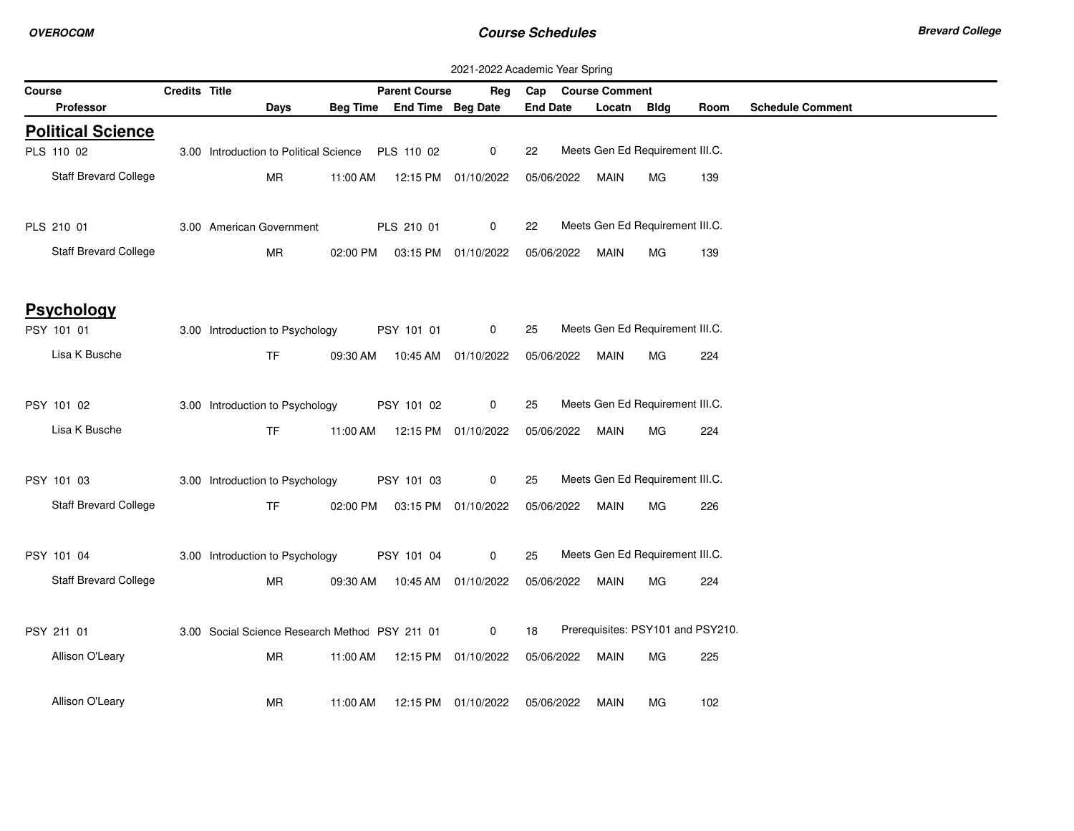|        | 2021-2022 Academic Year Spring<br>Credits Title<br>Cap Course Comment |  |                                                   |          |                                |                     |                 |  |             |                                   |      |                         |  |
|--------|-----------------------------------------------------------------------|--|---------------------------------------------------|----------|--------------------------------|---------------------|-----------------|--|-------------|-----------------------------------|------|-------------------------|--|
| Course |                                                                       |  |                                                   |          | <b>Parent Course</b>           | Rea                 |                 |  |             |                                   |      |                         |  |
|        | Professor                                                             |  | <b>Days</b>                                       |          | Beg Time End Time Beg Date     |                     | <b>End Date</b> |  | Locatn      | Bldg                              | Room | <b>Schedule Comment</b> |  |
|        | <b>Political Science</b>                                              |  |                                                   |          |                                |                     |                 |  |             |                                   |      |                         |  |
|        | PLS 110 02                                                            |  | 3.00 Introduction to Political Science PLS 110 02 |          |                                | $\mathbf 0$         | 22              |  |             | Meets Gen Ed Requirement III.C.   |      |                         |  |
|        | Staff Brevard College                                                 |  | <b>MR</b>                                         | 11:00 AM | 12:15 PM 01/10/2022            |                     | 05/06/2022      |  | MAIN        | MG.                               | 139  |                         |  |
|        | PLS 210 01                                                            |  | 3.00 American Government                          |          | PLS 210 01                     | $\mathbf{0}$        | 22              |  |             | Meets Gen Ed Requirement III.C.   |      |                         |  |
|        | Staff Brevard College                                                 |  | MR                                                |          | 02:00 PM  03:15 PM  01/10/2022 |                     | 05/06/2022      |  | MAIN        | MG                                | 139  |                         |  |
|        | <b>Psychology</b>                                                     |  |                                                   |          |                                |                     |                 |  |             |                                   |      |                         |  |
|        | PSY 101 01                                                            |  | 3.00 Introduction to Psychology                   |          | PSY 101 01                     | $\mathbf{0}$        | 25              |  |             | Meets Gen Ed Requirement III.C.   |      |                         |  |
|        | Lisa K Busche                                                         |  | <b>TF</b>                                         |          | 09:30 AM  10:45 AM  01/10/2022 |                     | 05/06/2022      |  | <b>MAIN</b> | MG                                | 224  |                         |  |
|        | PSY 101 02                                                            |  | 3.00 Introduction to Psychology                   |          | PSY 101 02                     | $\mathbf 0$         | 25              |  |             | Meets Gen Ed Requirement III.C.   |      |                         |  |
|        | Lisa K Busche                                                         |  | <b>TF</b>                                         | 11:00 AM | 12:15 PM 01/10/2022            |                     | 05/06/2022      |  | MAIN        | MG.                               | 224  |                         |  |
|        | PSY 101 03                                                            |  | 3.00 Introduction to Psychology                   |          | PSY 101 03                     | $\mathbf 0$         | 25              |  |             | Meets Gen Ed Requirement III.C.   |      |                         |  |
|        | Staff Brevard College                                                 |  | TF                                                |          | 02:00 PM  03:15 PM  01/10/2022 |                     | 05/06/2022      |  | MAIN        | MG                                | 226  |                         |  |
|        | PSY 101 04                                                            |  | 3.00 Introduction to Psychology                   |          | PSY 101 04                     | $\mathbf 0$         | 25              |  |             | Meets Gen Ed Requirement III.C.   |      |                         |  |
|        | <b>Staff Brevard College</b>                                          |  | <b>MR</b>                                         |          | 09:30 AM  10:45 AM  01/10/2022 |                     | 05/06/2022      |  | <b>MAIN</b> | MG.                               | 224  |                         |  |
|        | PSY 211 01                                                            |  | 3.00 Social Science Research Methoc PSY 211 01    |          |                                | $\mathbf{0}$        | 18              |  |             | Prerequisites: PSY101 and PSY210. |      |                         |  |
|        | Allison O'Leary                                                       |  | MR                                                | 11:00 AM |                                | 12:15 PM 01/10/2022 | 05/06/2022      |  | MAIN        | МG                                | 225  |                         |  |
|        | Allison O'Leary                                                       |  | MR                                                | 11:00 AM |                                | 12:15 PM 01/10/2022 | 05/06/2022      |  | MAIN        | MG.                               | 102  |                         |  |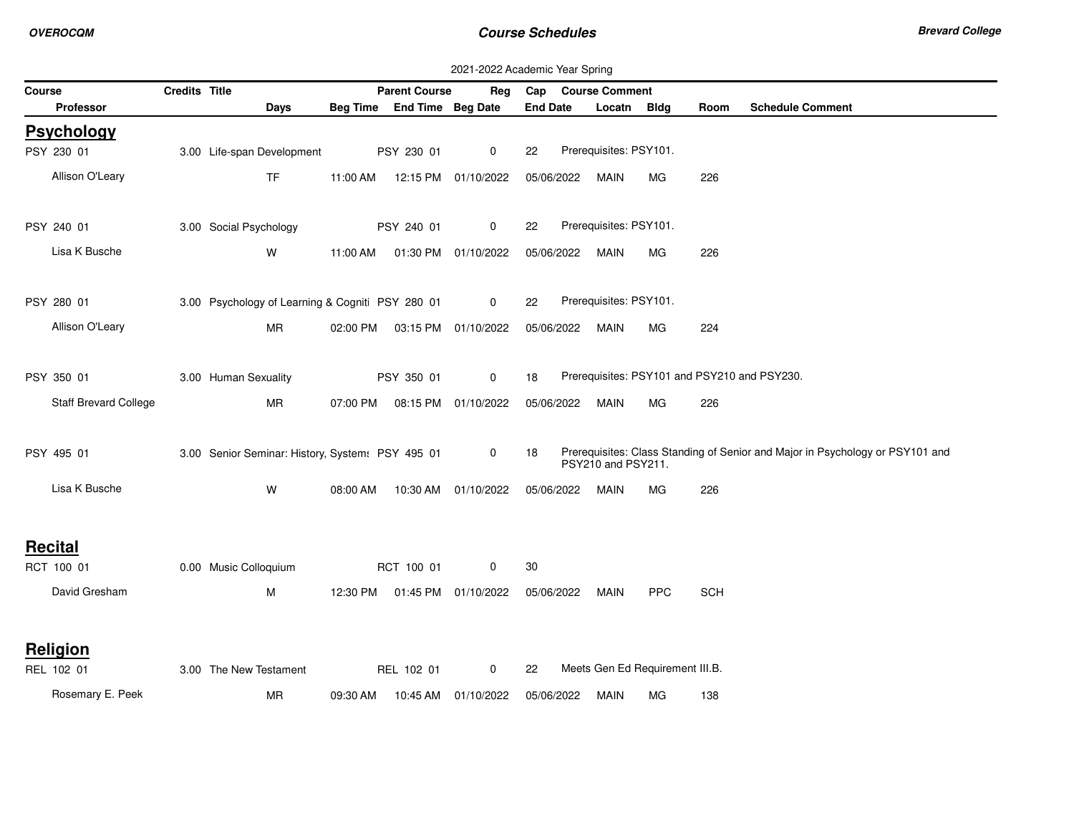|        |                       |               |                                                  |          |                            | 2021-2022 Academic Year Spring |                 |                        |                                 |            |                                                                               |
|--------|-----------------------|---------------|--------------------------------------------------|----------|----------------------------|--------------------------------|-----------------|------------------------|---------------------------------|------------|-------------------------------------------------------------------------------|
| Course |                       | Credits Title |                                                  |          | <b>Parent Course</b>       | Reg                            | Cap             | <b>Course Comment</b>  |                                 |            |                                                                               |
|        | <b>Professor</b>      |               | Days                                             |          | Beg Time End Time Beg Date |                                | <b>End Date</b> | Locatn Bldg            |                                 | Room       | <b>Schedule Comment</b>                                                       |
|        | <b>Psychology</b>     |               |                                                  |          |                            |                                |                 |                        |                                 |            |                                                                               |
|        | PSY 230 01            |               | 3.00 Life-span Development                       |          | PSY 230 01                 | $\mathbf 0$                    | 22              | Prerequisites: PSY101. |                                 |            |                                                                               |
|        | Allison O'Leary       |               | TF                                               | 11:00 AM |                            | 12:15 PM 01/10/2022            | 05/06/2022      | MAIN                   | МG                              | 226        |                                                                               |
|        |                       |               |                                                  |          |                            |                                |                 |                        |                                 |            |                                                                               |
|        |                       |               |                                                  |          |                            |                                |                 |                        |                                 |            |                                                                               |
|        | PSY 240 01            |               | 3.00 Social Psychology                           |          | PSY 240 01                 | $\mathbf 0$                    | 22              | Prerequisites: PSY101. |                                 |            |                                                                               |
|        | Lisa K Busche         |               | W                                                | 11:00 AM |                            | 01:30 PM 01/10/2022            | 05/06/2022      | MAIN                   | МG                              | 226        |                                                                               |
|        |                       |               |                                                  |          |                            |                                |                 |                        |                                 |            |                                                                               |
|        | PSY 280 01            |               | 3.00 Psychology of Learning & Cogniti PSY 280 01 |          |                            | 0                              | 22              | Prerequisites: PSY101. |                                 |            |                                                                               |
|        |                       |               |                                                  |          |                            |                                |                 |                        |                                 |            |                                                                               |
|        | Allison O'Leary       |               | MR                                               | 02:00 PM |                            | 03:15 PM 01/10/2022            | 05/06/2022      | MAIN                   | МG                              | 224        |                                                                               |
|        |                       |               |                                                  |          |                            |                                |                 |                        |                                 |            |                                                                               |
|        | PSY 350 01            |               | 3.00 Human Sexuality                             |          | PSY 350 01                 | $\mathbf 0$                    | 18              |                        |                                 |            | Prerequisites: PSY101 and PSY210 and PSY230.                                  |
|        | Staff Brevard College |               | MR                                               | 07:00 PM | 08:15 PM                   | 01/10/2022                     | 05/06/2022      | MAIN                   | МG                              | 226        |                                                                               |
|        |                       |               |                                                  |          |                            |                                |                 |                        |                                 |            |                                                                               |
|        |                       |               |                                                  |          |                            |                                |                 |                        |                                 |            | Prerequisites: Class Standing of Senior and Major in Psychology or PSY101 and |
|        | PSY 495 01            |               | 3.00 Senior Seminar: History, System: PSY 495 01 |          |                            | 0                              | 18              | PSY210 and PSY211.     |                                 |            |                                                                               |
|        | Lisa K Busche         |               | W                                                | 08:00 AM |                            | 10:30 AM 01/10/2022            | 05/06/2022      | MAIN                   | MG                              | 226        |                                                                               |
|        |                       |               |                                                  |          |                            |                                |                 |                        |                                 |            |                                                                               |
|        |                       |               |                                                  |          |                            |                                |                 |                        |                                 |            |                                                                               |
|        | <b>Recital</b>        |               |                                                  |          |                            |                                |                 |                        |                                 |            |                                                                               |
|        | RCT 100 01            |               | 0.00 Music Colloquium                            |          | RCT 100 01                 | 0                              | 30              |                        |                                 |            |                                                                               |
|        | David Gresham         |               | м                                                | 12:30 PM |                            | 01:45 PM 01/10/2022            | 05/06/2022      | MAIN                   | <b>PPC</b>                      | <b>SCH</b> |                                                                               |
|        |                       |               |                                                  |          |                            |                                |                 |                        |                                 |            |                                                                               |
|        |                       |               |                                                  |          |                            |                                |                 |                        |                                 |            |                                                                               |
|        | Religion              |               |                                                  |          |                            |                                |                 |                        |                                 |            |                                                                               |
|        | REL 102 01            |               | 3.00 The New Testament                           |          | REL 102 01                 | $\mathbf 0$                    | 22              |                        | Meets Gen Ed Requirement III.B. |            |                                                                               |
|        | Rosemary E. Peek      |               | MR                                               | 09:30 AM | 10:45 AM                   | 01/10/2022                     | 05/06/2022      | MAIN                   | МG                              | 138        |                                                                               |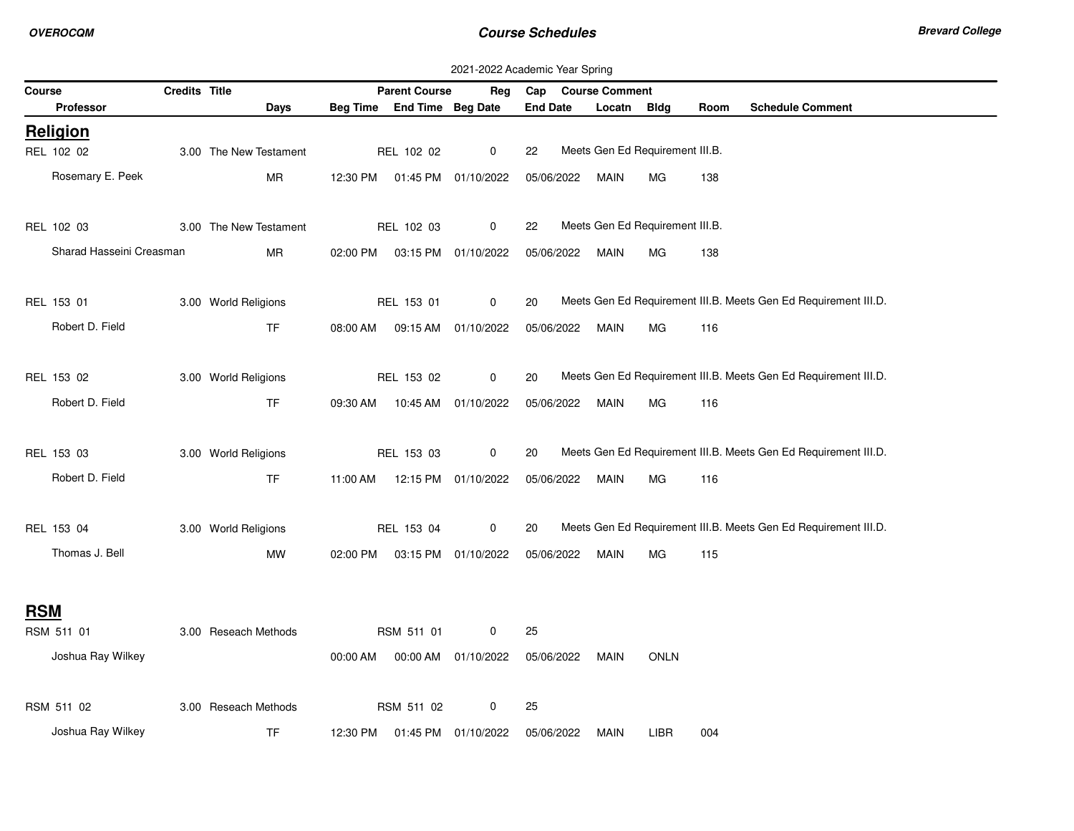| Credits Title<br><b>Parent Course</b><br>Cap Course Comment<br>Course<br>Reg                                                             |  |
|------------------------------------------------------------------------------------------------------------------------------------------|--|
| Beg Time End Time Beg Date<br><b>End Date</b><br><b>Schedule Comment</b><br><b>Professor</b><br>Days<br>Locatn<br>Bldg<br>Room           |  |
| <b>Religion</b>                                                                                                                          |  |
| Meets Gen Ed Requirement III.B.<br>REL 102 02<br>0<br>3.00 The New Testament<br>REL 102 02<br>22                                         |  |
| Rosemary E. Peek<br><b>MR</b><br>138<br>12:30 PM<br>01:45 PM 01/10/2022<br>05/06/2022<br><b>MAIN</b><br>MG                               |  |
| Meets Gen Ed Requirement III.B.<br>REL 102 03<br>3.00 The New Testament<br>REL 102 03<br>$\mathbf 0$<br>22                               |  |
|                                                                                                                                          |  |
| Sharad Hasseini Creasman<br><b>MR</b><br>138<br>02:00 PM<br>03:15 PM 01/10/2022<br>05/06/2022<br>MAIN<br>МG                              |  |
| Meets Gen Ed Requirement III.B. Meets Gen Ed Requirement III.D.<br>3.00 World Religions<br>REL 153 01<br>REL 153 01<br>0<br>20           |  |
| Robert D. Field<br><b>TF</b><br>05/06/2022<br>08:00 AM<br>09:15 AM 01/10/2022<br>MAIN<br>МG<br>116                                       |  |
|                                                                                                                                          |  |
| Meets Gen Ed Requirement III.B. Meets Gen Ed Requirement III.D.<br>REL 153 02<br>3.00 World Religions<br>REL 153 02<br>0<br>20           |  |
| Robert D. Field<br><b>TF</b><br>10:45 AM 01/10/2022<br>09:30 AM<br>05/06/2022<br>MAIN<br>МG<br>116                                       |  |
|                                                                                                                                          |  |
| Meets Gen Ed Requirement III.B. Meets Gen Ed Requirement III.D.<br>REL 153 03<br>3.00 World Religions<br>REL 153 03<br>$\mathbf 0$<br>20 |  |
| Robert D. Field<br><b>TF</b><br>12:15 PM 01/10/2022<br>05/06/2022<br>11:00 AM<br>MAIN<br>МG<br>116                                       |  |
| Meets Gen Ed Requirement III.B. Meets Gen Ed Requirement III.D.<br>REL 153 04<br>3.00 World Religions<br>REL 153 04<br>0<br>20           |  |
| Thomas J. Bell                                                                                                                           |  |
| MW<br>02:00 PM<br>03:15 PM 01/10/2022<br>05/06/2022<br>MAIN<br>MG<br>115                                                                 |  |
| <b>RSM</b>                                                                                                                               |  |
| 3.00 Reseach Methods<br>25<br>RSM 511 01<br>RSM 511 01<br>0                                                                              |  |
| Joshua Ray Wilkey                                                                                                                        |  |
| 00:00 AM<br>00:00 AM 01/10/2022<br>05/06/2022<br><b>ONLN</b><br>MAIN                                                                     |  |
| RSM 511 02<br>3.00 Reseach Methods<br>0<br>25<br>RSM 511 02                                                                              |  |
| Joshua Ray Wilkey<br><b>TF</b><br>12:30 PM<br>01:45 PM 01/10/2022<br>05/06/2022<br><b>MAIN</b><br><b>LIBR</b><br>004                     |  |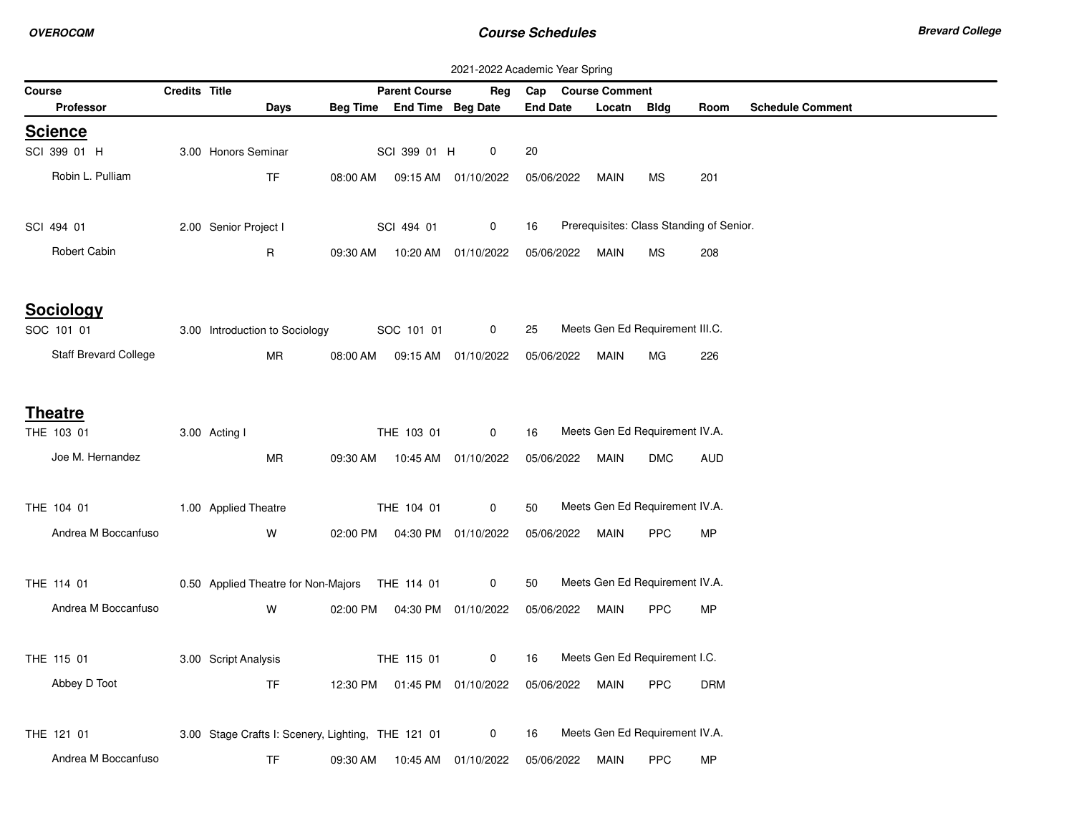|                       |               |                                                    |          |                                | 2021-2022 Academic Year Spring |                        |                                          |            |            |                         |
|-----------------------|---------------|----------------------------------------------------|----------|--------------------------------|--------------------------------|------------------------|------------------------------------------|------------|------------|-------------------------|
| Course                | Credits Title |                                                    |          | <b>Parent Course</b>           |                                | Reg Cap Course Comment |                                          |            |            |                         |
| <b>Professor</b>      |               | Days                                               |          | Beg Time End Time Beg Date     |                                | <b>End Date</b>        | Locatn                                   | Bldg       | Room       | <b>Schedule Comment</b> |
| <b>Science</b>        |               |                                                    |          |                                |                                |                        |                                          |            |            |                         |
| SCI 399 01 H          |               | 3.00 Honors Seminar                                |          | SCI 399 01 H                   | 0                              | 20                     |                                          |            |            |                         |
| Robin L. Pulliam      |               | <b>TF</b>                                          |          |                                | 08:00 AM  09:15 AM  01/10/2022 | 05/06/2022             | MAIN                                     | <b>MS</b>  | 201        |                         |
| SCI 494 01            |               | 2.00 Senior Project I                              |          | SCI 494 01                     | 0                              | 16                     | Prerequisites: Class Standing of Senior. |            |            |                         |
| Robert Cabin          |               | R                                                  | 09:30 AM |                                | 10:20 AM  01/10/2022           | 05/06/2022 MAIN        |                                          | МS         | 208        |                         |
| <b>Sociology</b>      |               |                                                    |          |                                |                                |                        |                                          |            |            |                         |
| SOC 101 01            |               | 3.00 Introduction to Sociology                     |          | SOC 101 01                     | 0                              | 25                     | Meets Gen Ed Requirement III.C.          |            |            |                         |
| Staff Brevard College |               | <b>MR</b>                                          |          |                                | 08:00 AM  09:15 AM  01/10/2022 | 05/06/2022             | MAIN                                     | MG         | 226        |                         |
| <b>Theatre</b>        |               |                                                    |          |                                |                                |                        |                                          |            |            |                         |
| THE 103 01            |               | 3.00 Acting I                                      |          | THE 103 01                     | 0                              | 16                     | Meets Gen Ed Requirement IV.A.           |            |            |                         |
| Joe M. Hernandez      |               | MR                                                 |          |                                | 09:30 AM  10:45 AM  01/10/2022 | 05/06/2022 MAIN        |                                          | DMC        | AUD        |                         |
| THE 104 01            |               | 1.00 Applied Theatre                               |          | THE 104 01                     | 0                              | 50                     | Meets Gen Ed Requirement IV.A.           |            |            |                         |
| Andrea M Boccanfuso   |               | W                                                  |          |                                | 02:00 PM  04:30 PM  01/10/2022 | 05/06/2022 MAIN        |                                          | <b>PPC</b> | MP         |                         |
| THE 114 01            |               | 0.50 Applied Theatre for Non-Majors THE 114 01     |          |                                | 0                              | 50                     | Meets Gen Ed Requirement IV.A.           |            |            |                         |
| Andrea M Boccanfuso   |               | W                                                  |          | 02:00 PM  04:30 PM  01/10/2022 |                                | 05/06/2022             | MAIN                                     | <b>PPC</b> | MP         |                         |
| THE 115 01            |               | 3.00 Script Analysis                               |          | THE 115 01                     | 0                              | 16                     | Meets Gen Ed Requirement I.C.            |            |            |                         |
| Abbey D Toot          |               | TF                                                 |          |                                | 12:30 PM  01:45 PM  01/10/2022 | 05/06/2022             | MAIN                                     | <b>PPC</b> | <b>DRM</b> |                         |
| THE 121 01            |               | 3.00 Stage Crafts I: Scenery, Lighting, THE 121 01 |          |                                | 0                              | 16                     | Meets Gen Ed Requirement IV.A.           |            |            |                         |
| Andrea M Boccanfuso   |               | TF                                                 | 09:30 AM |                                | 10:45 AM  01/10/2022           | 05/06/2022             | MAIN                                     | <b>PPC</b> | MP         |                         |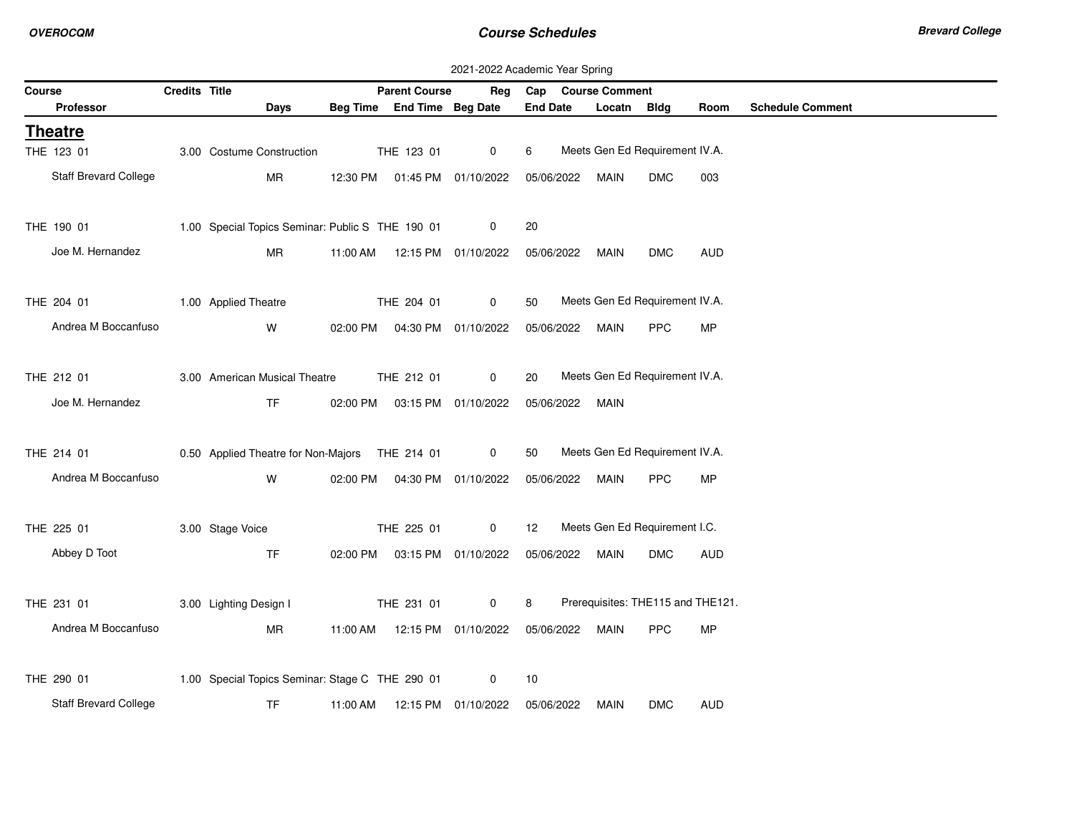|                                            |               |                                                              |          |                                | 2021-2022 Academic Year Spring |                 |            |                                |            |                                   |                         |
|--------------------------------------------|---------------|--------------------------------------------------------------|----------|--------------------------------|--------------------------------|-----------------|------------|--------------------------------|------------|-----------------------------------|-------------------------|
| Course                                     | Credits Title |                                                              |          | <b>Parent Course</b>           |                                |                 |            | Reg Cap Course Comment         |            |                                   |                         |
| Professor                                  |               | Days                                                         |          | Beg Time End Time Beg Date     |                                | <b>End Date</b> |            | Locatn Bldg                    |            | Room                              | <b>Schedule Comment</b> |
| <b>Theatre</b>                             |               |                                                              |          |                                |                                |                 |            |                                |            |                                   |                         |
| THE 123 01                                 |               | 3.00 Costume Construction                                    |          | THE 123 01                     | 0                              | 6               |            | Meets Gen Ed Requirement IV.A. |            |                                   |                         |
| Staff Brevard College                      |               | MR                                                           |          | 12:30 PM  01:45 PM  01/10/2022 |                                |                 | 05/06/2022 | MAIN                           | <b>DMC</b> | 003                               |                         |
|                                            |               |                                                              |          |                                |                                |                 |            |                                |            |                                   |                         |
| THE 190 01                                 |               | 1.00 Special Topics Seminar: Public S THE 190 01             |          |                                | 0                              | 20              |            |                                |            |                                   |                         |
| Joe M. Hernandez                           |               | <b>MR</b>                                                    | 11:00 AM |                                | 12:15 PM 01/10/2022            |                 | 05/06/2022 | MAIN                           | <b>DMC</b> | <b>AUD</b>                        |                         |
|                                            |               |                                                              |          |                                |                                |                 |            |                                |            |                                   |                         |
| THE 204 01                                 |               | 1.00 Applied Theatre                                         |          | THE 204 01                     | 0                              | 50              |            | Meets Gen Ed Requirement IV.A. |            |                                   |                         |
| Andrea M Boccanfuso                        |               | W                                                            |          | 02:00 PM  04:30 PM  01/10/2022 |                                |                 | 05/06/2022 | <b>MAIN</b>                    | <b>PPC</b> | <b>MP</b>                         |                         |
|                                            |               |                                                              |          |                                |                                |                 |            |                                |            |                                   |                         |
| THE 212 01                                 |               | 3.00 American Musical Theatre                                |          | THE 212 01                     | 0                              | 20              |            | Meets Gen Ed Requirement IV.A. |            |                                   |                         |
| Joe M. Hernandez                           |               | TF.                                                          |          | 02:00 PM  03:15 PM  01/10/2022 |                                |                 | 05/06/2022 | MAIN                           |            |                                   |                         |
|                                            |               |                                                              |          |                                |                                |                 |            |                                |            |                                   |                         |
| THE 214 01                                 |               | 0.50 Applied Theatre for Non-Majors THE 214 01               |          |                                | $\mathbf 0$                    | 50              |            | Meets Gen Ed Requirement IV.A. |            |                                   |                         |
| Andrea M Boccanfuso                        |               | W                                                            |          | 02:00 PM  04:30 PM  01/10/2022 |                                |                 |            | 05/06/2022 MAIN                | <b>PPC</b> | MP                                |                         |
| THE 225 01                                 |               | 3.00 Stage Voice                                             |          | THE 225 01                     | 0                              | 12              |            | Meets Gen Ed Requirement I.C.  |            |                                   |                         |
|                                            |               |                                                              |          |                                |                                |                 |            |                                |            |                                   |                         |
| Abbey D Toot                               |               | <b>TF</b>                                                    |          | 02:00 PM  03:15 PM  01/10/2022 |                                |                 | 05/06/2022 | MAIN                           | <b>DMC</b> | <b>AUD</b>                        |                         |
| THE 231 01                                 |               | 3.00 Lighting Design I                                       |          | THE 231 01                     | 0                              | 8               |            |                                |            | Prerequisites: THE115 and THE121. |                         |
|                                            |               |                                                              |          |                                |                                |                 |            |                                |            |                                   |                         |
| Andrea M Boccanfuso                        |               | <b>MR</b>                                                    |          | 11:00 AM  12:15 PM  01/10/2022 |                                |                 | 05/06/2022 | <b>MAIN</b>                    | <b>PPC</b> | MP                                |                         |
|                                            |               |                                                              |          |                                |                                |                 |            |                                |            |                                   |                         |
|                                            |               |                                                              |          |                                |                                |                 |            |                                |            |                                   |                         |
| THE 290 01<br><b>Staff Brevard College</b> |               | 1.00 Special Topics Seminar: Stage C THE 290 01<br><b>TF</b> | 11:00 AM |                                | 0<br>12:15 PM 01/10/2022       | 10              | 05/06/2022 | <b>MAIN</b>                    | <b>DMC</b> | <b>AUD</b>                        |                         |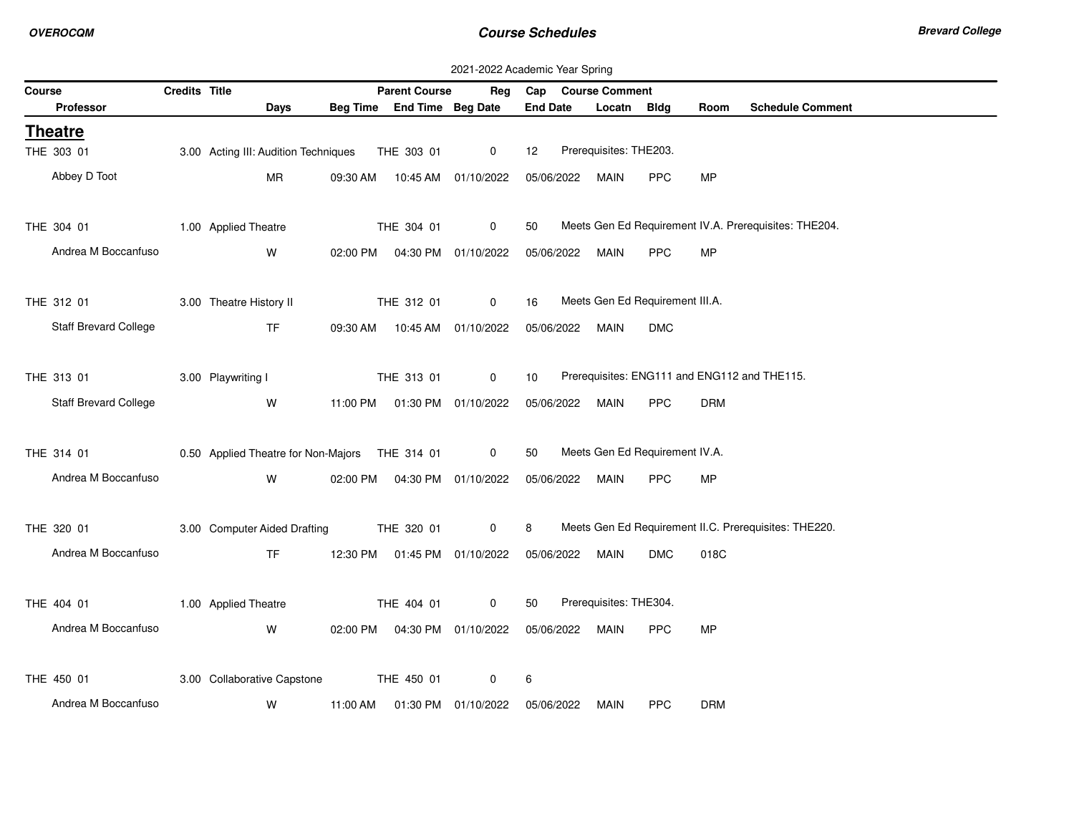|                                 |               |                                                 |          |                                | 2021-2022 Academic Year Spring |                 |            |                        |                                 |            |                                                       |
|---------------------------------|---------------|-------------------------------------------------|----------|--------------------------------|--------------------------------|-----------------|------------|------------------------|---------------------------------|------------|-------------------------------------------------------|
| Course                          | Credits Title |                                                 |          | <b>Parent Course</b>           | Reg                            | Cap             |            | <b>Course Comment</b>  |                                 |            |                                                       |
| <b>Professor</b>                |               | <b>Days</b>                                     |          | Beg Time End Time Beg Date     |                                | <b>End Date</b> |            | Locatn Bldg            |                                 | Room       | <b>Schedule Comment</b>                               |
| <b>Theatre</b>                  |               |                                                 |          |                                |                                |                 |            |                        |                                 |            |                                                       |
| THE 303 01                      |               | 3.00 Acting III: Audition Techniques THE 303 01 |          |                                | $\mathsf 0$                    | 12              |            | Prerequisites: THE203. |                                 |            |                                                       |
| Abbey D Toot                    |               | MR                                              |          | 09:30 AM  10:45 AM  01/10/2022 |                                | 05/06/2022      |            | MAIN                   | <b>PPC</b>                      | MP         |                                                       |
|                                 |               |                                                 |          |                                |                                |                 |            |                        |                                 |            |                                                       |
|                                 |               |                                                 |          |                                | $\overline{0}$                 |                 |            |                        |                                 |            | Meets Gen Ed Requirement IV.A. Prerequisites: THE204. |
| THE 304 01 1.00 Applied Theatre |               |                                                 |          | THE 304 01                     |                                | 50              |            |                        |                                 |            |                                                       |
| Andrea M Boccanfuso             |               | W                                               |          | 02:00 PM  04:30 PM  01/10/2022 |                                |                 |            | 05/06/2022 MAIN        | PPC                             | MP         |                                                       |
|                                 |               |                                                 |          |                                |                                |                 |            |                        |                                 |            |                                                       |
| THE 312 01                      |               | 3.00 Theatre History II                         |          | THE 312 01                     | $\mathbf 0$                    | 16              |            |                        | Meets Gen Ed Requirement III.A. |            |                                                       |
| <b>Staff Brevard College</b>    |               | <b>TF</b>                                       |          | 09:30 AM  10:45 AM  01/10/2022 |                                |                 |            | 05/06/2022 MAIN        | <b>DMC</b>                      |            |                                                       |
|                                 |               |                                                 |          |                                |                                |                 |            |                        |                                 |            |                                                       |
|                                 |               |                                                 |          |                                |                                |                 |            |                        |                                 |            |                                                       |
| THE 313 01                      |               | 3.00 Playwriting I                              |          | THE 313 01                     | $\overline{0}$                 | 10              |            |                        |                                 |            | Prerequisites: ENG111 and ENG112 and THE115.          |
| Staff Brevard College           |               | W                                               |          | 11:00 PM  01:30 PM  01/10/2022 |                                |                 | 05/06/2022 | MAIN                   | <b>PPC</b>                      | <b>DRM</b> |                                                       |
|                                 |               |                                                 |          |                                |                                |                 |            |                        |                                 |            |                                                       |
| THE 314 01                      |               | 0.50 Applied Theatre for Non-Majors THE 314 01  |          |                                | 0                              | 50              |            |                        | Meets Gen Ed Requirement IV.A.  |            |                                                       |
| Andrea M Boccanfuso             |               | W                                               |          | 02:00 PM  04:30 PM  01/10/2022 |                                |                 |            | 05/06/2022 MAIN        | PPC                             | MP         |                                                       |
|                                 |               |                                                 |          |                                |                                |                 |            |                        |                                 |            |                                                       |
|                                 |               |                                                 |          |                                |                                |                 |            |                        |                                 |            |                                                       |
| THE 320 01                      |               | 3.00 Computer Aided Drafting                    |          | THE 320 01                     | $\overline{0}$                 | 8               |            |                        |                                 |            | Meets Gen Ed Requirement II.C. Prerequisites: THE220. |
| Andrea M Boccanfuso             |               | <b>TF</b>                                       |          | 12:30 PM  01:45 PM  01/10/2022 |                                |                 |            | 05/06/2022 MAIN        | <b>DMC</b>                      | 018C       |                                                       |
|                                 |               |                                                 |          |                                |                                |                 |            |                        |                                 |            |                                                       |
| THE 404 01                      |               | 1.00 Applied Theatre                            |          | THE 404 01                     | $\mathbf 0$                    | 50              |            | Prerequisites: THE304. |                                 |            |                                                       |
| Andrea M Boccanfuso             |               | W                                               |          | 02:00 PM  04:30 PM  01/10/2022 |                                |                 |            | 05/06/2022 MAIN        | <b>PPC</b>                      | <b>MP</b>  |                                                       |
|                                 |               |                                                 |          |                                |                                |                 |            |                        |                                 |            |                                                       |
|                                 |               |                                                 |          |                                |                                |                 |            |                        |                                 |            |                                                       |
| THE 450 01                      |               | 3.00 Collaborative Capstone                     |          | THE 450 01                     | 0                              | 6               |            |                        |                                 |            |                                                       |
| Andrea M Boccanfuso             |               | W                                               | 11:00 AM |                                | 01:30 PM 01/10/2022            | 05/06/2022      |            | <b>MAIN</b>            | <b>PPC</b>                      | <b>DRM</b> |                                                       |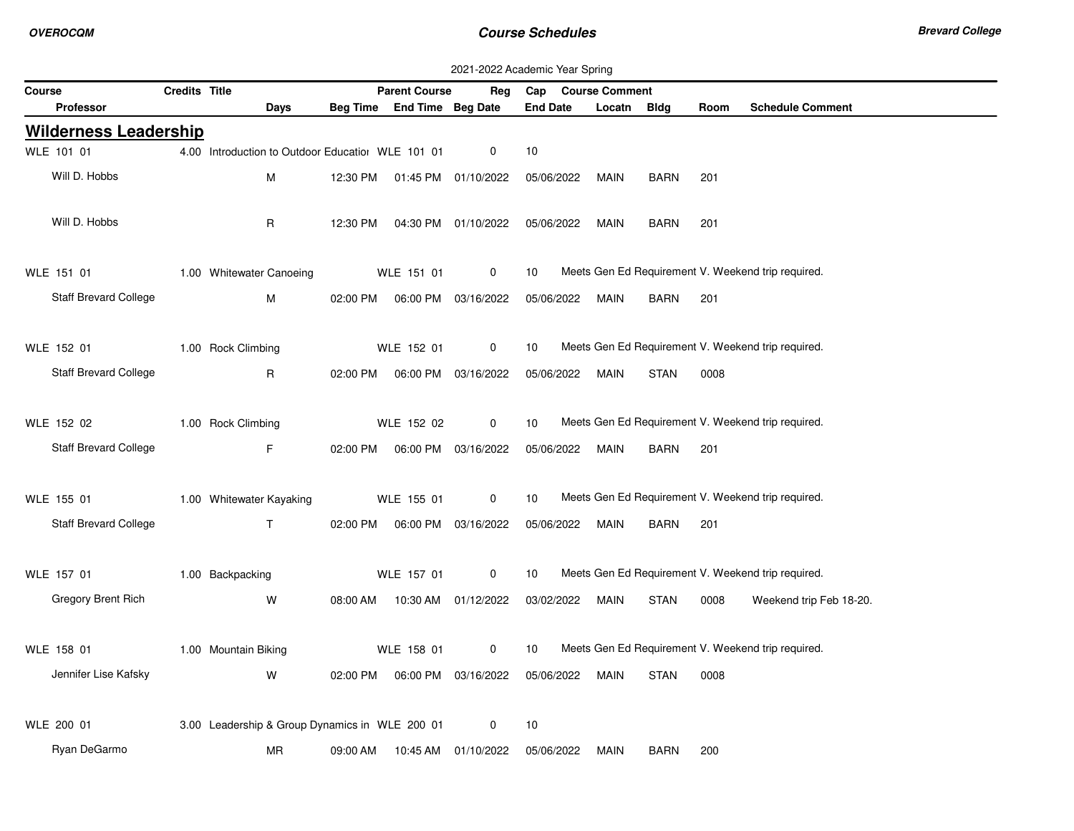|        |                              |               |                                                   |          |                                  | 2021-2022 Academic Year Spring |                    |             |             |      |                                                    |
|--------|------------------------------|---------------|---------------------------------------------------|----------|----------------------------------|--------------------------------|--------------------|-------------|-------------|------|----------------------------------------------------|
| Course |                              | Credits Title |                                                   |          | <b>Parent Course</b>             | Reg                            | Cap Course Comment |             |             |      |                                                    |
|        | <b>Professor</b>             |               | Days                                              |          | Beg Time End Time Beg Date       |                                | <b>End Date</b>    | Locatn Bldg |             | Room | <b>Schedule Comment</b>                            |
|        | <b>Wilderness Leadership</b> |               |                                                   |          |                                  |                                |                    |             |             |      |                                                    |
|        | WLE 101 01                   |               | 4.00 Introduction to Outdoor Educatiol WLE 101 01 |          |                                  | 0                              | 10                 |             |             |      |                                                    |
|        | Will D. Hobbs                |               | М                                                 | 12:30 PM |                                  | 01:45 PM 01/10/2022            | 05/06/2022         | <b>MAIN</b> | <b>BARN</b> | 201  |                                                    |
|        |                              |               |                                                   |          |                                  |                                |                    |             |             |      |                                                    |
|        | Will D. Hobbs                |               | R                                                 | 12:30 PM |                                  | 04:30 PM 01/10/2022            | 05/06/2022         | <b>MAIN</b> | <b>BARN</b> | 201  |                                                    |
|        |                              |               |                                                   |          |                                  |                                |                    |             |             |      |                                                    |
|        | WLE 151 01                   |               | 1.00 Whitewater Canoeing                          |          | WLE 151 01                       | 0                              | 10                 |             |             |      | Meets Gen Ed Requirement V. Weekend trip required. |
|        | Staff Brevard College        |               | M                                                 |          | 02:00 PM   06:00 PM   03/16/2022 |                                | 05/06/2022         | <b>MAIN</b> | <b>BARN</b> | 201  |                                                    |
|        |                              |               |                                                   |          |                                  |                                |                    |             |             |      |                                                    |
|        | WLE 152 01                   |               | 1.00 Rock Climbing                                |          | WLE 152 01                       | 0                              | 10                 |             |             |      | Meets Gen Ed Requirement V. Weekend trip required. |
|        | Staff Brevard College        |               | R.                                                |          | 02:00 PM   06:00 PM   03/16/2022 |                                | 05/06/2022         | MAIN        | <b>STAN</b> | 0008 |                                                    |
|        |                              |               |                                                   |          |                                  |                                |                    |             |             |      |                                                    |
|        | WLE 152 02                   |               | 1.00 Rock Climbing                                |          | WLE 152 02                       | 0                              | 10                 |             |             |      | Meets Gen Ed Requirement V. Weekend trip required. |
|        | Staff Brevard College        |               | F.                                                |          | 02:00 PM   06:00 PM   03/16/2022 |                                | 05/06/2022         | MAIN        | BARN        | 201  |                                                    |
|        |                              |               |                                                   |          |                                  |                                |                    |             |             |      |                                                    |
|        | WLE 155 01                   |               | 1.00 Whitewater Kayaking                          |          | WLE 155 01                       | 0                              | 10                 |             |             |      | Meets Gen Ed Requirement V. Weekend trip required. |
|        | Staff Brevard College        |               | $\mathsf{T}$                                      |          | 02:00 PM   06:00 PM   03/16/2022 |                                | 05/06/2022         | MAIN        | BARN        | 201  |                                                    |
|        |                              |               |                                                   |          |                                  |                                |                    |             |             |      |                                                    |
|        | WLE 157 01                   |               | 1.00 Backpacking                                  |          | WLE 157 01                       | 0                              | 10                 |             |             |      | Meets Gen Ed Requirement V. Weekend trip required. |
|        | <b>Gregory Brent Rich</b>    |               | W                                                 |          | 08:00 AM  10:30 AM  01/12/2022   |                                | 03/02/2022         | MAIN        | <b>STAN</b> | 0008 | Weekend trip Feb 18-20.                            |
|        |                              |               |                                                   |          |                                  |                                |                    |             |             |      |                                                    |
|        | WLE 158 01                   |               | 1.00 Mountain Biking                              |          | WLE 158 01                       | 0                              | 10                 |             |             |      | Meets Gen Ed Requirement V. Weekend trip required. |
|        | Jennifer Lise Kafsky         |               | W                                                 |          | 02:00 PM   06:00 PM   03/16/2022 |                                | 05/06/2022         | MAIN        | STAN        | 0008 |                                                    |
|        |                              |               |                                                   |          |                                  |                                |                    |             |             |      |                                                    |
|        | WLE 200 01                   |               | 3.00 Leadership & Group Dynamics in WLE 200 01    |          |                                  | 0                              | 10                 |             |             |      |                                                    |
|        | Ryan DeGarmo                 |               | <b>MR</b>                                         | 09:00 AM |                                  | 10:45 AM 01/10/2022            | 05/06/2022         | <b>MAIN</b> | <b>BARN</b> | 200  |                                                    |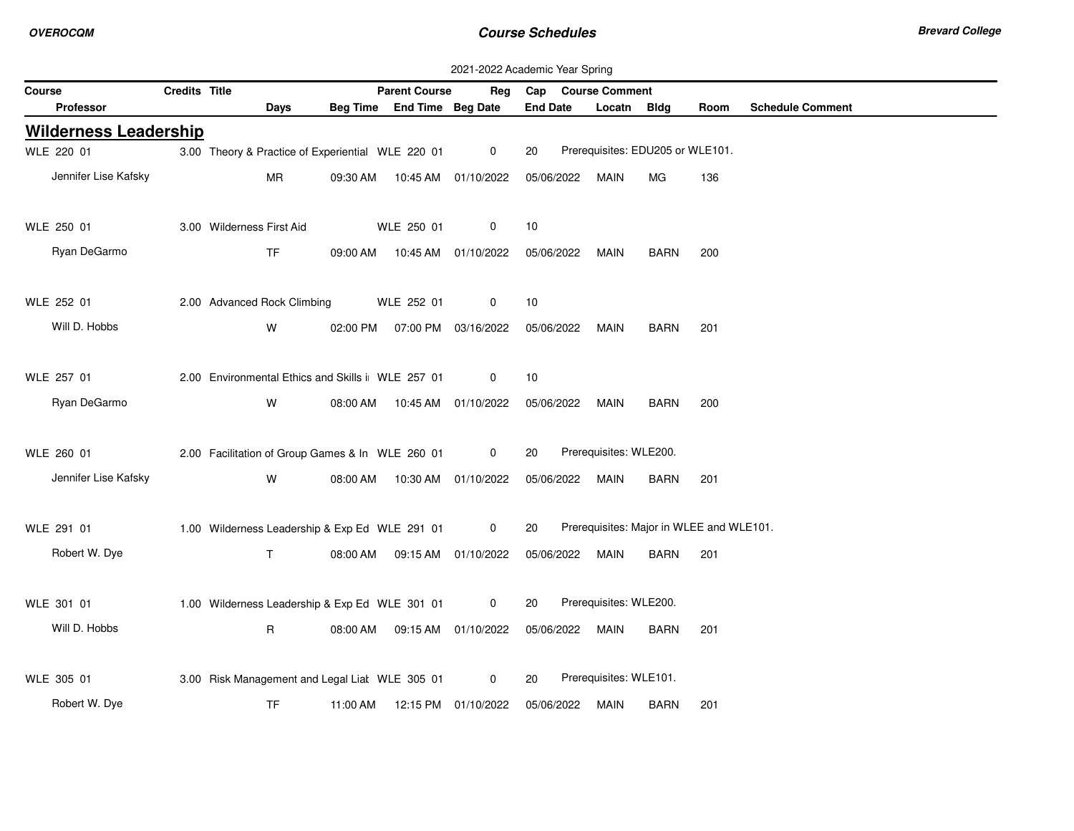|                              |                      |                                                   |          |                                | 2021-2022 Academic Year Spring |                 |                        |                                          |      |                         |
|------------------------------|----------------------|---------------------------------------------------|----------|--------------------------------|--------------------------------|-----------------|------------------------|------------------------------------------|------|-------------------------|
| Course                       | <b>Credits Title</b> |                                                   |          | <b>Parent Course</b>           | Rea                            |                 | Cap Course Comment     |                                          |      |                         |
| <b>Professor</b>             |                      | Days                                              |          | Beg Time End Time Beg Date     |                                | <b>End Date</b> | Locatn                 | Bldg                                     | Room | <b>Schedule Comment</b> |
| <b>Wilderness Leadership</b> |                      |                                                   |          |                                |                                |                 |                        |                                          |      |                         |
| WLE 220 01                   |                      | 3.00 Theory & Practice of Experiential WLE 220 01 |          |                                | $\mathbf 0$                    | 20              |                        | Prerequisites: EDU205 or WLE101.         |      |                         |
| Jennifer Lise Kafsky         |                      | MR                                                | 09:30 AM |                                | 10:45 AM  01/10/2022           | 05/06/2022      | MAIN                   | МG                                       | 136  |                         |
|                              |                      |                                                   |          |                                |                                |                 |                        |                                          |      |                         |
| WLE 250 01                   |                      | 3.00 Wilderness First Aid                         |          | WLE 250 01                     | 0                              | 10              |                        |                                          |      |                         |
| Ryan DeGarmo                 |                      | <b>TF</b>                                         |          | 09:00 AM  10:45 AM  01/10/2022 |                                | 05/06/2022      | MAIN                   | <b>BARN</b>                              | 200  |                         |
|                              |                      |                                                   |          |                                |                                |                 |                        |                                          |      |                         |
| WLE 252 01                   |                      | 2.00 Advanced Rock Climbing                       |          | WLE 252 01                     | 0                              | 10              |                        |                                          |      |                         |
| Will D. Hobbs                |                      | W                                                 | 02:00 PM |                                | 07:00 PM 03/16/2022            | 05/06/2022      | MAIN                   | <b>BARN</b>                              | 201  |                         |
|                              |                      |                                                   |          |                                |                                |                 |                        |                                          |      |                         |
| WLE 257 01                   |                      | 2.00 Environmental Ethics and Skills i WLE 257 01 |          |                                | 0                              | 10              |                        |                                          |      |                         |
| Ryan DeGarmo                 |                      | W                                                 |          | 08:00 AM  10:45 AM  01/10/2022 |                                | 05/06/2022      | MAIN                   | <b>BARN</b>                              | 200  |                         |
|                              |                      |                                                   |          |                                |                                |                 |                        |                                          |      |                         |
| WLE 260 01                   |                      | 2.00 Facilitation of Group Games & In WLE 260 01  |          |                                | $\mathbf 0$                    | 20              | Prerequisites: WLE200. |                                          |      |                         |
| Jennifer Lise Kafsky         |                      | W                                                 |          | 08:00 AM  10:30 AM  01/10/2022 |                                | 05/06/2022      | <b>MAIN</b>            | <b>BARN</b>                              | 201  |                         |
|                              |                      |                                                   |          |                                |                                |                 |                        |                                          |      |                         |
| WLE 291 01                   |                      | 1.00 Wilderness Leadership & Exp Ed WLE 291 01    |          |                                | 0                              | 20              |                        | Prerequisites: Major in WLEE and WLE101. |      |                         |
| Robert W. Dye                |                      | T.                                                |          | 08:00 AM  09:15 AM  01/10/2022 |                                | 05/06/2022      | MAIN                   | <b>BARN</b>                              | 201  |                         |
|                              |                      |                                                   |          |                                |                                |                 |                        |                                          |      |                         |
| WLE 301 01                   |                      | 1.00 Wilderness Leadership & Exp Ed WLE 301 01    |          |                                | $\mathbf 0$                    | 20              | Prerequisites: WLE200. |                                          |      |                         |
| Will D. Hobbs                |                      | $\mathsf{R}$                                      |          | 08:00 AM  09:15 AM  01/10/2022 |                                | 05/06/2022      | MAIN                   | <b>BARN</b>                              | 201  |                         |
|                              |                      |                                                   |          |                                |                                |                 |                        |                                          |      |                         |
| WLE 305 01                   |                      | 3.00 Risk Management and Legal Lial WLE 305 01    |          |                                | 0                              | 20              | Prerequisites: WLE101. |                                          |      |                         |
| Robert W. Dye                |                      | <b>TF</b>                                         | 11:00 AM |                                | 12:15 PM 01/10/2022            | 05/06/2022      | MAIN                   | BARN                                     | 201  |                         |